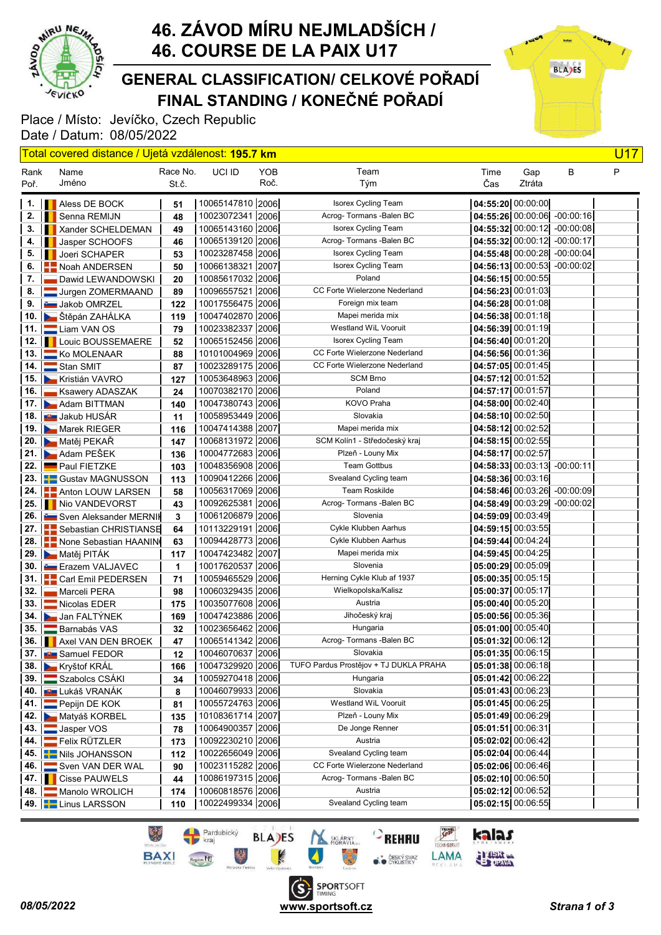

### FINAL STANDING / KONEČNÉ POŘADÍ GENERAL CLASSIFICATION/ CELKOVÉ POŘADÍ

Place / Místo: Jevíčko, Czech Republic Date / Datum: 08/05/2022



|                      | Total covered distance / Ujetá vzdálenost: 195.7 km |          |                                          |      |                                                        |                     |        |                                                              | <b>U17</b> |
|----------------------|-----------------------------------------------------|----------|------------------------------------------|------|--------------------------------------------------------|---------------------|--------|--------------------------------------------------------------|------------|
| Rank                 | Name                                                | Race No. | UCI ID                                   | YOB  | Team                                                   | Time                | Gap    | B                                                            | P          |
| Poř.                 | Jméno                                               | St.č.    |                                          | Roč. | Tým                                                    | Čas                 | Ztráta |                                                              |            |
|                      |                                                     |          |                                          |      |                                                        |                     |        |                                                              |            |
| 1.                   | <b>Aless DE BOCK</b>                                | 51       | 10065147810 2006                         |      | Isorex Cycling Team<br>Acrog- Tormans - Balen BC       | 04:55:20 00:00:00   |        |                                                              |            |
| 2.                   | Senna REMIJN                                        | 48       | 10023072341 2006                         |      |                                                        |                     |        | 04:55:26 00:00:06 -00:00:16                                  |            |
| 3.                   | Xander SCHELDEMAN<br><b>I</b>                       | 49       | 10065143160 2006                         |      | <b>Isorex Cycling Team</b><br>Acrog-Tormans - Balen BC |                     |        | 04:55:32 00:00:12 -00:00:08<br>$04:55:32$ 00:00:12 -00:00:17 |            |
| 4.<br>5.             | Jasper SCHOOFS                                      | 46       | 10065139120   2006  <br>10023287458 2006 |      | <b>Isorex Cycling Team</b>                             |                     |        | $04:55:48$ 00:00:28 -00:00:04                                |            |
| 6.                   | <b>Joeri SCHAPER</b>                                | 53       | 10066138321   2007                       |      | <b>Isorex Cycling Team</b>                             |                     |        | $04:56:13$ 00:00:53 -00:00:02                                |            |
| 7.                   | Noah ANDERSEN                                       | 50       | 10085617032 2006                         |      | Poland                                                 | 04:56:15 00:00:55   |        |                                                              |            |
| 8.                   | Dawid LEWANDOWSKI<br>Jurgen ZOMERMAAND              | 20<br>89 | 10096557521 2006                         |      | CC Forte Wielerzone Nederland                          | 04:56:23 00:01:03   |        |                                                              |            |
| 9.                   | <b>Communist COMRZEL</b>                            | 122      | 10017556475 2006                         |      | Foreign mix team                                       | 04:56:28 00:01:08   |        |                                                              |            |
| 10.                  | Stěpán ZAHÁLKA                                      | 119      | 10047402870 2006                         |      | Mapei merida mix                                       | $04:56:38$ 00:01:18 |        |                                                              |            |
| 11.                  | Liam VAN OS                                         | 79       | 10023382337 2006                         |      | Westland WiL Vooruit                                   | 04:56:39 00:01:19   |        |                                                              |            |
| 12.                  | <b>IN Louic BOUSSEMAERE</b>                         | 52       | 10065152456 2006                         |      | Isorex Cycling Team                                    | 04:56:40[00:01:20]  |        |                                                              |            |
| 13.                  | Ko MOLENAAR                                         | 88       | 10101004969 2006                         |      | CC Forte Wielerzone Nederland                          | $04:56:56$ 00:01:36 |        |                                                              |            |
| 14.                  | Stan SMIT                                           | 87       | 10023289175 2006                         |      | CC Forte Wielerzone Nederland                          | $04:57:05$ 00:01:45 |        |                                                              |            |
|                      | 15. Kristián VAVRO                                  | 127      | 10053648963 2006                         |      | <b>SCM Brno</b>                                        | 04:57:12 00:01:52   |        |                                                              |            |
| 16.                  | Ksawery ADASZAK                                     | 24       | 10070382170 2006                         |      | Poland                                                 | 04:57:17 00:01:57   |        |                                                              |            |
| 17.                  | Adam BITTMAN                                        | 140      | 10047380743 2006                         |      | KOVO Praha                                             | 04:58:00 00:02:40   |        |                                                              |            |
| 18.                  | <b>DE</b> Jakub HUSÁR                               | 11       | 10058953449 2006                         |      | Slovakia                                               | 04:58:10 00:02:50   |        |                                                              |            |
| 19.                  | Marek RIEGER                                        | 116      | 10047414388 2007                         |      | Mapei merida mix                                       | 04:58:12 00:02:52   |        |                                                              |            |
| 20.                  | Matěj PEKAŘ                                         | 147      | 10068131972   2006                       |      | SCM Kolín1 - Středočeský kraj                          | $04:58:15$ 00:02:55 |        |                                                              |            |
| 21.                  | <b>Adam PEŠEK</b>                                   | 136      | 10004772683 2006                         |      | Plzeň - Louny Mix                                      | 04:58:17 00:02:57   |        |                                                              |            |
| 22.                  | <b>Paul FIETZKE</b>                                 | 103      | 10048356908 2006                         |      | <b>Team Gottbus</b>                                    |                     |        | $04:58:33$ 00:03:13 -00:00:11                                |            |
| 23.                  | <b>C</b> ustav MAGNUSSON                            | 113      | 10090412266 2006                         |      | Svealand Cycling team                                  | 04:58:36 00:03:16   |        |                                                              |            |
| 24.                  | <b>E</b> Anton LOUW LARSEN                          | 58       | 10056317069 2006                         |      | Team Roskilde                                          |                     |        | 04:58:46 00:03:26 -00:00:09                                  |            |
| 25.                  | Nio VANDEVORST                                      | 43       | 10092625381 2006                         |      | Acrog-Tormans - Balen BC                               | 04:58:49 00:03:29   |        | $-00:00:02$                                                  |            |
| 26.                  | <b>Sven Aleksander MERNIK</b>                       | 3        | 10061206879 2006                         |      | Slovenia                                               | $04:59:09$ 00:03:49 |        |                                                              |            |
| 27.                  | Sebastian CHRISTIANSE                               | 64       | 10113229191 2006                         |      | Cykle Klubben Aarhus                                   | 04:59:15 00:03:55   |        |                                                              |            |
|                      | 28.   None Sebastian HAANIN                         | 63       | 10094428773 2006                         |      | Cykle Klubben Aarhus                                   | $04:59:44$ 00:04:24 |        |                                                              |            |
|                      | 29. Matěj PITÁK                                     | 117      | 10047423482 2007                         |      | Mapei merida mix                                       | $04:59:45$ 00:04:25 |        |                                                              |            |
| 30.                  | <b>E</b> razem VALJAVEC                             | 1        | 10017620537 2006                         |      | Slovenia                                               | 05:00:29 00:05:09   |        |                                                              |            |
| 31.                  | <b>Carl Emil PEDERSEN</b>                           | 71       | 10059465529 2006                         |      | Herning Cykle Klub af 1937                             | 05:00:35 00:05:15   |        |                                                              |            |
| 32.                  | Marceli PERA                                        | 98       | 10060329435   2006                       |      | Wielkopolska/Kalisz                                    | 05:00:37 00:05:17   |        |                                                              |            |
| 33.                  | Nicolas EDER                                        | 175      | 10035077608 2006                         |      | Austria                                                | 05:00:40 00:05:20   |        |                                                              |            |
| 34.                  | Jan FALTÝNEK                                        | 169      | 10047423886 2006                         |      | Jihočeský kraj                                         | 05:00:56 00:05:36   |        |                                                              |            |
| 35.                  | Barnabás VAS                                        | 32       | 10023656462 2006                         |      | Hungaria                                               | 05:01:00 00:05:40   |        |                                                              |            |
|                      | 36. <b>Axel VAN DEN BROEK</b>                       | 47       | 10065141342 2006                         |      | Acrog- Tormans -Balen BC                               | 05:01:32 00:06:12   |        |                                                              |            |
|                      | 37. <b>But Samuel FEDOR</b>                         | 12       | 10046070637 2006                         |      | Slovakia                                               | $05:01:35$ 00:06:15 |        |                                                              |            |
|                      | 38. Kryštof KRÁL                                    | 166      | 10047329920 2006                         |      | TUFO Pardus Prostějov + TJ DUKLA PRAHA                 | $05:01:38$ 00:06:18 |        |                                                              |            |
|                      | 39. Szabolcs CSÁKI                                  | 34       | 10059270418 2006                         |      | Hungaria                                               | 05:01:42 00:06:22   |        |                                                              |            |
| 40. I                | ∎∎ Lukáš VRANÁK                                     | 8        | 10046079933 2006                         |      | Slovakia                                               | 05:01:43 00:06:23   |        |                                                              |            |
|                      | 41. <b>Pepijn DE KOK</b>                            | 81       | 10055724763 2006                         |      | Westland WiL Vooruit                                   | 05:01:45 00:06:25   |        |                                                              |            |
| 42.                  | Matyáš KORBEL                                       | 135      | 10108361714 2007                         |      | Plzeň - Louny Mix                                      | 05:01:49 00:06:29   |        |                                                              |            |
| 43.                  | Jasper VOS                                          | 78       | 10064900357 2006                         |      | De Jonge Renner                                        | 05:01:51 00:06:31   |        |                                                              |            |
| 44.                  | Felix RÜTZLER                                       | 173      | 10092230210 2006                         |      | Austria                                                | 05:02:02 00:06:42   |        |                                                              |            |
|                      | 45. <b>Nis JOHANSSON</b>                            | 112      | 10022656049 2006                         |      | Svealand Cycling team                                  | 05:02:04 00:06:44   |        |                                                              |            |
| 46.                  | Sven VAN DER WAL                                    | 90       | 10023115282 2006                         |      | CC Forte Wielerzone Nederland                          | 05:02:06 00:06:46   |        |                                                              |            |
| $47.$ $\blacksquare$ | <b>Cisse PAUWELS</b>                                | 44       | 10086197315 2006                         |      | Acrog-Tormans - Balen BC                               | 05:02:10 00:06:50   |        |                                                              |            |
| 48. I                | Manolo WROLICH                                      | 174      | 10060818576 2006                         |      | Austria                                                | 05:02:12 00:06:52   |        |                                                              |            |
|                      | 49. <b>E.</b> Linus LARSSON                         | 110      | 10022499334 2006                         |      | Svealand Cycling team                                  | 05:02:15 00:06:55   |        |                                                              |            |





kalas

**ELECT CANAD**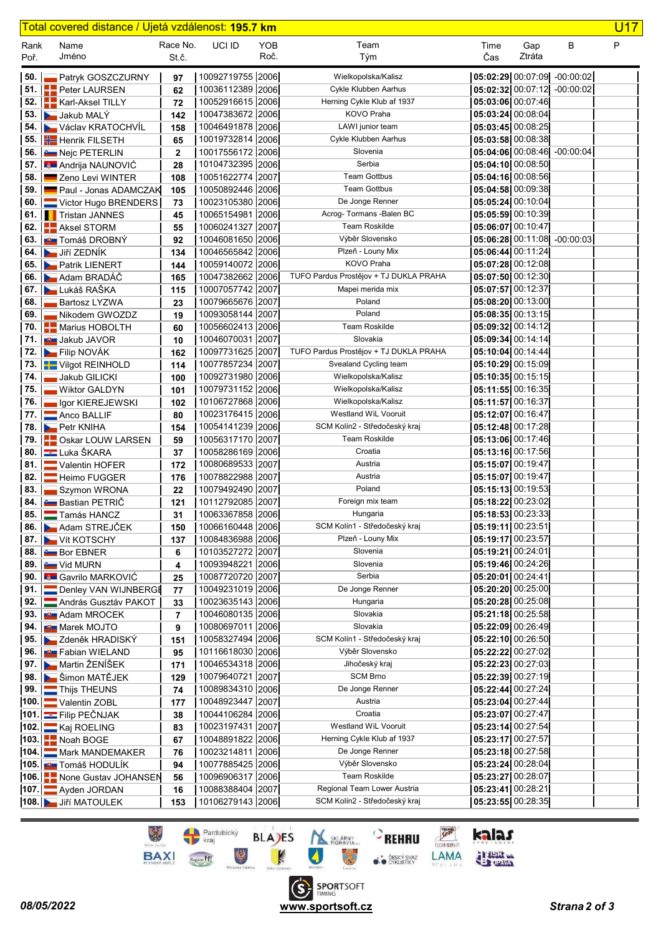|              | <u>Total covered distance / Ujetá vzdálenost: <b>195.7 km</b></u> |                   |                                      |             |                                             |                                          |                   |                               | <b>U17</b> |
|--------------|-------------------------------------------------------------------|-------------------|--------------------------------------|-------------|---------------------------------------------|------------------------------------------|-------------------|-------------------------------|------------|
| Rank<br>Poř. | Name<br>Jméno                                                     | Race No.<br>St.č. | UCI ID                               | YOB<br>Roč. | Team<br>Tým                                 | Time<br>Čas                              | Gap<br>Ztráta     | В                             | P          |
| 50.          | Patryk GOSZCZURNY                                                 | 97                | 10092719755 2006                     |             | Wielkopolska/Kalisz                         |                                          |                   | $05:02:29$ 00:07:09 -00:00:02 |            |
| 51.          | Peter LAURSEN                                                     | 62                | 10036112389 2006                     |             | Cykle Klubben Aarhus                        | 05:02:32 00:07:12                        |                   | $-00:00:02$                   |            |
| 52.          | Karl-Aksel TILLY                                                  | 72                | 10052916615 2006                     |             | Herning Cykle Klub af 1937                  | 05:03:06 00:07:46                        |                   |                               |            |
| 53.          | Jakub MALY                                                        | 142               | 10047383672 2006                     |             | KOVO Praha                                  | 05:03:24 00:08:04                        |                   |                               |            |
|              | 54. Václav KRATOCHVÍL                                             | 158               | 10046491878 2006                     |             | LAWI junior team                            | 05:03:45 00:08:25                        |                   |                               |            |
|              | 55. Henrik FILSETH                                                | 65                | 10019732814 2006                     |             | Cykle Klubben Aarhus                        | $05:03:58$ 00:08:38                      |                   |                               |            |
|              | 56. <b>E</b> Nejc PETERLIN                                        | $\mathbf 2$       | 10017556172 2006                     |             | Slovenia                                    |                                          |                   | 05:04:06 00:08:46 -00:00:04   |            |
|              | 57. <b>Andrija NAUNOVIĆ</b>                                       | 28                | 10104732395 2006                     |             | Serbia                                      | 05:04:10 00:08:50                        |                   |                               |            |
| 58.          | Zeno Levi WINTER                                                  | 108               | 10051622774 2007                     |             | <b>Team Gottbus</b>                         | 05:04:16 00:08:56                        |                   |                               |            |
| 59.1         | Paul - Jonas ADAMCZAK                                             | 105               | 10050892446 2006                     |             | <b>Team Gottbus</b>                         | $05:04:58$ 00:09:38                      |                   |                               |            |
|              | 60.   Victor Hugo BRENDERS                                        | 73                | 10023105380 2006                     |             | De Jonge Renner                             | $05:05:24$ 00:10:04                      |                   |                               |            |
|              | <b>61.</b> Tristan JANNES                                         | 45                | 10065154981 2006                     |             | Acrog-Tormans - Balen BC                    | 05:05:59 00:10:39                        |                   |                               |            |
|              | 62. <b>Aksel STORM</b>                                            | 55                | 10060241327 2007                     |             | <b>Team Roskilde</b>                        | 05:06:07 00:10:47                        |                   |                               |            |
|              | 63. <b>EX</b> Tomáš DROBNÝ                                        | 92                | 10046081650 2006                     |             | Výběr Slovensko                             |                                          | 05:06:28 00:11:08 | $-00:00:03$                   |            |
|              | 64. Jiří ZEDNÍK                                                   | 134               | 10046565842 2006                     |             | Plzeň - Louny Mix                           | 05:06:44 00:11:24                        |                   |                               |            |
|              | 65. Patrik LIENERT                                                | 144               | 10059140072 2006                     |             | <b>KOVO Praha</b>                           | $05:07:28$ 00:12:08                      |                   |                               |            |
|              | 66. <b>A</b> dam BRADÁČ                                           | 165               | 10047382662 2006                     |             | TUFO Pardus Prostějov + TJ DUKLA PRAHA      | $05:07:50$ 00:12:30                      |                   |                               |            |
|              | 67. Lukáš RAŠKA                                                   | 115               | 10007057742 2007                     |             | Mapei merida mix                            | $05:07:57$ 00:12:37                      |                   |                               |            |
| 68.          | <b>Bartosz LYZWA</b>                                              | 23                | 10079665676 2007                     |             | Poland                                      | 05:08:20[00:13:00]                       |                   |                               |            |
| 69.          | Nikodem GWOZDZ                                                    | 19                | 10093058144 2007                     |             | Poland                                      | $05:08:35$ 00:13:15                      |                   |                               |            |
| 70. l        | <b>Marius HOBOLTH</b>                                             | 60                | 10056602413 2006                     |             | <b>Team Roskilde</b>                        | 05:09:32 00:14:12                        |                   |                               |            |
| 71.          | <b>D</b> Jakub JAVOR                                              | 10                | 10046070031 2007                     |             | Slovakia                                    | $05:09:34$ 00:14:14                      |                   |                               |            |
|              | 72. <b>Example 1</b> Filip NOVÁK                                  | 162               | 10097731625 2007                     |             | TUFO Pardus Prostějov + TJ DUKLA PRAHA      | $05:10:04$ 00:14:44                      |                   |                               |            |
|              | 73.   Vilgot REINHOLD                                             | 114               | 10077857234 2007                     |             | Svealand Cycling team                       | $05:10:29$ 00:15:09                      |                   |                               |            |
| 74.          | Jakub GILICKI                                                     | 100               | 10092731980 2006                     |             | Wielkopolska/Kalisz                         | 05:10:35 00:15:15                        |                   |                               |            |
| 75.          | <b>Wiktor GALDYN</b>                                              | 101               | 10079731152 2006                     |             | Wielkopolska/Kalisz                         | 05:11:55 00:16:35                        |                   |                               |            |
| 76.          | Igor KIEREJEWSKI                                                  | 102               | 10106727868 2006<br>10023176415 2006 |             | Wielkopolska/Kalisz<br>Westland WiL Vooruit | 05:11:57 00:16:37                        |                   |                               |            |
| 77. I        | Anco BALLIF<br>78. Petr KNIHA                                     | 80                | 10054141239 2006                     |             | SCM Kolín2 - Středočeský kraj               | $05:12:07$ 00:16:47<br>05:12:48 00:17:28 |                   |                               |            |
|              | 79. <b>     </b> Oskar LOUW LARSEN                                | 154<br>59         | 10056317170 2007                     |             | Team Roskilde                               | 05:13:06 00:17:46                        |                   |                               |            |
|              | 80. Luka ŠKARA                                                    | 37                | 10058286169 2006                     |             | Croatia                                     | 05:13:16 00:17:56                        |                   |                               |            |
|              | 81. Valentin HOFER                                                | 172               | 10080689533 2007                     |             | Austria                                     | $05:15:07$ 00:19:47                      |                   |                               |            |
| 82.          | Heimo FUGGER                                                      | 176               | 10078822988 2007                     |             | Austria                                     | 05:15:07 00:19:47                        |                   |                               |            |
| 83.          | Szymon WRONA                                                      | 22                | 10079492490 2007                     |             | Poland                                      | 05:15:13 00:19:53                        |                   |                               |            |
|              | 84. <b>Em Bastian PETRIC</b>                                      | 121               | 10112792085 2007                     |             | Foreign mix team                            | 05:18:22 00:23:02                        |                   |                               |            |
|              | 85. Tamás HANCZ                                                   | 31                | 10063367858 2006                     |             | Hungaria                                    | 05:18:53 00:23:33                        |                   |                               |            |
|              | 86. Adam STREJČEK                                                 | 150               | 10066160448 2006                     |             | SCM Kolín1 - Středočeský kraj               | 05:19:11 00:23:51                        |                   |                               |            |
|              | 87. Vít KOTSCHY                                                   | 137               | 10084836988 2006                     |             | Plzeň - Louny Mix                           | 05:19:17 00:23:57                        |                   |                               |            |
|              | 88. <b>Bor EBNER</b>                                              | 6                 | 10103527272 2007                     |             | Slovenia                                    | 05:19:21 00:24:01                        |                   |                               |            |
|              | <b>89. E</b> Vid MURN                                             | 4                 | 10093948221 2006                     |             | Slovenia                                    | 05:19:46 00:24:26                        |                   |                               |            |
|              | 90. <b>But Gavrilo MARKOVIĆ</b>                                   | 25                | 10087720720 2007                     |             | Serbia                                      | $05:20:01$ 00:24:41                      |                   |                               |            |
|              | 91. Denley VAN WIJNBERGE                                          | 77                | 10049231019 2006                     |             | De Jonge Renner                             | 05:20:20 00:25:00                        |                   |                               |            |
|              | 92.   András Gusztáv PAKOT                                        | 33                | 10023635143 2006                     |             | Hungaria                                    | 05:20:28 00:25:08                        |                   |                               |            |
|              | 93. <b>BET</b> Adam MROCEK                                        | 7                 | 10046080135 2006                     |             | Slovakia                                    | 05:21:18 00:25:58                        |                   |                               |            |
|              | 94. Marek MOJTO                                                   | 9                 | 10080697011 2006                     |             | Slovakia                                    | 05:22:09 00:26:49                        |                   |                               |            |
|              | 95. EZdeněk HRADISKÝ                                              | 151               | 10058327494 2006                     |             | SCM Kolín1 - Středočeský kraj               | 05:22:10 00:26:50                        |                   |                               |            |
|              | 96. <b>By Fabian WIELAND</b>                                      | 95                | 10116618030 2006                     |             | Výběr Slovensko                             | 05:22:22 00:27:02                        |                   |                               |            |
|              | 97. Martin ŽENÍŠEK                                                | 171               | 10046534318 2006                     |             | Jihočeský kraj                              | 05:22:23[00:27:03]                       |                   |                               |            |
|              | 98. Simon MATĚJEK                                                 | 129               | 10079640721 2007                     |             | <b>SCM Brno</b>                             | $05:22:39$ 00:27:19                      |                   |                               |            |
|              | <b>99.</b> Thijs THEUNS                                           | 74                | 10089834310 2006                     |             | De Jonge Renner                             | 05:22:44 00:27:24                        |                   |                               |            |
|              | 100. Valentin ZOBL                                                | 177               | 10048923447 2007                     |             | Austria                                     | 05:23:04 00:27:44                        |                   |                               |            |
|              | 101. Eilip PEČNJAK                                                | 38                | 10044106284 2006                     |             | Croatia                                     | 05:23:07 00:27:47                        |                   |                               |            |
|              | 102. Kaj ROELING                                                  | 83                | 10023197431 2007                     |             | Westland WiL Vooruit                        | 05:23:14 00:27:54                        |                   |                               |            |
|              | 103. Noah BOGE                                                    | 67                | 10048891822 2006                     |             | Herning Cykle Klub af 1937                  | 05:23:17 00:27:57                        |                   |                               |            |
|              | 104. Mark MANDEMAKER                                              | 76                | 10023214811 2006                     |             | De Jonge Renner                             | 05:23:18 00:27:58                        |                   |                               |            |
|              | 105. <b>BET</b> Tomáš HODULÍK                                     | 94                | 10077885425 2006                     |             | Výběr Slovensko<br>Team Roskilde            | $05:23:24$ 00:28:04                      |                   |                               |            |
|              | 106. <b>THE None Gustav JOHANSEN</b>                              | 56                | 10096906317 2006<br>10088388404 2007 |             | Regional Team Lower Austria                 | 05:23:27 00:28:07                        |                   |                               |            |
|              | 107. Ayden JORDAN                                                 | 16                |                                      |             | SCM Kolín2 - Středočeský kraj               | 05:23:41 00:28:21                        |                   |                               |            |
|              | 108. Jiří MATOULEK                                                | 153               | 10106279143 2006                     |             |                                             | 05:23:55 00:28:35                        |                   |                               |            |

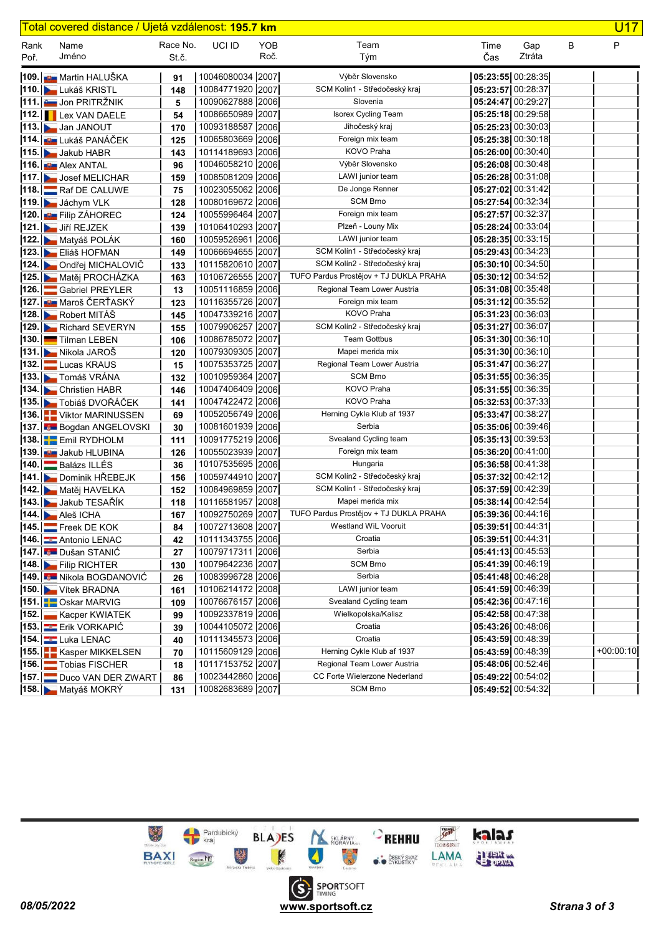|      | Total covered distance / Ujetá vzdálenost: <b>195.7 km</b> |            |                                      |      |                                                                |                     |                           |   | <b>U17</b>  |
|------|------------------------------------------------------------|------------|--------------------------------------|------|----------------------------------------------------------------|---------------------|---------------------------|---|-------------|
| Rank | Name                                                       | Race No.   | UCI ID                               | YOB  | Team                                                           | Time                | Gap                       | B | P           |
| Poř. | Jméno                                                      | St.č.      |                                      | Roč. | Tým                                                            | Čas                 | Ztráta                    |   |             |
|      | 109. BE Martin HALUŠKA                                     | 91         | 10046080034 2007                     |      | Výběr Slovensko                                                | 05:23:55 00:28:35   |                           |   |             |
|      | 110. Lukáš KRISTL                                          | 148        | 10084771920 2007                     |      | SCM Kolín1 - Středočeský kraj                                  | 05:23:57 00:28:37   |                           |   |             |
|      | 111. <b>LE Jon PRITRŽNIK</b>                               | 5          | 10090627888 2006                     |      | Slovenia                                                       | 05:24:47 00:29:27   |                           |   |             |
|      | 112. Lex VAN DAELE                                         | 54         | 10086650989 2007                     |      | <b>Isorex Cycling Team</b>                                     |                     | 05:25:18 00:29:58         |   |             |
|      | 113. Jan JANOUT                                            | 170        | 10093188587 2006                     |      | Jihočeský kraj                                                 |                     | $05:25:23$ 00:30:03       |   |             |
|      | 114. <b>EXEC</b> LUKÁŠ PANÁČEK                             | 125        | 10065803669 2006                     |      | Foreign mix team                                               |                     | 05:25:38 00:30:18         |   |             |
|      | 115. Jakub HABR                                            | 143        | 10114189693 2006                     |      | KOVO Praha                                                     | 05:26:00 00:30:40   |                           |   |             |
|      | 116. <b>But Alex ANTAL</b>                                 | 96         | 10046058210 2006                     |      | Výběr Slovensko                                                |                     | 05:26:08 00:30:48         |   |             |
|      | 117. Josef MELICHAR                                        | 159        | 10085081209 2006                     |      | LAWI junior team                                               | 05:26:28 00:31:08   |                           |   |             |
|      | 118. Raf DE CALUWE                                         | 75         | 10023055062 2006                     |      | De Jonge Renner                                                | 05:27:02 00:31:42   |                           |   |             |
|      | 119. Jáchym VLK                                            | 128        | 10080169672 2006                     |      | <b>SCM Brno</b>                                                | 05:27:54 00:32:34   |                           |   |             |
|      | 120. Filip ZÁHOREC                                         | 124        | 10055996464 2007                     |      | Foreign mix team                                               | $05:27:57$ 00:32:37 |                           |   |             |
|      | 121. Jiří REJZEK                                           | 139        | 10106410293 2007                     |      | Plzeň - Louny Mix                                              | 05:28:24 00:33:04   |                           |   |             |
|      | 122. Matyáš POLÁK                                          | 160        | 10059526961 2006                     |      | LAWI junior team                                               |                     | 05:28:35 00:33:15         |   |             |
|      | 123. Eliáš HOFMAN                                          | 149        | 10066694655 2007                     |      | SCM Kolín1 - Středočeský kraj                                  | 05:29:43 00:34:23   |                           |   |             |
|      | 124. Ondřej MICHALOVIČ                                     | 133        | 10115820610 2007                     |      | SCM Kolín2 - Středočeský kraj                                  |                     | $05:30:10$ 00:34:50       |   |             |
|      | 125. Matěj PROCHÁZKA                                       | 163        | 10106726555 2007                     |      | TUFO Pardus Prostějov + TJ DUKLA PRAHA                         | 05:30:1200:34:52    |                           |   |             |
|      | 126. Gabriel PREYLER                                       | 13         | 10051116859 2006                     |      | Regional Team Lower Austria                                    |                     | $05:31:08$ 00:35:48       |   |             |
|      | 127. <b>BE Maroš ČERŤASKÝ</b>                              | 123        | 10116355726 2007                     |      | Foreign mix team                                               |                     | 05:31:12 00:35:52         |   |             |
|      | 128. Robert MITÁŠ                                          | 145        | 10047339216 2007                     |      | KOVO Praha                                                     |                     | 05:31:23 00:36:03         |   |             |
|      | 129. Richard SEVERYN                                       | 155        | 10079906257 2007                     |      | SCM Kolín2 - Středočeský kraj                                  | 05:31:27 00:36:07   |                           |   |             |
|      | 130. Tilman LEBEN                                          | 106        | 10086785072 2007                     |      | <b>Team Gottbus</b>                                            | 05:31:30 00:36:10   |                           |   |             |
|      | 131. Nikola JAROŠ                                          | 120        | 10079309305 2007                     |      | Mapei merida mix                                               | $05:31:30$ 00:36:10 |                           |   |             |
| 132. | Lucas KRAUS                                                | 15         | 10075353725 2007                     |      | Regional Team Lower Austria                                    | 05:31:47 00:36:27   |                           |   |             |
|      | 133. Tomáš VRÁNA                                           | 132        | 10010959364 2007                     |      | <b>SCM Brno</b>                                                | 05:31:55 00:36:35   |                           |   |             |
|      | 134. Christien HABR                                        | 146        | 10047406409 2006                     |      | KOVO Praha                                                     |                     | $05:31:55$ 00:36:35       |   |             |
|      | 135. Tobiáš DVOŘÁČEK                                       | 141        | 10047422472 2006                     |      | KOVO Praha                                                     |                     | 05:32:53 00:37:33         |   |             |
|      | 136. Viktor MARINUSSEN                                     | 69         | 10052056749 2006                     |      | Herning Cykle Klub af 1937                                     | 05:33:47 00:38:27   |                           |   |             |
|      | 137. Bogdan ANGELOVSKI                                     | 30         | 10081601939 2006                     |      | Serbia                                                         |                     | 05:35:06 00:39:46         |   |             |
|      | 138. Emil RYDHOLM                                          | 111        | 10091775219 2006                     |      | Svealand Cycling team                                          |                     | 05:35:13 00:39:53         |   |             |
|      | 139. Jakub HLUBINA                                         | 126        | 10055023939 2007                     |      | Foreign mix team                                               | 05:36:20 00:41:00   |                           |   |             |
| 140. | Balázs ILLÉS                                               | 36         | 10107535695 2006                     |      | Hungaria                                                       |                     | 05:36:58 00:41:38         |   |             |
|      | 141. Dominik HŘEBEJK                                       | 156        | 10059744910 2007                     |      | SCM Kolín2 - Středočeský kraj                                  | 05:37:32 00:42:12   |                           |   |             |
|      | 142. Matěj HAVELKA                                         | 152        | 10084969859 2007                     |      | SCM Kolín1 - Středočeský kraj                                  | 05:37:59 00:42:39   |                           |   |             |
|      | 143. Jakub TESAŘÍK                                         | 118        | 10116581957 2008                     |      | Mapei merida mix                                               | 05:38:14 00:42:54   |                           |   |             |
|      | 144. Aleš ICHA                                             | 167        | 10092750269 2007                     |      | TUFO Pardus Prostějov + TJ DUKLA PRAHA<br>Westland WiL Vooruit | $05:39:36$ 00:44:16 |                           |   |             |
|      | 145. Freek DE KOK                                          | 84         | 10072713608 2007<br>10111343755 2006 |      | Croatia                                                        | $05:39:51$ 00:44:31 |                           |   |             |
|      | 146. Antonio LENAC                                         | 42         | 10079717311 2006                     |      | Serbia                                                         | $05:39:51$ 00:44:31 | 05:41:13 00:45:53         |   |             |
|      | 147. Dušan STANIĆ                                          | 27         | 10079642236 2007                     |      | <b>SCM Brno</b>                                                |                     | $05:41:39$ 00:46:19       |   |             |
|      | 148. Filip RICHTER<br>149. Nikola BOGDANOVIĆ               | 130        | 10083996728 2006                     |      | Serbia                                                         |                     | $\vert$ 05:41:48 00:46:28 |   |             |
|      | 150. Vítek BRADNA                                          | 26         | 10106214172 2008                     |      | LAWI junior team                                               |                     | 05:41:59 00:46:39         |   |             |
|      | 151. Oskar MARVIG                                          | 161<br>109 | 10076676157 2006                     |      | Svealand Cycling team                                          |                     | 05:42:36 00:47:16         |   |             |
|      | 152. Kacper KWIATEK                                        | 99         | 10092337819 2006                     |      | Wielkopolska/Kalisz                                            |                     | 05:42:58 00:47:38         |   |             |
|      | <b>153. Erik VORKAPIC</b>                                  | 39         | 10044105072 2006                     |      | Croatia                                                        |                     | $\vert$ 05:43:26 00:48:06 |   |             |
|      | 154 Luka LENAC                                             | 40         | 10111345573 2006                     |      | Croatia                                                        |                     | 05:43:59 00:48:39         |   |             |
|      | 155. EKasper MIKKELSEN                                     | 70         | 10115609129 2006                     |      | Herning Cykle Klub af 1937                                     |                     | 05:43:59 00:48:39         |   | $+00:00:10$ |
|      | 156. Tobias FISCHER                                        | 18         | 10117153752 2007                     |      | Regional Team Lower Austria                                    |                     | 05:48:06 00:52:46         |   |             |
|      | 157. Duco VAN DER ZWART                                    | 86         | 10023442860 2006                     |      | CC Forte Wielerzone Nederland                                  |                     | $05:49:22$ 00:54:02       |   |             |
|      | 158. Matyáš MOKRÝ                                          | 131        | 10082683689 2007                     |      | SCM Brno                                                       |                     | 05:49:52 00:54:32         |   |             |

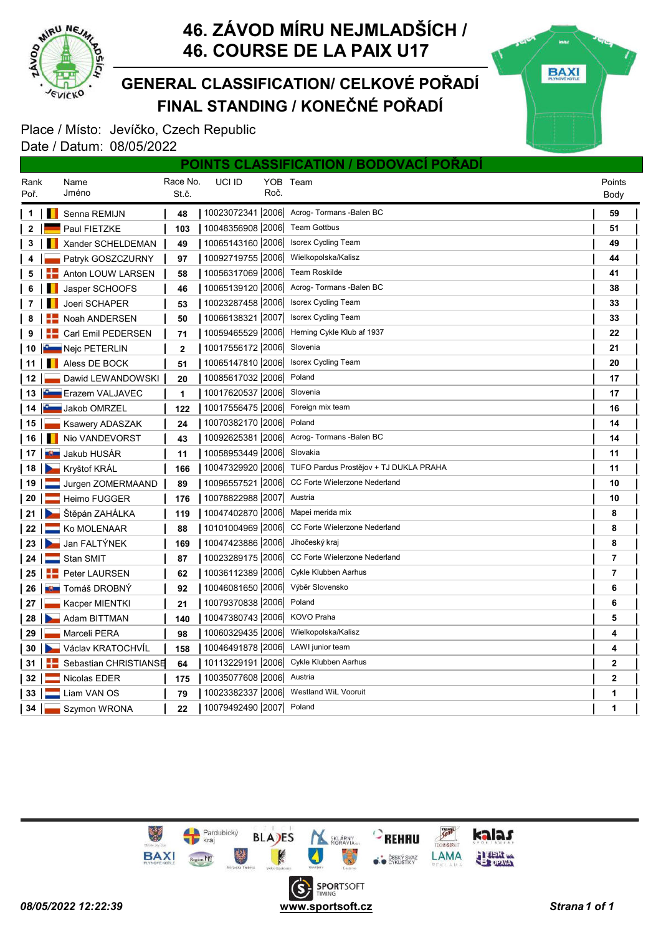

### FINAL STANDING / KONEČNÉ POŘADÍ GENERAL CLASSIFICATION/ CELKOVÉ POŘADÍ



|                 |                        |              |                  |      | POINTS CLASSIFICATION / BODOVACI PORADI |                |  |
|-----------------|------------------------|--------------|------------------|------|-----------------------------------------|----------------|--|
| Rank            | Name                   | Race No.     | UCI ID           |      | YOB Team                                | Points         |  |
| Poř.            | Jméno                  | St.č.        |                  | Roč. |                                         | Body           |  |
| 1               | Senna REMIJN<br>ш      | 48           | 10023072341 2006 |      | Acrog-Tormans -Balen BC                 | 59             |  |
| $\mathbf{2}$    | Paul FIETZKE           | 103          | 10048356908 2006 |      | <b>Team Gottbus</b>                     | 51             |  |
| 3               | Xander SCHELDEMAN      | 49           | 10065143160 2006 |      | <b>Isorex Cycling Team</b>              | 49             |  |
| 4               | Patryk GOSZCZURNY      | 97           | 10092719755 2006 |      | Wielkopolska/Kalisz                     | 44             |  |
| 5               | Anton LOUW LARSEN      | 58           | 10056317069 2006 |      | <b>Team Roskilde</b>                    | 41             |  |
| 6               | Jasper SCHOOFS         | 46           | 10065139120 2006 |      | Acrog-Tormans -Balen BC                 | 38             |  |
| 7               | <b>Joeri SCHAPER</b>   | 53           | 10023287458 2006 |      | Isorex Cycling Team                     | 33             |  |
| 8               | Noah ANDERSEN          | 50           | 10066138321 2007 |      | <b>Isorex Cycling Team</b>              | 33             |  |
| 9               | Carl Emil PEDERSEN     | 71           | 10059465529 2006 |      | Herning Cykle Klub af 1937              | 22             |  |
| 10              | Nejc PETERLIN          | $\mathbf{2}$ | 10017556172 2006 |      | Slovenia                                | 21             |  |
| 11              | Aless DE BOCK          | 51           | 10065147810 2006 |      | <b>Isorex Cycling Team</b>              | 20             |  |
| 12 <sub>1</sub> | Dawid LEWANDOWSKI      | 20           | 10085617032 2006 |      | Poland                                  | 17             |  |
|                 | 13   Erazem VALJAVEC   | 1            | 10017620537 2006 |      | Slovenia                                | 17             |  |
|                 | 14 <b>Jakob OMRZEL</b> | 122          | 10017556475 2006 |      | Foreign mix team                        | 16             |  |
| 15              | <b>Ksawery ADASZAK</b> | 24           | 10070382170 2006 |      | Poland                                  | 14             |  |
| 16              | Nio VANDEVORST         | 43           | 10092625381 2006 |      | Acrog-Tormans -Balen BC                 | 14             |  |
| 17 I            | <b>∎≌≣</b> Jakub HUSÁR | 11           | 10058953449 2006 |      | Slovakia                                | 11             |  |
|                 | 18   Kryštof KRÁL      | 166          | 10047329920 2006 |      | TUFO Pardus Prostějov + TJ DUKLA PRAHA  | 11             |  |
| 19              | Jurgen ZOMERMAAND      | 89           | 10096557521 2006 |      | CC Forte Wielerzone Nederland           | 10             |  |
| 20 <sub>1</sub> | <b>Heimo FUGGER</b>    | 176          | 10078822988 2007 |      | Austria                                 | 10             |  |
| $21 \mid$       | Stěpán ZAHÁLKA         | 119          | 10047402870 2006 |      | Mapei merida mix                        | 8              |  |
| 22 <sub>1</sub> | Ko MOLENAAR            | 88           | 10101004969 2006 |      | CC Forte Wielerzone Nederland           | 8              |  |
| 23              | Jan FALTÝNEK           | 169          | 10047423886 2006 |      | Jihočeský kraj                          | 8              |  |
| 24              | $\equiv$ Stan SMIT     | 87           | 10023289175 2006 |      | CC Forte Wielerzone Nederland           | 7              |  |
| 25              | Peter LAURSEN          | 62           | 10036112389 2006 |      | Cykle Klubben Aarhus                    | 7              |  |
| 26              | <b>LU Tomáš DROBNÝ</b> | 92           | 10046081650 2006 |      | Výběr Slovensko                         | 6              |  |
| 27              | Kacper MIENTKI         | 21           | 10079370838 2006 |      | Poland                                  | 6              |  |
| 28              | Adam BITTMAN           | 140          | 10047380743 2006 |      | <b>KOVO Praha</b>                       | 5              |  |
| 29              | Marceli PERA           | 98           | 10060329435 2006 |      | Wielkopolska/Kalisz                     | 4              |  |
| 30              | Václav KRATOCHVÍL      | 158          | 10046491878 2006 |      | LAWI junior team                        | 4              |  |
| 31              | Sebastian CHRISTIANSE  | 64           | 10113229191 2006 |      | Cykle Klubben Aarhus                    | $\mathbf 2$    |  |
| 32 <sub>2</sub> | Nicolas EDER           | 175          | 10035077608 2006 |      | Austria                                 | $\overline{2}$ |  |
| 33 <sub>o</sub> | Liam VAN OS            | 79           | 10023382337 2006 |      | Westland WiL Vooruit                    | 1              |  |
| 34              | Szymon WRONA           | 22           | 10079492490 2007 |      | Poland                                  | 1              |  |

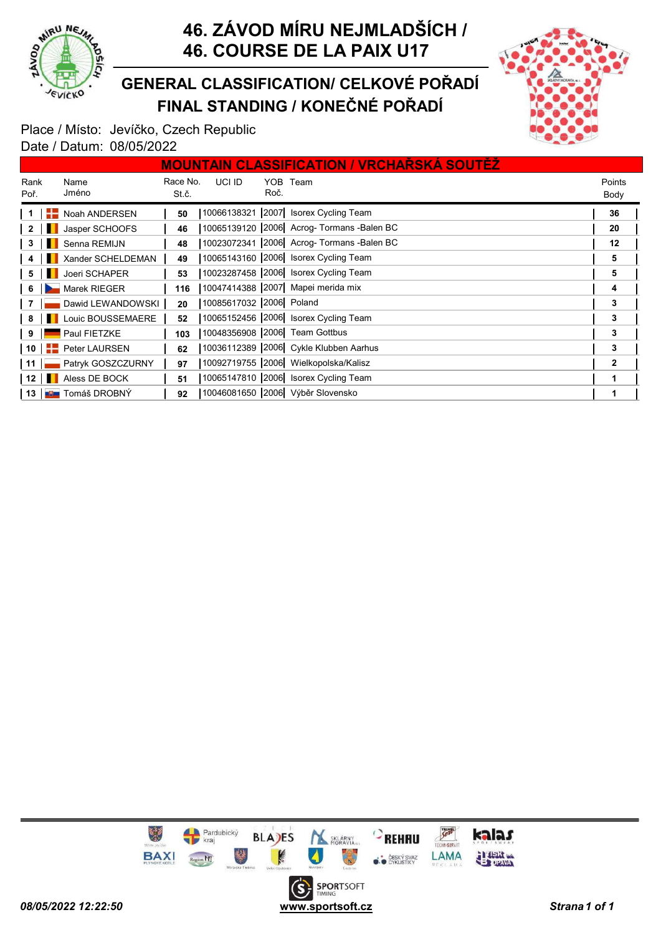

FINAL STANDING / KONEČNÉ POŘADÍ GENERAL CLASSIFICATION/ CELKOVÉ POŘADÍ



|                         |                                                                                                                       |                            |                   |                         |      | <b>MOUNTAIN CLASSIFICATION / VRCHARSKA SOUTEZ</b> |                |
|-------------------------|-----------------------------------------------------------------------------------------------------------------------|----------------------------|-------------------|-------------------------|------|---------------------------------------------------|----------------|
| Rank<br>Poř.            |                                                                                                                       | Name<br>Jméno              | Race No.<br>St.č. | UCI ID                  | Roč. | YOB Team                                          | Points<br>Body |
|                         |                                                                                                                       | Noah ANDERSEN              | 50                |                         |      | 10066138321 2007 Isorex Cycling Team              | 36             |
| $\overline{\mathbf{2}}$ |                                                                                                                       | Jasper SCHOOFS             | 46                |                         |      | 10065139120   2006   Acrog- Tormans - Balen BC    | 20             |
| - 3                     | <b>THE REAL</b>                                                                                                       | Senna REMIJN               | 48                |                         |      | 10023072341 2006 Acrog- Tormans - Balen BC        | 12             |
|                         |                                                                                                                       | Xander SCHELDEMAN          | 49                |                         |      | 10065143160 2006 Isorex Cycling Team              | 5              |
| -5                      |                                                                                                                       | Joeri SCHAPER              | 53                |                         |      | 10023287458 2006 Isorex Cycling Team              | 5              |
| $6 \mid \blacksquare$   |                                                                                                                       | Marek RIEGER               | 116               |                         |      | 10047414388 2007 Mapei merida mix                 | 4              |
|                         |                                                                                                                       | Dawid LEWANDOWSKI          | 20                | 10085617032 2006 Poland |      |                                                   | 3              |
| 8                       | <b>The Contract of the Contract of the Contract of the Contract of the Contract of the Contract of the Contract o</b> | Louic BOUSSEMAERE          | 52                |                         |      | 10065152456 2006 Isorex Cycling Team              | 3              |
| 9                       |                                                                                                                       | Paul FIETZKE               | 103               |                         |      | 10048356908 2006 Team Gottbus                     | 3              |
| 10 $\blacksquare$       |                                                                                                                       | Peter LAURSEN              | 62                |                         |      | 10036112389 2006 Cykle Klubben Aarhus             | 3              |
| -11 II                  |                                                                                                                       | Patryk GOSZCZURNY          | 97                |                         |      | 10092719755 2006 Wielkopolska/Kalisz              | 2              |
|                         |                                                                                                                       | 12       Aless DE BOCK     | 51                |                         |      | 10065147810 2006 Isorex Cycling Team              |                |
|                         |                                                                                                                       | 13 <b>BET</b> Tomáš DROBNÝ | 92                |                         |      | 10046081650 2006 Výběr Slovensko                  |                |

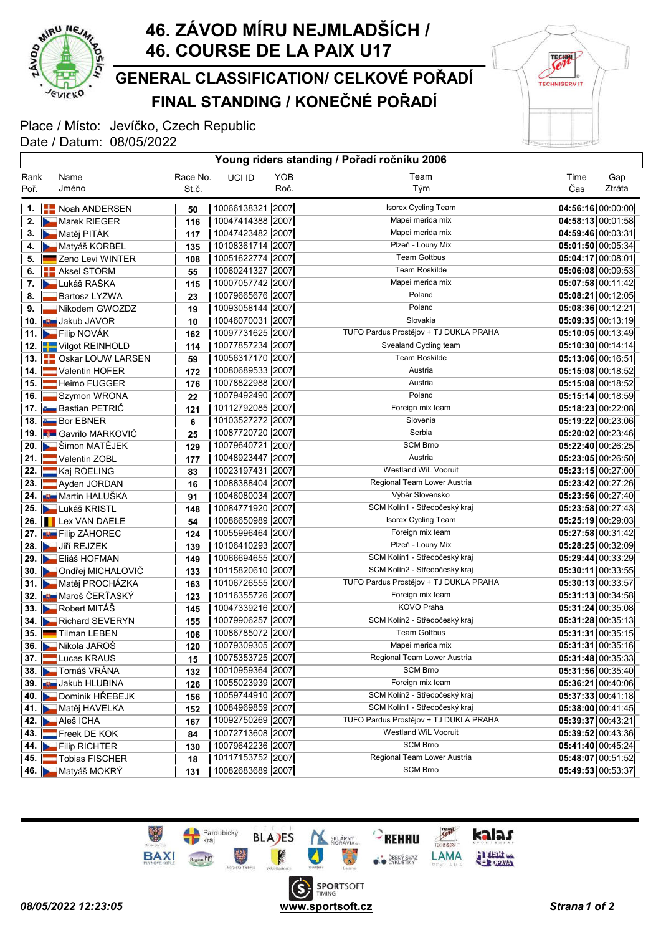

### FINAL STANDING / KONEČNÉ POŘADÍ GENERAL CLASSIFICATION/ CELKOVÉ POŘADÍ

**TECHNI TECHNISERV IT** 

### Place / Místo: Jevíčko, Czech Republic Date / Datum: 08/05/2022 Young riders standing / Pořadí ročníku 2006

|        |                                    |          |                    |      | <b>1001g Hacio Standing</b> / Toldar Tooming |                     |        |
|--------|------------------------------------|----------|--------------------|------|----------------------------------------------|---------------------|--------|
| Rank   | Name                               | Race No. | UCI ID             | YOB  | Team                                         | Time                | Gap    |
| Poř.   | Jméno                              | St.č.    |                    | Roč. | Tým                                          | Čas                 | Ztráta |
|        | 1.   Noah ANDERSEN                 | 50       | 10066138321 2007   |      | Isorex Cycling Team                          | 04:56:16 00:00:00   |        |
| 2.     | Marek RIEGER                       | 116      | 10047414388 2007   |      | Mapei merida mix                             | 04:58:13 00:01:58   |        |
|        | 3. Matěj PITÁK                     | 117      | 10047423482 2007   |      | Mapei merida mix                             | $04:59:46$ 00:03:31 |        |
|        | 4. Matyáš KORBEL                   | 135      | 10108361714 2007   |      | Plzeň - Louny Mix                            | $05:01:50$ 00:05:34 |        |
| 5.     | Zeno Levi WINTER                   | 108      | 10051622774 2007   |      | <b>Team Gottbus</b>                          | $05:04:17$ 00:08:01 |        |
|        | 6. <b>E.</b> Aksel STORM           | 55       | 10060241327 2007   |      | <b>Team Roskilde</b>                         | $05:06:08$ 00:09:53 |        |
| 7.     | <b>Lukáš RAŠKA</b>                 | 115      | 10007057742 2007   |      | Mapei merida mix                             | 05:07:58 00:11:42   |        |
| 8.     | <b>Bartosz LYZWA</b>               | 23       | 10079665676 2007   |      | Poland                                       | 05:08:21 00:12:05   |        |
| 9.     | Nikodem GWOZDZ                     | 19       | 10093058144 2007   |      | Poland                                       | $05:08:36$ 00:12:21 |        |
|        | 10. <b>JUNE JAN JAVOR</b>          | 10       | 10046070031 2007   |      | Slovakia                                     | $05:09:35$ 00:13:19 |        |
|        | 11. <b>Example 11.</b> Filip NOVÁK | 162      | 10097731625 2007   |      | TUFO Pardus Prostějov + TJ DUKLA PRAHA       | $05:10:05$ 00:13:49 |        |
|        | 12. Vilgot REINHOLD                | 114      | 10077857234 2007   |      | Svealand Cycling team                        | $05:10:30$ 00:14:14 |        |
|        | 13. <b>ED</b> Oskar LOUW LARSEN    | 59       | 10056317170 2007   |      | <b>Team Roskilde</b>                         | 05:13:06 00:16:51   |        |
| 14. l  | Valentin HOFER                     | 172      | 10080689533 2007   |      | Austria                                      | 05:15:08 00:18:52   |        |
| 15. II | Heimo FUGGER                       | 176      | 10078822988 2007   |      | Austria                                      | 05:15:08 00:18:52   |        |
| 16. l  | Szymon WRONA                       | 22       | 10079492490 2007   |      | Poland                                       | 05:15:14 00:18:59   |        |
|        | 17. <b>Bastian PETRIČ</b>          | 121      | 10112792085 2007   |      | Foreign mix team                             | 05:18:23 00:22:08   |        |
|        | 18. Bor EBNER                      | 6        | 10103527272 2007   |      | Slovenia                                     | 05:19:22 00:23:06   |        |
|        | 19. Gavrilo MARKOVIĆ               | 25       | 10087720720 2007   |      | Serbia                                       | 05:20:02 00:23:46   |        |
|        | 20. Simon MATĚJEK                  | 129      | 10079640721 2007   |      | <b>SCM Brno</b>                              | $05:22:40$ 00:26:25 |        |
|        | 21. Valentin ZOBL                  | 177      | 10048923447 2007   |      | Austria                                      | 05:23:05 00:26:50   |        |
| 22. II | Kaj ROELING                        | 83       | 10023197431 2007   |      | <b>Westland WiL Vooruit</b>                  | $05:23:15$ 00:27:00 |        |
|        | 23. Ayden JORDAN                   | 16       | 10088388404   2007 |      | Regional Team Lower Austria                  | 05:23:42 00:27:26   |        |
|        | 24. <b>JU Martin HALUŠKA</b>       | 91       | 10046080034 2007   |      | Výběr Slovensko                              | $05:23:56$ 00:27:40 |        |
|        | 25. Lukáš KRISTL                   | 148      | 10084771920 2007   |      | SCM Kolín1 - Středočeský kraj                | $05:23:58$ 00:27:43 |        |
|        | 26. <b>I</b> Lex VAN DAELE         | 54       | 10086650989 2007   |      | Isorex Cycling Team                          | 05:25:19 00:29:03   |        |
|        | 27. <b>B.</b> Filip ZÁHOREC        | 124      | 10055996464   2007 |      | Foreign mix team                             | 05:27:58 00:31:42   |        |
|        | 28. Jiří REJZEK                    | 139      | 10106410293 2007   |      | Plzeň - Louny Mix                            | 05:28:25 00:32:09   |        |
|        | 29. Eliáš HOFMAN                   | 149      | 10066694655 2007   |      | SCM Kolín1 - Středočeský kraj                | 05:29:44 00:33:29   |        |
|        | 30. Ondřej MICHALOVIČ              | 133      | 10115820610 2007   |      | SCM Kolín2 - Středočeský kraj                | $05:30:11$ 00:33:55 |        |
|        | 31. Matěj PROCHÁZKA                | 163      | 10106726555 2007   |      | TUFO Pardus Prostějov + TJ DUKLA PRAHA       | 05:30:13 00:33:57   |        |
|        | 32. <b>JE Maroš ČERŤASKÝ</b>       | 123      | 10116355726 2007   |      | Foreign mix team                             | $05:31:13$ 00:34:58 |        |
|        | 33. <b>N</b> Robert MITÁŠ          | 145      | 10047339216 2007   |      | KOVO Praha                                   | 05:31:24 00:35:08   |        |
|        | 34. <b>Number 21 SEVERYN</b>       | 155      | 10079906257 2007   |      | SCM Kolín2 - Středočeský kraj                | 05:31:28 00:35:13   |        |
|        | 35. Tilman LEBEN                   | 106      | 10086785072   2007 |      | <b>Team Gottbus</b>                          | $05:31:31$ 00:35:15 |        |
|        | 36. Nikola JAROŠ                   | 120      | 10079309305 2007   |      | Mapei merida mix                             | 05:31:31 00:35:16   |        |
|        | 37. Lucas KRAUS                    | 15       | 10075353725 2007   |      | Regional Team Lower Austria                  | 05:31:48 00:35:33   |        |
|        | 38. <b>La Tomáš VRÁNA</b>          | 132      | 10010959364 2007   |      | <b>SCM Brno</b>                              | $05:31:56$ 00:35:40 |        |
|        | 39. <b>Jakub HLUBINA</b>           | 126      | 10055023939 2007   |      | Foreign mix team                             | 05:36:21 00:40:06   |        |
|        | 40. Dominik HREBEJK                | 156      | 10059744910 2007   |      | SCM Kolín2 - Středočeský kraj                | 05:37:33 00:41:18   |        |
|        | 41. Matěj HAVELKA                  | 152      | 10084969859 2007   |      | SCM Kolín1 - Středočeský kraj                | 05:38:00 00:41:45   |        |
|        | 42. Aleš ICHA                      | 167      | 10092750269 2007   |      | TUFO Pardus Prostějov + TJ DUKLA PRAHA       | $05:39:37$ 00:43:21 |        |
|        | 43. Freek DE KOK                   | 84       | 10072713608 2007   |      | Westland WiL Vooruit                         | 05:39:52 00:43:36   |        |
|        | 44. Filip RICHTER                  | 130      | 10079642236 2007   |      | <b>SCM Brno</b>                              | $05:41:40$ 00:45:24 |        |
|        | 45. Tobias FISCHER                 | 18       | 10117153752 2007   |      | Regional Team Lower Austria                  | 05:48:07 00:51:52   |        |
|        | 46. Matyáš MOKRÝ                   | 131      | 10082683689 2007   |      | <b>SCM Brno</b>                              | $05:49:53$ 00:53:37 |        |

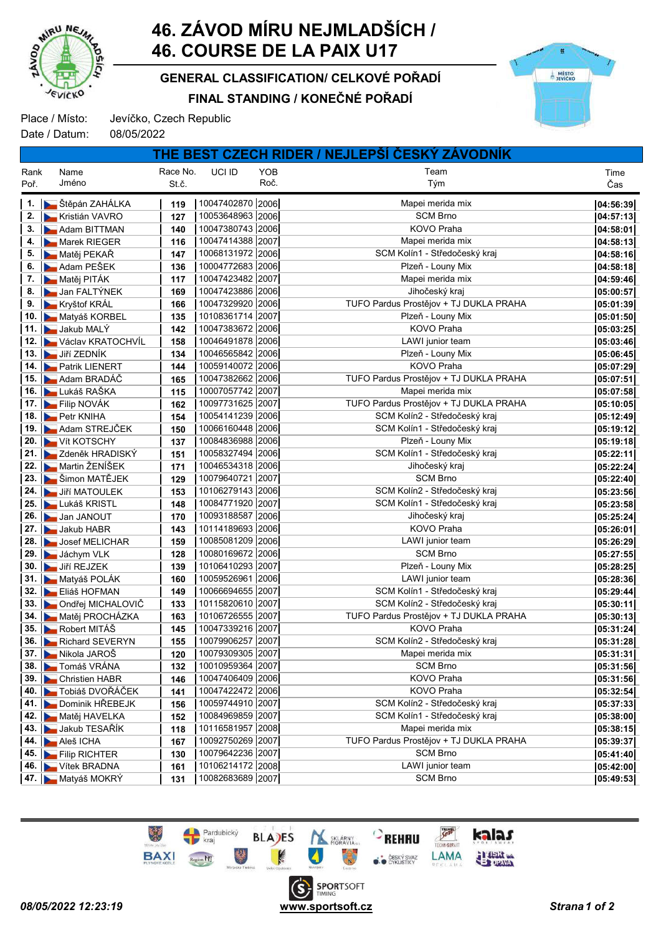

FINAL STANDING / KONEČNÉ POŘADÍ GENERAL CLASSIFICATION/ CELKOVÉ POŘADÍ



Place / Místo: Jevíčko, Czech Republic

Date / Datum: 08/05/2022

|      |                              |          |                  |            | THE BEST CZECH RIDER / NEJLEPSI CESKY ZAVODNIK |          |
|------|------------------------------|----------|------------------|------------|------------------------------------------------|----------|
| Rank | Name                         | Race No. | UCI ID           | <b>YOB</b> | Team                                           | Time     |
| Poř. | Jméno                        | St.č.    |                  | Roč.       | Tým                                            | Čas      |
|      | 1. <b>D</b> Štěpán ZAHÁLKA   | 119      | 10047402870 2006 |            | Mapei merida mix                               | 04:56:39 |
|      | 2. <b>E</b> Kristián VAVRO   | 127      | 10053648963 2006 |            | <b>SCM Brno</b>                                | 04:57:13 |
|      | 3. Adam BITTMAN              | 140      | 10047380743 2006 |            | <b>KOVO Praha</b>                              | 04:58:01 |
|      | 4. Marek RIEGER              | 116      | 10047414388 2007 |            | Mapei merida mix                               | 04:58:13 |
|      | 5. Matěj PEKAŘ               | 147      | 10068131972 2006 |            | SCM Kolín1 - Středočeský kraj                  | 04:58:16 |
|      | 6. <b>Adam PEŠEK</b>         | 136      | 10004772683 2006 |            | Plzeň - Louny Mix                              | 04:58:18 |
|      | 7. <b>Matěj PITÁK</b>        | 117      | 10047423482 2007 |            | Mapei merida mix                               | 04:59:46 |
|      | 8. <b>B</b> Jan FALTÝNEK     | 169      | 10047423886 2006 |            | Jihočeský kraj                                 | 05:00:57 |
|      | 9. Kryštof KRÁL              | 166      | 10047329920 2006 |            | TUFO Pardus Prostějov + TJ DUKLA PRAHA         | 05:01:39 |
|      | 10. Matyáš KORBEL            | 135      | 10108361714 2007 |            | Plzeň - Louny Mix                              | 05:01:50 |
|      | 11. Jakub MALÝ               | 142      | 10047383672 2006 |            | KOVO Praha                                     | 05:03:25 |
|      | 12. Václav KRATOCHVÍL        | 158      | 10046491878 2006 |            | LAWI junior team                               | 05:03:46 |
|      | 13. Jiří ZEDNÍK              | 134      | 10046565842 2006 |            | Plzeň - Louny Mix                              | 05:06:45 |
|      | 14. <b>Patrik LIENERT</b>    | 144      | 10059140072 2006 |            | <b>KOVO Praha</b>                              | 05:07:29 |
|      | 15. Adam BRADÁČ              | 165      | 10047382662 2006 |            | TUFO Pardus Prostějov + TJ DUKLA PRAHA         | 05:07:51 |
|      | 16. Lukáš RAŠKA              | 115      | 10007057742 2007 |            | Mapei merida mix                               | 05:07:58 |
|      | 17. <b>EL Filip NOVÁK</b>    | 162      | 10097731625 2007 |            | TUFO Pardus Prostějov + TJ DUKLA PRAHA         | 05:10:05 |
|      | 18. Petr KNIHA               | 154      | 10054141239 2006 |            | SCM Kolín2 - Středočeský kraj                  | 05:12:49 |
|      | 19. Adam STREJČEK            | 150      | 10066160448 2006 |            | SCM Kolín1 - Středočeský kraj                  | 05:19:12 |
|      | 20. Vít KOTSCHY              | 137      | 10084836988 2006 |            | Plzeň - Louny Mix                              | 05:19:18 |
|      | 21. E Zdeněk HRADISKÝ        | 151      | 10058327494 2006 |            | SCM Kolín1 - Středočeský kraj                  | 05:22:11 |
|      | 22. Martin ŽENÍŠEK           | 171      | 10046534318 2006 |            | Jihočeský kraj                                 | 05:22:24 |
|      | 23. Bu Šimon MATĚJEK         | 129      | 10079640721 2007 |            | <b>SCM Brno</b>                                | 05:22:40 |
|      | 24. Jiří MATOULEK            | 153      | 10106279143 2006 |            | SCM Kolín2 - Středočeský kraj                  | 05:23:56 |
|      | 25. Lukáš KRISTL             | 148      | 10084771920 2007 |            | SCM Kolín1 - Středočeský kraj                  | 05:23:58 |
|      | 26. Jan JANOUT               | 170      | 10093188587 2006 |            | Jihočeský kraj                                 | 05:25:24 |
|      | 27. Jakub HABR               | 143      | 10114189693 2006 |            | KOVO Praha                                     | 05:26:01 |
|      | 28. Josef MELICHAR           | 159      | 10085081209 2006 |            | LAWI junior team                               | 05:26:29 |
|      | 29. Jáchym VLK               | 128      | 10080169672 2006 |            | <b>SCM Brno</b>                                | 05:27:55 |
|      | 30. Jiří REJZEK              | 139      | 10106410293 2007 |            | Plzeň - Louny Mix                              | 05:28:25 |
|      | 31. Matyáš POLÁK             | 160      | 10059526961 2006 |            | LAWI junior team                               | 05:28:36 |
|      | 32. Eliáš HOFMAN             | 149      | 10066694655 2007 |            | SCM Kolín1 - Středočeský kraj                  | 05:29:44 |
|      | 33. Dondřej MICHALOVIČ       | 133      | 10115820610 2007 |            | SCM Kolín2 - Středočeský kraj                  | 05:30:11 |
|      | 34. Matěj PROCHÁZKA          | 163      | 10106726555 2007 |            | TUFO Pardus Prostějov + TJ DUKLA PRAHA         | 05:30:13 |
|      | 35. <b>B</b> Robert MITÁŠ    | 145      | 10047339216 2007 |            | <b>KOVO Praha</b>                              | 05:31:24 |
|      | 36. Richard SEVERYN          | 155      | 10079906257 2007 |            | SCM Kolín2 - Středočeský kraj                  | 05:31:28 |
|      | 37. Mikola JAROŠ             | 120      | 10079309305 2007 |            | Mapei merida mix                               | 05:31:31 |
|      | 38. <b>Bu</b> Tomáš VRÁNA    | 132      | 10010959364 2007 |            | <b>SCM Brno</b>                                | 05:31:56 |
|      | 39. <b>D</b> Christien HABR  | 146      | 10047406409 2006 |            | KOVO Praha                                     | 05:31:56 |
|      | 40. <b>T</b> obiáš DVOŘÁČEK  | 141      | 10047422472 2006 |            | KOVO Praha                                     | 05:32:54 |
|      | 41. Dominik HŘEBEJK          | 156      | 10059744910 2007 |            | SCM Kolín2 - Středočeský kraj                  | 05:37:33 |
|      | 42. Matěj HAVELKA            | 152      | 10084969859 2007 |            | SCM Kolín1 - Středočeský kraj                  | 05:38:00 |
|      | 43. Jakub TESAŘÍK            | 118      | 10116581957 2008 |            | Mapei merida mix                               | 05:38:15 |
|      | 44. <b>Aleš</b> ICHA         | 167      | 10092750269 2007 |            | TUFO Pardus Prostějov + TJ DUKLA PRAHA         | 05:39:37 |
|      | 45. Eilip RICHTER            | 130      | 10079642236 2007 |            | <b>SCM Brno</b>                                | 05:41:40 |
|      | 46. <b>Mark</b> Vítek BRADNA | 161      | 10106214172 2008 |            | LAWI junior team                               | 05:42:00 |
|      | 47. Matyáš MOKRÝ             | 131      | 10082683689 2007 |            | <b>SCM Brno</b>                                | 05:49:53 |

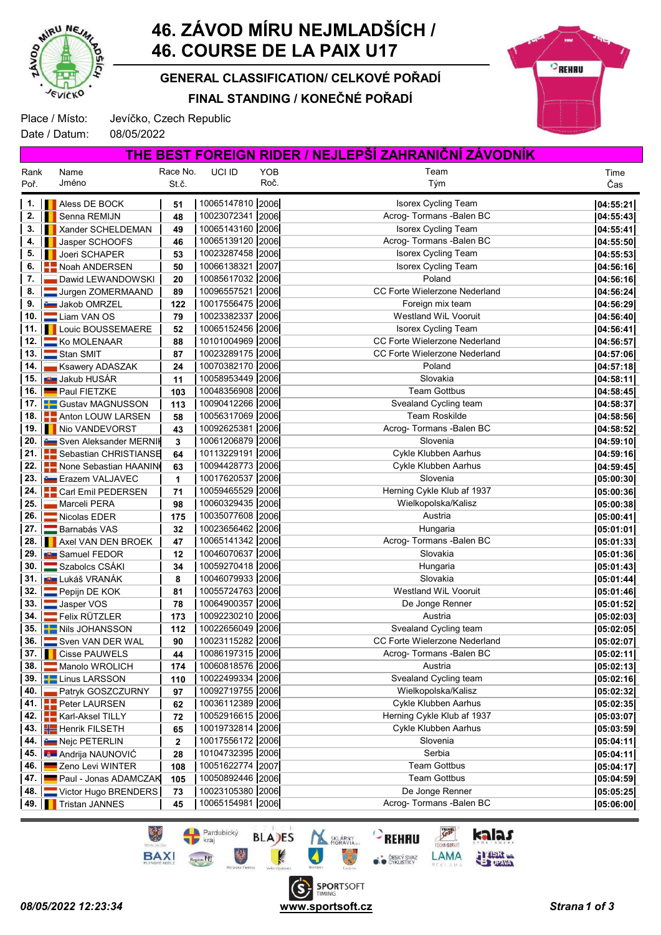

Rank Poř.

# 46. ZÁVOD MÍRU NEJMLADŠÍCH / 46. COURSE DE LA PAIX U17

FINAL STANDING / KONEČNÉ POŘADÍ GENERAL CLASSIFICATION/ CELKOVÉ POŘADÍ



Time Čas

Place / Místo: Jevíčko, Czech Republic

Date / Datum: 08/05/2022

Name Jméno

Race No. St.č. UCI ID YOB Team Tým YOB Roč. THE BEST FOREIGN RIDER / NEJLEPŠÍ ZAHRANIČNÍ ZÁVODNÍK

|                     | 1. <b>I</b> Aless DE BOCK               | 51  | 10065147810 2006 | Isorex Cycling Team                  | 04:55:21 |
|---------------------|-----------------------------------------|-----|------------------|--------------------------------------|----------|
| 2.                  | Senna REMIJN                            | 48  | 10023072341 2006 | Acrog- Tormans - Balen BC            | 04:55:43 |
| 3. I                | Xander SCHELDEMAN                       | 49  | 10065143160 2006 | Isorex Cycling Team                  | 04:55:41 |
| $4.$ $\blacksquare$ | Jasper SCHOOFS                          | 46  | 10065139120 2006 | Acrog-Tormans - Balen BC             | 04:55:50 |
| 5.                  | <b>I</b> Joeri SCHAPER                  | 53  | 10023287458 2006 | Isorex Cycling Team                  | 04:55:53 |
| 6.                  | Noah ANDERSEN                           | 50  | 10066138321 2007 | Isorex Cycling Team                  | 04:56:16 |
| 7.                  | Dawid LEWANDOWSKI                       | 20  | 10085617032 2006 | Poland                               | 04:56:16 |
| 8.                  | Jurgen ZOMERMAAND                       | 89  | 10096557521 2006 | <b>CC Forte Wielerzone Nederland</b> | 04:56:24 |
| 9. I                | Jakob OMRZEL                            | 122 | 10017556475 2006 | Foreign mix team                     | 04:56:29 |
|                     | 10. Liam VAN OS                         | 79  | 10023382337 2006 | Westland WiL Vooruit                 | 04:56:40 |
|                     | 11.   Louic BOUSSEMAERE                 | 52  | 10065152456 2006 | <b>Isorex Cycling Team</b>           | 04:56:41 |
|                     | 12.   Ko MOLENAAR                       | 88  | 10101004969 2006 | CC Forte Wielerzone Nederland        | 04:56:57 |
|                     | 13. Stan SMIT                           | 87  | 10023289175 2006 | <b>CC Forte Wielerzone Nederland</b> | 04:57:06 |
|                     | 14.   Ksawery ADASZAK                   | 24  | 10070382170 2006 | Poland                               | 04:57:18 |
|                     | 15. <b>Bu</b> Jakub HUSÁR               | 11  | 10058953449 2006 | Slovakia                             | 04:58:11 |
|                     | 16. Paul FIETZKE                        | 103 | 10048356908 2006 | <b>Team Gottbus</b>                  | 04:58:45 |
|                     | 17. <b>F.</b> Gustav MAGNUSSON          | 113 | 10090412266 2006 | Svealand Cycling team                | 04:58:37 |
|                     | 18. <b>Anton LOUW LARSEN</b>            | 58  | 10056317069 2006 | <b>Team Roskilde</b>                 | 04:58:56 |
|                     | 19. Nio VANDEVORST                      | 43  | 10092625381 2006 | Acrog- Tormans - Balen BC            | 04:58:52 |
|                     | 20. Sven Aleksander MERNIK              | 3   | 10061206879 2006 | Slovenia                             | 04:59:10 |
|                     | 21.   Sebastian CHRISTIANSE             | 64  | 10113229191 2006 | Cykle Klubben Aarhus                 | 04:59:16 |
|                     | 22.   None Sebastian HAANIN             | 63  | 10094428773 2006 | Cykle Klubben Aarhus                 | 04:59:45 |
|                     | 23. Erazem VALJAVEC                     | 1   | 10017620537 2006 | Slovenia                             | 05:00:30 |
|                     | 24.   Carl Emil PEDERSEN                | 71  | 10059465529 2006 | Herning Cykle Klub af 1937           | 05:00:36 |
| 25.1                | Marceli PERA                            | 98  | 10060329435 2006 | Wielkopolska/Kalisz                  | 05:00:38 |
| 26.                 | Nicolas EDER                            | 175 | 10035077608 2006 | Austria                              | 05:00:41 |
|                     | 27. Barnabás VAS                        | 32  | 10023656462 2006 | Hungaria                             | 05:01:01 |
|                     | 28. <b>Axel VAN DEN BROEK</b>           | 47  | 10065141342 2006 | Acrog- Tormans - Balen BC            | 05:01:33 |
|                     | 29. <b>But Samuel FEDOR</b>             | 12  | 10046070637 2006 | Slovakia                             | 05:01:36 |
|                     | 30. Szabolcs CSÁKI                      | 34  | 10059270418 2006 | Hungaria                             | 05:01:43 |
|                     | 31. <b>BEL</b> LUKÁŠ VRANÁK             | 8   | 10046079933 2006 | Slovakia                             | 05:01:44 |
|                     | 32. $\boxed{\phantom{1}}$ Pepijn DE KOK | 81  | 10055724763 2006 | Westland WiL Vooruit                 | 05:01:46 |
|                     | 33. Jasper VOS                          | 78  | 10064900357 2006 | De Jonge Renner                      | 05:01:52 |
|                     | 34. Felix RÜTZLER                       | 173 | 10092230210 2006 | Austria                              | 05:02:03 |
|                     | 35. Nils JOHANSSON                      | 112 | 10022656049 2006 | Svealand Cycling team                | 05:02:05 |
|                     | 36. Sven VAN DER WAL                    | 90  | 10023115282 2006 | CC Forte Wielerzone Nederland        | 05:02:07 |
|                     | 37.   Cisse PAUWELS                     | 44  | 10086197315 2006 | Acrog- Tormans - Balen BC            | 05:02:11 |
|                     | 38. Manolo WROLICH                      | 174 | 10060818576 2006 | Austria                              | 05:02:13 |
|                     | 39. <b>Linus LARSSON</b>                | 110 | 10022499334 2006 | Svealand Cycling team                | 05:02:16 |
|                     | 40. Patryk GOSZCZURNY                   | 97  | 10092719755 2006 | Wielkopolska/Kalisz                  | 05:02:32 |
|                     | 41. <b>Peter LAURSEN</b>                | 62  | 10036112389 2006 | Cykle Klubben Aarhus                 | 05:02:35 |
|                     | 42.   Karl-Aksel TILLY                  | 72  | 10052916615 2006 | Herning Cykle Klub af 1937           | 05:03:07 |
|                     | 43. Henrik FILSETH                      | 65  | 10019732814 2006 | Cykle Klubben Aarhus                 | 05:03:59 |
|                     | 44. E Nejc PETERLIN                     |     | 10017556172 2006 | Slovenia                             | 05:04:11 |
|                     |                                         | 2   | 10104732395 2006 | Serbia                               |          |
|                     | 45. <b>Andrija NAUNOVIĆ</b>             | 28  | 10051622774 2007 | <b>Team Gottbus</b>                  | 05:04:11 |
| 46. <b>I</b>        | Zeno Levi WINTER                        | 108 |                  |                                      | 05:04:17 |
|                     | 47. Paul - Jonas ADAMCZAK               | 105 | 10050892446 2006 | <b>Team Gottbus</b>                  | 05:04:59 |
|                     | 48. Victor Hugo BRENDERS                | 73  | 10023105380 2006 | De Jonge Renner                      | 05:05:25 |
| 49.                 | <b>Tristan JANNES</b>                   | 45  | 10065154981 2006 | Acrog- Tormans - Balen BC            | 05:06:00 |

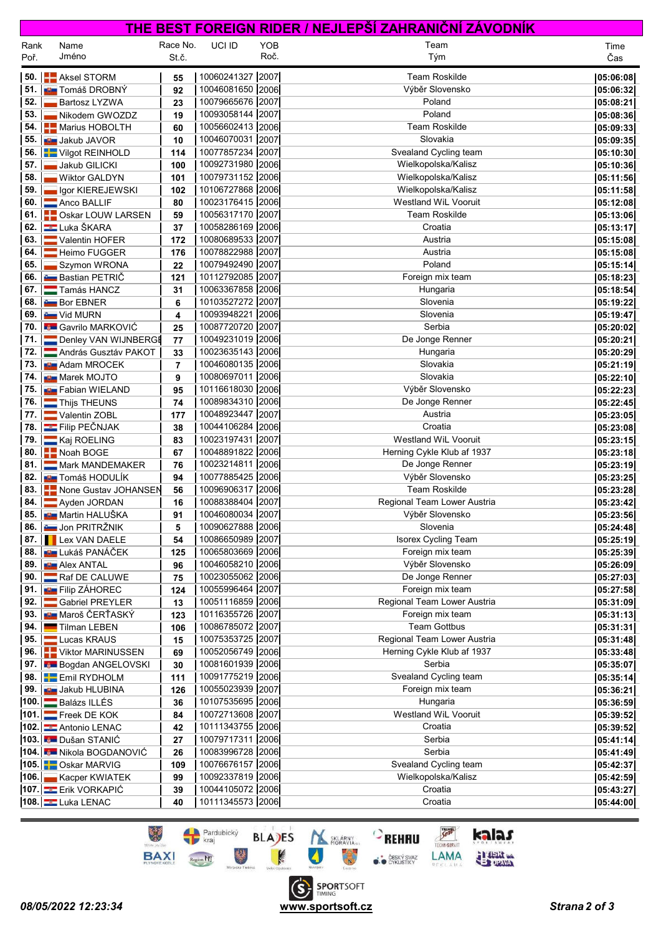|              |                                           |                   |                                      |             | <u>THE BEST FOREIGN RIDER / NEJLEPSI ZAHRANICNI ZAVODNIK</u> |                        |
|--------------|-------------------------------------------|-------------------|--------------------------------------|-------------|--------------------------------------------------------------|------------------------|
| Rank<br>Poř. | Name<br>Jméno                             | Race No.<br>St.č. | UCI ID                               | YOB<br>Roč. | Team<br>Tým                                                  | Time<br>Čas            |
| 50.1         | <b>Aksel STORM</b>                        | 55                | 10060241327 2007                     |             | <b>Team Roskilde</b>                                         | 05:06:08               |
| 51.          | ∎∎ Tomáš DROBNÝ                           | 92                | 10046081650 2006                     |             | Výběr Slovensko                                              | 05:06:32               |
| 52.          | <b>Bartosz LYZWA</b>                      | 23                | 10079665676 2007                     |             | Poland                                                       | 05:08:21               |
| 53.          | Nikodem GWOZDZ                            | 19                | 10093058144 2007                     |             | Poland                                                       | 05:08:36               |
| 54.          | <b>A</b> Marius HOBOLTH                   | 60                | 10056602413 2006                     |             | <b>Team Roskilde</b>                                         | 05:09:33               |
| 55.          | <b>D</b> Jakub JAVOR                      | 10                | 10046070031 2007                     |             | Slovakia                                                     | 05:09:35               |
| 56.          | <b>T</b> Vilgot REINHOLD                  | 114               | 10077857234 2007                     |             | Svealand Cycling team                                        | 05:10:30               |
| 57.          | Jakub GILICKI                             | 100               | 10092731980 2006                     |             | Wielkopolska/Kalisz                                          | 05:10:36               |
| 58.          | <b>Wiktor GALDYN</b>                      | 101               | 10079731152 2006                     |             | Wielkopolska/Kalisz                                          | 05:11:56               |
| 59.          | Igor KIEREJEWSKI                          | 102               | 10106727868 2006                     |             | Wielkopolska/Kalisz                                          | 05:11:58               |
| 60.          | Anco BALLIF                               | 80                | 10023176415 2006                     |             | <b>Westland WiL Vooruit</b>                                  | 05:12:08               |
| 61.          | <b>COSKAT LOUW LARSEN</b>                 | 59                | 10056317170 2007                     |             | <b>Team Roskilde</b>                                         | 05:13:06               |
| 62.          | <b>Luka ŠKARA</b>                         | 37                | 10058286169 2006                     |             | Croatia                                                      | 05:13:17               |
| 63.          | Valentin HOFER                            | 172               | 10080689533 2007                     |             | Austria                                                      | 05:15:08               |
| 64.<br>65.   | Heimo FUGGER                              | 176               | 10078822988 2007<br>10079492490 2007 |             | Austria<br>Poland                                            | 05:15:08               |
| 66.          | Szymon WRONA<br><b>Com</b> Bastian PETRIČ | 22<br>121         | 10112792085 2007                     |             | Foreign mix team                                             | 05:15:14               |
| 67.          | Tamás HANCZ                               | 31                | 10063367858 2006                     |             | Hungaria                                                     | 05:18:23<br>05:18:54   |
| 68.          | <b>Bor EBNER</b>                          | 6                 | 10103527272 2007                     |             | Slovenia                                                     | 05:19:22               |
| 69.          | <b>Example 10 Vid MURN</b>                | 4                 | 10093948221 2006                     |             | Slovenia                                                     | 05:19:47               |
|              | 70. <b>Com</b> Gavrilo MARKOVIĆ           | 25                | 10087720720 2007                     |             | Serbia                                                       | 05:20:02               |
| 71.          | Denley VAN WIJNBERGE                      | 77                | 10049231019 2006                     |             | De Jonge Renner                                              | 05:20:21               |
| 72.          | András Gusztáv PAKOT                      | 33                | 10023635143 2006                     |             | Hungaria                                                     | 05:20:29               |
| 73.          | <b>B</b> Adam MROCEK                      | 7                 | 10046080135 2006                     |             | Slovakia                                                     | 05:21:19               |
| 74.          | <b>Narek MOJTO</b>                        | 9                 | 10080697011 2006                     |             | Slovakia                                                     | 05:22:10               |
| 75.          | <b>BE</b> Fabian WIELAND                  | 95                | 10116618030 2006                     |             | Výběr Slovensko                                              | 05:22:23               |
| 76.          | Thijs THEUNS                              | 74                | 10089834310 2006                     |             | De Jonge Renner                                              | 05:22:45               |
| 77.          | Valentin ZOBL                             | 177               | 10048923447 2007                     |             | Austria                                                      | 05:23:05               |
| 78.          | Filip PEČNJAK                             | 38                | 10044106284 2006                     |             | Croatia                                                      | 05:23:08               |
| 79.          | Kaj ROELING                               | 83                | 10023197431 2007                     |             | <b>Westland WiL Vooruit</b>                                  | 05:23:15               |
| 80.          | Noah BOGE                                 | 67                | 10048891822 2006                     |             | Herning Cykle Klub af 1937                                   | 05:23:18               |
| 81.          | Mark MANDEMAKER                           | 76                | 10023214811 2006                     |             | De Jonge Renner                                              | 05:23:19               |
| 82. I        | ∎B∎ Tomáš HODULÍK                         | 94                | 10077885425 2006                     |             | Výběr Slovensko                                              | 05:23:25               |
| 83.          | None Gustav JOHANSEN                      | 56                | 10096906317 2006                     |             | <b>Team Roskilde</b>                                         | 05:23:28               |
| 84.          | Ayden JORDAN                              | 16                | 10088388404 2007                     |             | Regional Team Lower Austria                                  | 05:23:42               |
|              | 85. <b>BEZ</b> Martin HALUŠKA             | 91                | 10046080034 2007                     |             | Výběr Slovensko                                              | 05:23:56               |
|              | 86. <b>John PRITRŽNIK</b>                 | 5                 | 10090627888 2006                     |             | Slovenia                                                     | 05:24:48               |
| 87.1         | <b>Lex VAN DAELE</b>                      | 54                | 10086650989 2007                     |             | Isorex Cycling Team                                          | 05:25:19               |
| 88.          | <b>DE</b> Lukáš PANÁČEK                   | 125               | 10065803669 2006                     |             | Foreign mix team                                             | 05:25:39               |
| 89.<br>90.1  | <b>D</b> Alex ANTAL<br>Raf DE CALUWE      | 96<br>75          | 10046058210 2006<br>10023055062 2006 |             | Výběr Slovensko<br>De Jonge Renner                           | 05:26:09<br> 05:27:03  |
| 91.          | <b>EL Filip ZÁHOREC</b>                   |                   | 10055996464 2007                     |             | Foreign mix team                                             |                        |
| 92.          | Gabriel PREYLER                           | 124<br>13         | 10051116859 2006                     |             | Regional Team Lower Austria                                  | 05:27:58 <br> 05:31:09 |
| 93.          | <b>DE</b> Maroš ČERŤASKÝ                  | 123               | 10116355726 2007                     |             | Foreign mix team                                             | 05:31:13               |
| 94.          | Tilman LEBEN                              | 106               | 10086785072 2007                     |             | <b>Team Gottbus</b>                                          | 05:31:31               |
| 95.          | Lucas KRAUS                               | 15                | 10075353725 2007                     |             | Regional Team Lower Austria                                  | 05:31:48               |
| 96.          | <b>NEW Viktor MARINUSSEN</b>              | 69                | 10052056749 2006                     |             | Herning Cykle Klub af 1937                                   | 05:33:48               |
|              | 97. Bogdan ANGELOVSKI                     | 30                | 10081601939 2006                     |             | Serbia                                                       | 05:35:07               |
|              | 98. Emil RYDHOLM                          | 111               | 10091775219 2006                     |             | Svealand Cycling team                                        | 05:35:14               |
| 99.          | <b>DE</b> Jakub HLUBINA                   | 126               | 10055023939 2007                     |             | Foreign mix team                                             | 05:36:21               |
|              | 100. Balázs ILLÉS                         | 36                | 10107535695 2006                     |             | Hungaria                                                     | 05:36:59               |
|              | 101. Freek DE KOK                         | 84                | 10072713608 2007                     |             | Westland WiL Vooruit                                         | 05:39:52               |
|              | 102. Antonio LENAC                        | 42                | 10111343755 2006                     |             | Croatia                                                      | 05:39:52               |
|              | 103. Dušan STANIĆ                         | 27                | 10079717311 2006                     |             | Serbia                                                       | 05:41:14               |
|              | 104. Nikola BOGDANOVIĆ                    | 26                | 10083996728 2006                     |             | Serbia                                                       | 05:41:49               |
|              | 105. Coskar MARVIG                        | 109               | 10076676157 2006                     |             | Svealand Cycling team                                        | 05:42:37               |
|              | 106. Kacper KWIATEK                       | 99                | 10092337819 2006                     |             | Wielkopolska/Kalisz                                          | 05:42:59               |
|              | 107. Erik VORKAPIĆ                        | 39                | 10044105072 2006                     |             | Croatia                                                      | 05:43:27               |
|              | 108. Luka LENAC                           | 40                | 10111345573 2006                     |             | Croatia                                                      | 05:44:00               |

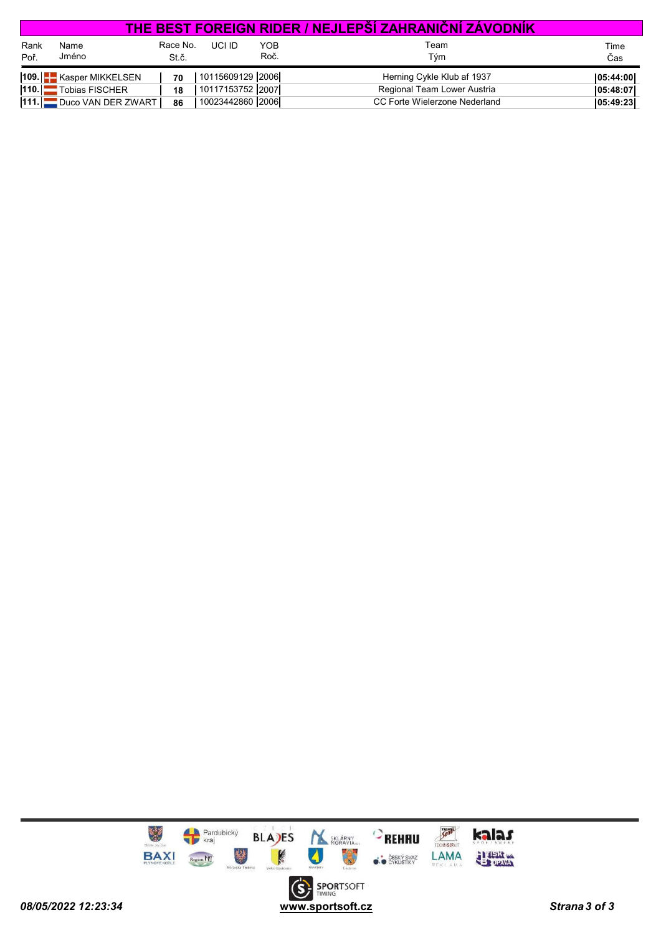|              |                           |                   |                  |             | <u>THE BEST FOREIGN RIDER / NEJLEPSI ZAHRANICNI ZAVODNIK</u> |             |
|--------------|---------------------------|-------------------|------------------|-------------|--------------------------------------------------------------|-------------|
| Rank<br>Poř. | Name<br>Jméno             | Race No.<br>St.č. | UCI ID           | YOB<br>Roč. | Team<br>Tým                                                  | Time<br>Čas |
|              | 109.     Kasper MIKKELSEN | 70                | 10115609129 2006 |             | Herning Cykle Klub af 1937                                   | 05:44:00    |
|              | 110. Tobias FISCHER       | 18                | 10117153752 2007 |             | Regional Team Lower Austria                                  | 05:48:07    |
|              | 111. Duco VAN DER ZWART   | 86                | 10023442860 2006 |             | CC Forte Wielerzone Nederland                                | 05:49:23    |

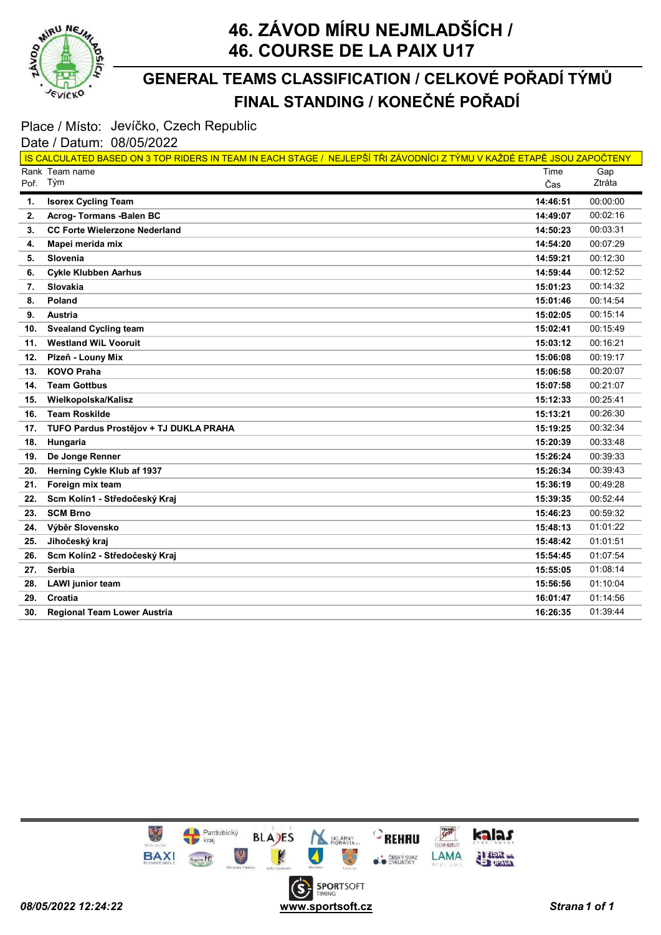

### FINAL STANDING / KONEČNÉ POŘADÍ GENERAL TEAMS CLASSIFICATION / CELKOVÉ POŘADÍ TÝMŮ

### Place / Místo: Jevíčko, Czech Republic

#### Date / Datum: 08/05/2022

|          | IS CALCULATED BASED ON 3 TOP RIDERS IN TEAM IN EACH STAGE / NEJLEPŠÍ TŘI ZÁVODNÍCI Z TÝMU V KAŽDÉ ETAPĚ JSOU ZAPOČTENY |          |          |
|----------|------------------------------------------------------------------------------------------------------------------------|----------|----------|
|          | Rank Team name                                                                                                         | Time     | Gap      |
| Poř. Tým |                                                                                                                        | Čas      | Ztráta   |
| 1.       | <b>Isorex Cycling Team</b>                                                                                             | 14:46:51 | 00:00:00 |
| 2.       | <b>Acrog-Tormans -Balen BC</b>                                                                                         | 14:49:07 | 00:02:16 |
| 3.       | <b>CC Forte Wielerzone Nederland</b>                                                                                   | 14:50:23 | 00:03:31 |
| 4.       | Mapei merida mix                                                                                                       | 14:54:20 | 00:07:29 |
| 5.       | Slovenia                                                                                                               | 14:59:21 | 00:12:30 |
| 6.       | <b>Cykle Klubben Aarhus</b>                                                                                            | 14:59:44 | 00:12:52 |
| 7.       | Slovakia                                                                                                               | 15:01:23 | 00:14:32 |
| 8.       | Poland                                                                                                                 | 15:01:46 | 00:14:54 |
| 9.       | Austria                                                                                                                | 15:02:05 | 00:15:14 |
| 10.      | <b>Svealand Cycling team</b>                                                                                           | 15:02:41 | 00:15:49 |
| 11.      | <b>Westland WiL Vooruit</b>                                                                                            | 15:03:12 | 00:16:21 |
| 12.      | Plzeň - Louny Mix                                                                                                      | 15:06:08 | 00:19:17 |
| 13.      | <b>KOVO Praha</b>                                                                                                      | 15:06:58 | 00:20:07 |
| 14.      | <b>Team Gottbus</b>                                                                                                    | 15:07:58 | 00:21:07 |
| 15.      | Wielkopolska/Kalisz                                                                                                    | 15:12:33 | 00:25:41 |
| 16.      | <b>Team Roskilde</b>                                                                                                   | 15:13:21 | 00:26:30 |
| 17.      | TUFO Pardus Prostějov + TJ DUKLA PRAHA                                                                                 | 15:19:25 | 00:32:34 |
| 18.      | Hungaria                                                                                                               | 15:20:39 | 00:33:48 |
| 19.      | De Jonge Renner                                                                                                        | 15:26:24 | 00:39:33 |
| 20.      | Herning Cykle Klub af 1937                                                                                             | 15:26:34 | 00:39:43 |
| 21.      | Foreign mix team                                                                                                       | 15:36:19 | 00:49:28 |
| 22.      | Scm Kolín1 - Středočeský Kraj                                                                                          | 15:39:35 | 00:52:44 |
| 23.      | <b>SCM Brno</b>                                                                                                        | 15:46:23 | 00:59:32 |
| 24.      | Výběr Slovensko                                                                                                        | 15:48:13 | 01:01:22 |
| 25.      | Jihočeský kraj                                                                                                         | 15:48:42 | 01:01:51 |
| 26.      | Scm Kolín2 - Středočeský Kraj                                                                                          | 15:54:45 | 01:07:54 |
| 27.      | Serbia                                                                                                                 | 15:55:05 | 01:08:14 |
| 28.      | <b>LAWI</b> junior team                                                                                                | 15:56:56 | 01:10:04 |
| 29.      | Croatia                                                                                                                | 16:01:47 | 01:14:56 |
| 30.      | <b>Regional Team Lower Austria</b>                                                                                     | 16:26:35 | 01:39:44 |

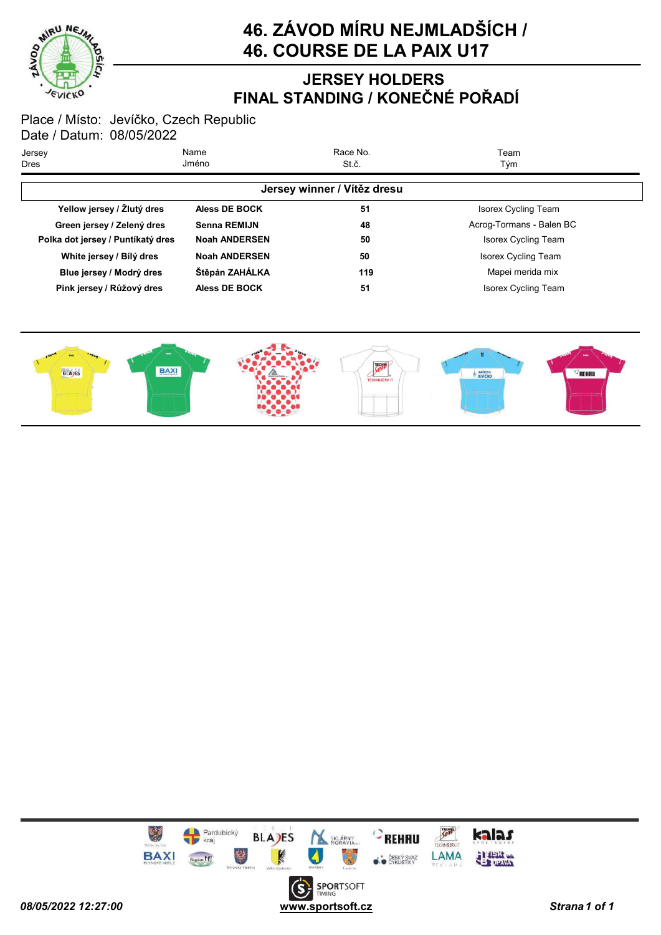

### JERSEY HOLDERS FINAL STANDING / KONEČNÉ POŘADÍ

| Jersey<br>Dres                    | Name<br>Jméno        | Race No.<br>St.č.           | Team<br>Tým                |
|-----------------------------------|----------------------|-----------------------------|----------------------------|
|                                   |                      | Jersey winner / Vítěz dresu |                            |
| Yellow jersey / Žlutý dres        | Aless DE BOCK        | 51                          | <b>Isorex Cycling Team</b> |
| Green jersey / Zelený dres        | <b>Senna REMIJN</b>  | 48                          | Acrog-Tormans - Balen BC   |
| Polka dot jersey / Puntíkatý dres | <b>Noah ANDERSEN</b> | 50                          | <b>Isorex Cycling Team</b> |
| White jersey / Bílý dres          | <b>Noah ANDERSEN</b> | 50                          | <b>Isorex Cycling Team</b> |
| Blue jersey / Modrý dres          | Štěpán ZAHÁLKA       | 119                         | Mapei merida mix           |
| Pink jersey / Růžový dres         | <b>Aless DE BOCK</b> | 51                          | <b>Isorex Cycling Team</b> |



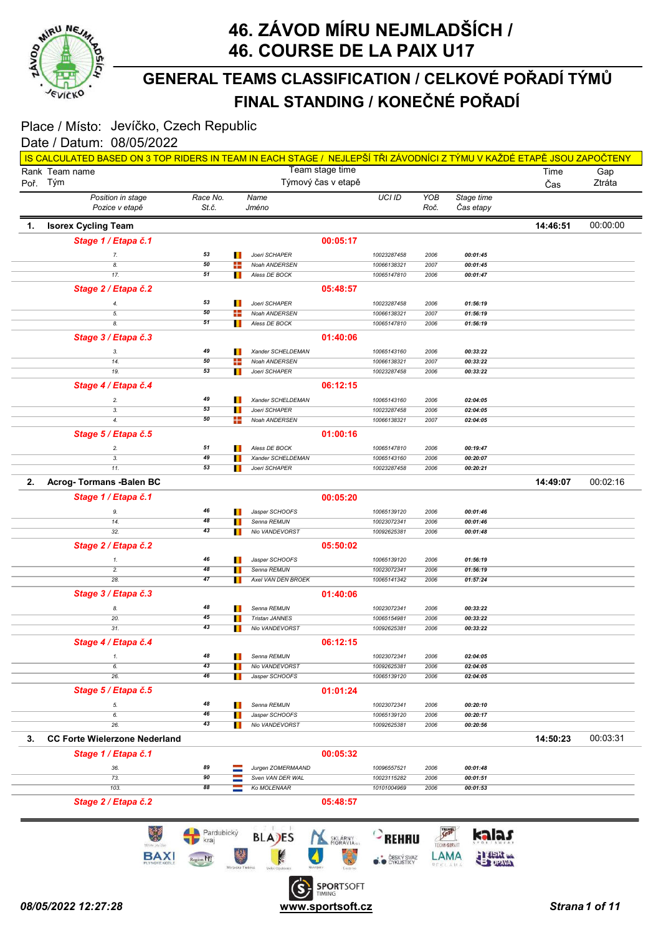

### FINAL STANDING / KONEČNÉ POŘADÍ GENERAL TEAMS CLASSIFICATION / CELKOVÉ POŘADÍ TÝMŮ

| Team stage time<br>Rank Team name<br>Týmový čas v etapě<br>Poř. Tým<br>Position in stage<br>Race No.<br>Name<br>Pozice v etapě<br>St.č.<br>Jméno<br>1.<br><b>Isorex Cycling Team</b><br>Stage 1 / Etapa č.1<br>53<br>Joeri SCHAPER<br>7.<br>Ш<br>50<br>8.<br>÷<br>Noah ANDERSEN<br>51<br>17.<br>Aless DE BOCK<br>ш<br>Stage 2 / Etapa č.2<br>53<br>Joeri SCHAPER<br>4.<br>ш<br>50<br>÷<br>Noah ANDERSEN<br>5.<br>51<br>8.<br>П<br>Aless DE BOCK<br>Stage 3 / Etapa č.3<br>49<br>Xander SCHELDEMAN<br>3.<br>Ш<br>50<br>Noah ANDERSEN<br>14.<br>÷<br>53<br>19.<br>Joeri SCHAPER<br>Ш<br>Stage 4 / Etapa č.4<br>49<br>Xander SCHELDEMAN<br>2.<br>ш<br>53<br>3.<br>Joeri SCHAPER<br>Ш<br>50<br>4.<br>÷<br><b>Noah ANDERSEN</b><br>Stage 5 / Etapa č.5<br>51<br>Aless DE BOCK<br>2.<br>ш<br>49<br>Xander SCHELDEMAN<br>3.<br>53<br>11.<br>Joeri SCHAPER<br>2.<br>Acrog-Tormans - Balen BC<br>Stage 1 / Etapa č.1<br>46<br>Jasper SCHOOFS<br>9.<br>Ш<br>48<br>Senna REMIJN<br>14.<br>43<br>32.<br>Nio VANDEVORST<br>ш<br>Stage 2 / Etapa č.2<br>46<br>Jasper SCHOOFS<br>Ш<br>1.<br>48<br>2.<br>Senna REMIJN<br>Ш<br>47<br>28.<br>Axel VAN DEN BROEK<br>Ш<br>Stage 3 / Etapa č.3<br>48<br>Senna REMIJN<br>8.<br>45<br><b>Tristan JANNES</b><br>20.<br>31.<br>43<br>Nio VANDEVORST<br>ш<br>Stage 4 / Etapa č.4<br>48<br>Senna REMIJN<br>Ш<br>1.<br>43<br>6.<br>Nio VANDEVORST<br>46<br>26.<br>Jasper SCHOOFS<br>п<br>Stage 5 / Etapa č.5<br>48<br>Senna REMIJN<br>5.<br>Ш<br>46<br>6.<br>Jasper SCHOOFS<br>43<br>26.<br>Nio VANDEVORST<br><b>CC Forte Wielerzone Nederland</b><br>3.<br>Stage 1 / Etapa č.1<br>89<br>36.<br>Jurgen ZOMERMAAND<br>90<br>73.<br>Sven VAN DER WAL<br>103.<br>88<br>Ko MOLENAAR<br>Stage 2 / Etapa č.2<br>Pardubický<br><b>BLA)ES</b><br>uΡ<br>tem saile |                    |                            |                   |                         | Time     |               |
|------------------------------------------------------------------------------------------------------------------------------------------------------------------------------------------------------------------------------------------------------------------------------------------------------------------------------------------------------------------------------------------------------------------------------------------------------------------------------------------------------------------------------------------------------------------------------------------------------------------------------------------------------------------------------------------------------------------------------------------------------------------------------------------------------------------------------------------------------------------------------------------------------------------------------------------------------------------------------------------------------------------------------------------------------------------------------------------------------------------------------------------------------------------------------------------------------------------------------------------------------------------------------------------------------------------------------------------------------------------------------------------------------------------------------------------------------------------------------------------------------------------------------------------------------------------------------------------------------------------------------------------------------------------------------------------------------------------------------------------------------------------------------|--------------------|----------------------------|-------------------|-------------------------|----------|---------------|
|                                                                                                                                                                                                                                                                                                                                                                                                                                                                                                                                                                                                                                                                                                                                                                                                                                                                                                                                                                                                                                                                                                                                                                                                                                                                                                                                                                                                                                                                                                                                                                                                                                                                                                                                                                              |                    |                            |                   |                         | Čas      | Gap<br>Ztráta |
|                                                                                                                                                                                                                                                                                                                                                                                                                                                                                                                                                                                                                                                                                                                                                                                                                                                                                                                                                                                                                                                                                                                                                                                                                                                                                                                                                                                                                                                                                                                                                                                                                                                                                                                                                                              |                    |                            | YOB               |                         |          |               |
|                                                                                                                                                                                                                                                                                                                                                                                                                                                                                                                                                                                                                                                                                                                                                                                                                                                                                                                                                                                                                                                                                                                                                                                                                                                                                                                                                                                                                                                                                                                                                                                                                                                                                                                                                                              |                    | UCI ID                     | Roč.              | Stage time<br>Cas etapy |          |               |
|                                                                                                                                                                                                                                                                                                                                                                                                                                                                                                                                                                                                                                                                                                                                                                                                                                                                                                                                                                                                                                                                                                                                                                                                                                                                                                                                                                                                                                                                                                                                                                                                                                                                                                                                                                              |                    |                            |                   |                         |          |               |
|                                                                                                                                                                                                                                                                                                                                                                                                                                                                                                                                                                                                                                                                                                                                                                                                                                                                                                                                                                                                                                                                                                                                                                                                                                                                                                                                                                                                                                                                                                                                                                                                                                                                                                                                                                              |                    |                            |                   |                         | 14:46:51 | 00:00:00      |
|                                                                                                                                                                                                                                                                                                                                                                                                                                                                                                                                                                                                                                                                                                                                                                                                                                                                                                                                                                                                                                                                                                                                                                                                                                                                                                                                                                                                                                                                                                                                                                                                                                                                                                                                                                              | 00:05:17           |                            |                   |                         |          |               |
|                                                                                                                                                                                                                                                                                                                                                                                                                                                                                                                                                                                                                                                                                                                                                                                                                                                                                                                                                                                                                                                                                                                                                                                                                                                                                                                                                                                                                                                                                                                                                                                                                                                                                                                                                                              |                    | 10023287458                | 2006              | 00:01:45                |          |               |
|                                                                                                                                                                                                                                                                                                                                                                                                                                                                                                                                                                                                                                                                                                                                                                                                                                                                                                                                                                                                                                                                                                                                                                                                                                                                                                                                                                                                                                                                                                                                                                                                                                                                                                                                                                              |                    | 10066138321<br>10065147810 | 2007              | 00:01:45                |          |               |
|                                                                                                                                                                                                                                                                                                                                                                                                                                                                                                                                                                                                                                                                                                                                                                                                                                                                                                                                                                                                                                                                                                                                                                                                                                                                                                                                                                                                                                                                                                                                                                                                                                                                                                                                                                              |                    |                            | 2006              | 00:01:47                |          |               |
|                                                                                                                                                                                                                                                                                                                                                                                                                                                                                                                                                                                                                                                                                                                                                                                                                                                                                                                                                                                                                                                                                                                                                                                                                                                                                                                                                                                                                                                                                                                                                                                                                                                                                                                                                                              | 05:48:57           |                            |                   |                         |          |               |
|                                                                                                                                                                                                                                                                                                                                                                                                                                                                                                                                                                                                                                                                                                                                                                                                                                                                                                                                                                                                                                                                                                                                                                                                                                                                                                                                                                                                                                                                                                                                                                                                                                                                                                                                                                              |                    | 10023287458                | 2006              | 01:56:19                |          |               |
|                                                                                                                                                                                                                                                                                                                                                                                                                                                                                                                                                                                                                                                                                                                                                                                                                                                                                                                                                                                                                                                                                                                                                                                                                                                                                                                                                                                                                                                                                                                                                                                                                                                                                                                                                                              |                    | 10066138321                | 2007              | 01:56:19                |          |               |
|                                                                                                                                                                                                                                                                                                                                                                                                                                                                                                                                                                                                                                                                                                                                                                                                                                                                                                                                                                                                                                                                                                                                                                                                                                                                                                                                                                                                                                                                                                                                                                                                                                                                                                                                                                              |                    | 10065147810                | 2006              | 01:56:19                |          |               |
|                                                                                                                                                                                                                                                                                                                                                                                                                                                                                                                                                                                                                                                                                                                                                                                                                                                                                                                                                                                                                                                                                                                                                                                                                                                                                                                                                                                                                                                                                                                                                                                                                                                                                                                                                                              | 01:40:06           |                            |                   |                         |          |               |
|                                                                                                                                                                                                                                                                                                                                                                                                                                                                                                                                                                                                                                                                                                                                                                                                                                                                                                                                                                                                                                                                                                                                                                                                                                                                                                                                                                                                                                                                                                                                                                                                                                                                                                                                                                              |                    | 10065143160                | 2006              | 00:33:22                |          |               |
|                                                                                                                                                                                                                                                                                                                                                                                                                                                                                                                                                                                                                                                                                                                                                                                                                                                                                                                                                                                                                                                                                                                                                                                                                                                                                                                                                                                                                                                                                                                                                                                                                                                                                                                                                                              |                    | 10066138321                | 2007              | 00:33:22                |          |               |
|                                                                                                                                                                                                                                                                                                                                                                                                                                                                                                                                                                                                                                                                                                                                                                                                                                                                                                                                                                                                                                                                                                                                                                                                                                                                                                                                                                                                                                                                                                                                                                                                                                                                                                                                                                              |                    | 10023287458                | 2006              | 00:33:22                |          |               |
|                                                                                                                                                                                                                                                                                                                                                                                                                                                                                                                                                                                                                                                                                                                                                                                                                                                                                                                                                                                                                                                                                                                                                                                                                                                                                                                                                                                                                                                                                                                                                                                                                                                                                                                                                                              | 06:12:15           |                            |                   |                         |          |               |
|                                                                                                                                                                                                                                                                                                                                                                                                                                                                                                                                                                                                                                                                                                                                                                                                                                                                                                                                                                                                                                                                                                                                                                                                                                                                                                                                                                                                                                                                                                                                                                                                                                                                                                                                                                              |                    | 10065143160                | 2006              | 02:04:05                |          |               |
|                                                                                                                                                                                                                                                                                                                                                                                                                                                                                                                                                                                                                                                                                                                                                                                                                                                                                                                                                                                                                                                                                                                                                                                                                                                                                                                                                                                                                                                                                                                                                                                                                                                                                                                                                                              |                    | 10023287458                | 2006              | 02:04:05                |          |               |
|                                                                                                                                                                                                                                                                                                                                                                                                                                                                                                                                                                                                                                                                                                                                                                                                                                                                                                                                                                                                                                                                                                                                                                                                                                                                                                                                                                                                                                                                                                                                                                                                                                                                                                                                                                              |                    | 10066138321                | 2007              | 02:04:05                |          |               |
|                                                                                                                                                                                                                                                                                                                                                                                                                                                                                                                                                                                                                                                                                                                                                                                                                                                                                                                                                                                                                                                                                                                                                                                                                                                                                                                                                                                                                                                                                                                                                                                                                                                                                                                                                                              | 01:00:16           |                            |                   |                         |          |               |
|                                                                                                                                                                                                                                                                                                                                                                                                                                                                                                                                                                                                                                                                                                                                                                                                                                                                                                                                                                                                                                                                                                                                                                                                                                                                                                                                                                                                                                                                                                                                                                                                                                                                                                                                                                              |                    | 10065147810                | 2006              | 00:19:47                |          |               |
|                                                                                                                                                                                                                                                                                                                                                                                                                                                                                                                                                                                                                                                                                                                                                                                                                                                                                                                                                                                                                                                                                                                                                                                                                                                                                                                                                                                                                                                                                                                                                                                                                                                                                                                                                                              |                    | 10065143160                | 2006              | 00:20:07                |          |               |
|                                                                                                                                                                                                                                                                                                                                                                                                                                                                                                                                                                                                                                                                                                                                                                                                                                                                                                                                                                                                                                                                                                                                                                                                                                                                                                                                                                                                                                                                                                                                                                                                                                                                                                                                                                              |                    | 10023287458                | 2006              | 00:20:21                |          |               |
|                                                                                                                                                                                                                                                                                                                                                                                                                                                                                                                                                                                                                                                                                                                                                                                                                                                                                                                                                                                                                                                                                                                                                                                                                                                                                                                                                                                                                                                                                                                                                                                                                                                                                                                                                                              |                    |                            |                   |                         | 14:49:07 | 00:02:16      |
|                                                                                                                                                                                                                                                                                                                                                                                                                                                                                                                                                                                                                                                                                                                                                                                                                                                                                                                                                                                                                                                                                                                                                                                                                                                                                                                                                                                                                                                                                                                                                                                                                                                                                                                                                                              |                    |                            |                   |                         |          |               |
|                                                                                                                                                                                                                                                                                                                                                                                                                                                                                                                                                                                                                                                                                                                                                                                                                                                                                                                                                                                                                                                                                                                                                                                                                                                                                                                                                                                                                                                                                                                                                                                                                                                                                                                                                                              | 00:05:20           |                            |                   |                         |          |               |
|                                                                                                                                                                                                                                                                                                                                                                                                                                                                                                                                                                                                                                                                                                                                                                                                                                                                                                                                                                                                                                                                                                                                                                                                                                                                                                                                                                                                                                                                                                                                                                                                                                                                                                                                                                              |                    | 10065139120                | 2006              | 00:01:46                |          |               |
|                                                                                                                                                                                                                                                                                                                                                                                                                                                                                                                                                                                                                                                                                                                                                                                                                                                                                                                                                                                                                                                                                                                                                                                                                                                                                                                                                                                                                                                                                                                                                                                                                                                                                                                                                                              |                    | 10023072341                | 2006              | 00:01:46                |          |               |
|                                                                                                                                                                                                                                                                                                                                                                                                                                                                                                                                                                                                                                                                                                                                                                                                                                                                                                                                                                                                                                                                                                                                                                                                                                                                                                                                                                                                                                                                                                                                                                                                                                                                                                                                                                              |                    | 10092625381                | 2006              | 00:01:48                |          |               |
|                                                                                                                                                                                                                                                                                                                                                                                                                                                                                                                                                                                                                                                                                                                                                                                                                                                                                                                                                                                                                                                                                                                                                                                                                                                                                                                                                                                                                                                                                                                                                                                                                                                                                                                                                                              | 05:50:02           |                            |                   |                         |          |               |
|                                                                                                                                                                                                                                                                                                                                                                                                                                                                                                                                                                                                                                                                                                                                                                                                                                                                                                                                                                                                                                                                                                                                                                                                                                                                                                                                                                                                                                                                                                                                                                                                                                                                                                                                                                              |                    | 10065139120                | 2006              | 01:56:19                |          |               |
|                                                                                                                                                                                                                                                                                                                                                                                                                                                                                                                                                                                                                                                                                                                                                                                                                                                                                                                                                                                                                                                                                                                                                                                                                                                                                                                                                                                                                                                                                                                                                                                                                                                                                                                                                                              |                    | 10023072341                | 2006              | 01:56:19                |          |               |
|                                                                                                                                                                                                                                                                                                                                                                                                                                                                                                                                                                                                                                                                                                                                                                                                                                                                                                                                                                                                                                                                                                                                                                                                                                                                                                                                                                                                                                                                                                                                                                                                                                                                                                                                                                              |                    | 10065141342                | 2006              | 01:57:24                |          |               |
|                                                                                                                                                                                                                                                                                                                                                                                                                                                                                                                                                                                                                                                                                                                                                                                                                                                                                                                                                                                                                                                                                                                                                                                                                                                                                                                                                                                                                                                                                                                                                                                                                                                                                                                                                                              | 01:40:06           |                            |                   |                         |          |               |
|                                                                                                                                                                                                                                                                                                                                                                                                                                                                                                                                                                                                                                                                                                                                                                                                                                                                                                                                                                                                                                                                                                                                                                                                                                                                                                                                                                                                                                                                                                                                                                                                                                                                                                                                                                              |                    | 10023072341                | 2006              | 00:33:22                |          |               |
|                                                                                                                                                                                                                                                                                                                                                                                                                                                                                                                                                                                                                                                                                                                                                                                                                                                                                                                                                                                                                                                                                                                                                                                                                                                                                                                                                                                                                                                                                                                                                                                                                                                                                                                                                                              |                    | 10065154981                | 2006              | 00:33:22                |          |               |
|                                                                                                                                                                                                                                                                                                                                                                                                                                                                                                                                                                                                                                                                                                                                                                                                                                                                                                                                                                                                                                                                                                                                                                                                                                                                                                                                                                                                                                                                                                                                                                                                                                                                                                                                                                              |                    | 10092625381                | 2006              | 00:33:22                |          |               |
|                                                                                                                                                                                                                                                                                                                                                                                                                                                                                                                                                                                                                                                                                                                                                                                                                                                                                                                                                                                                                                                                                                                                                                                                                                                                                                                                                                                                                                                                                                                                                                                                                                                                                                                                                                              | 06:12:15           |                            |                   |                         |          |               |
|                                                                                                                                                                                                                                                                                                                                                                                                                                                                                                                                                                                                                                                                                                                                                                                                                                                                                                                                                                                                                                                                                                                                                                                                                                                                                                                                                                                                                                                                                                                                                                                                                                                                                                                                                                              |                    |                            |                   |                         |          |               |
|                                                                                                                                                                                                                                                                                                                                                                                                                                                                                                                                                                                                                                                                                                                                                                                                                                                                                                                                                                                                                                                                                                                                                                                                                                                                                                                                                                                                                                                                                                                                                                                                                                                                                                                                                                              |                    | 10023072341<br>10092625381 | 2006<br>2006      | 02:04:05<br>02:04:05    |          |               |
|                                                                                                                                                                                                                                                                                                                                                                                                                                                                                                                                                                                                                                                                                                                                                                                                                                                                                                                                                                                                                                                                                                                                                                                                                                                                                                                                                                                                                                                                                                                                                                                                                                                                                                                                                                              |                    | 10065139120                | 2006              | 02:04:05                |          |               |
|                                                                                                                                                                                                                                                                                                                                                                                                                                                                                                                                                                                                                                                                                                                                                                                                                                                                                                                                                                                                                                                                                                                                                                                                                                                                                                                                                                                                                                                                                                                                                                                                                                                                                                                                                                              | 01:01:24           |                            |                   |                         |          |               |
|                                                                                                                                                                                                                                                                                                                                                                                                                                                                                                                                                                                                                                                                                                                                                                                                                                                                                                                                                                                                                                                                                                                                                                                                                                                                                                                                                                                                                                                                                                                                                                                                                                                                                                                                                                              |                    |                            |                   |                         |          |               |
|                                                                                                                                                                                                                                                                                                                                                                                                                                                                                                                                                                                                                                                                                                                                                                                                                                                                                                                                                                                                                                                                                                                                                                                                                                                                                                                                                                                                                                                                                                                                                                                                                                                                                                                                                                              |                    | 10023072341                | 2006              | 00:20:10                |          |               |
|                                                                                                                                                                                                                                                                                                                                                                                                                                                                                                                                                                                                                                                                                                                                                                                                                                                                                                                                                                                                                                                                                                                                                                                                                                                                                                                                                                                                                                                                                                                                                                                                                                                                                                                                                                              |                    | 10065139120<br>10092625381 | 2006<br>2006      | 00:20:17<br>00:20:56    |          |               |
|                                                                                                                                                                                                                                                                                                                                                                                                                                                                                                                                                                                                                                                                                                                                                                                                                                                                                                                                                                                                                                                                                                                                                                                                                                                                                                                                                                                                                                                                                                                                                                                                                                                                                                                                                                              |                    |                            |                   |                         |          |               |
|                                                                                                                                                                                                                                                                                                                                                                                                                                                                                                                                                                                                                                                                                                                                                                                                                                                                                                                                                                                                                                                                                                                                                                                                                                                                                                                                                                                                                                                                                                                                                                                                                                                                                                                                                                              |                    |                            |                   |                         | 14:50:23 | 00:03:31      |
|                                                                                                                                                                                                                                                                                                                                                                                                                                                                                                                                                                                                                                                                                                                                                                                                                                                                                                                                                                                                                                                                                                                                                                                                                                                                                                                                                                                                                                                                                                                                                                                                                                                                                                                                                                              | 00:05:32           |                            |                   |                         |          |               |
|                                                                                                                                                                                                                                                                                                                                                                                                                                                                                                                                                                                                                                                                                                                                                                                                                                                                                                                                                                                                                                                                                                                                                                                                                                                                                                                                                                                                                                                                                                                                                                                                                                                                                                                                                                              |                    | 10096557521                | 2006              | 00:01:48                |          |               |
|                                                                                                                                                                                                                                                                                                                                                                                                                                                                                                                                                                                                                                                                                                                                                                                                                                                                                                                                                                                                                                                                                                                                                                                                                                                                                                                                                                                                                                                                                                                                                                                                                                                                                                                                                                              |                    | 10023115282                | 2006              | 00:01:51                |          |               |
|                                                                                                                                                                                                                                                                                                                                                                                                                                                                                                                                                                                                                                                                                                                                                                                                                                                                                                                                                                                                                                                                                                                                                                                                                                                                                                                                                                                                                                                                                                                                                                                                                                                                                                                                                                              |                    | 10101004969                | 2006              | 00:01:53                |          |               |
|                                                                                                                                                                                                                                                                                                                                                                                                                                                                                                                                                                                                                                                                                                                                                                                                                                                                                                                                                                                                                                                                                                                                                                                                                                                                                                                                                                                                                                                                                                                                                                                                                                                                                                                                                                              | 05:48:57           |                            |                   |                         |          |               |
|                                                                                                                                                                                                                                                                                                                                                                                                                                                                                                                                                                                                                                                                                                                                                                                                                                                                                                                                                                                                                                                                                                                                                                                                                                                                                                                                                                                                                                                                                                                                                                                                                                                                                                                                                                              |                    | <b>REHAU</b>               |                   | kalas                   |          |               |
|                                                                                                                                                                                                                                                                                                                                                                                                                                                                                                                                                                                                                                                                                                                                                                                                                                                                                                                                                                                                                                                                                                                                                                                                                                                                                                                                                                                                                                                                                                                                                                                                                                                                                                                                                                              | SKLÁRNY<br>MORAVIA |                            | <b>ECHNISERVE</b> |                         |          |               |
| <b>BAXI</b><br>K<br><b>Cegion III</b>                                                                                                                                                                                                                                                                                                                                                                                                                                                                                                                                                                                                                                                                                                                                                                                                                                                                                                                                                                                                                                                                                                                                                                                                                                                                                                                                                                                                                                                                                                                                                                                                                                                                                                                                        |                    | ČESKÝ SVAZ<br>CYKLISTIKY   | _AMA              | <b>There</b>            |          |               |
| Moravská Třebová<br>Velke Opatory                                                                                                                                                                                                                                                                                                                                                                                                                                                                                                                                                                                                                                                                                                                                                                                                                                                                                                                                                                                                                                                                                                                                                                                                                                                                                                                                                                                                                                                                                                                                                                                                                                                                                                                                            | E40B/E4            |                            |                   |                         |          |               |
|                                                                                                                                                                                                                                                                                                                                                                                                                                                                                                                                                                                                                                                                                                                                                                                                                                                                                                                                                                                                                                                                                                                                                                                                                                                                                                                                                                                                                                                                                                                                                                                                                                                                                                                                                                              | <b>SPORTSOFT</b>   |                            |                   |                         |          |               |
|                                                                                                                                                                                                                                                                                                                                                                                                                                                                                                                                                                                                                                                                                                                                                                                                                                                                                                                                                                                                                                                                                                                                                                                                                                                                                                                                                                                                                                                                                                                                                                                                                                                                                                                                                                              | <b>IMING</b>       |                            |                   |                         |          |               |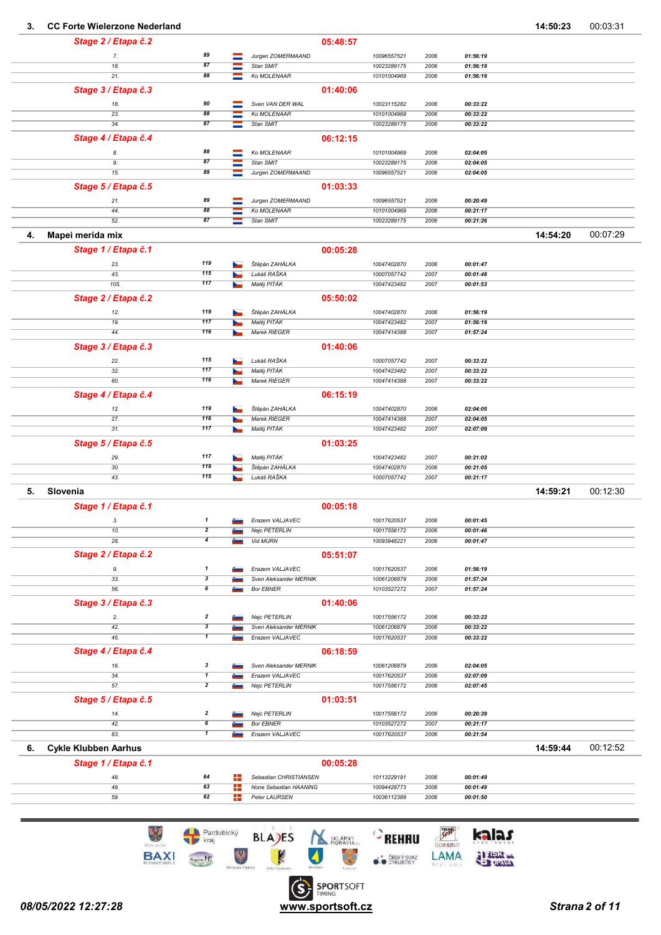#### 3. CC Forte Wielerzone Nederland 23. CC Forte Wielerzone Nederland

| Stage 2 / Etapa č.2               |                                      |    |                                         | 05:48:57 |                            |              |                      |          |          |
|-----------------------------------|--------------------------------------|----|-----------------------------------------|----------|----------------------------|--------------|----------------------|----------|----------|
| 7.                                | 89                                   | -  | Jurgen ZOMERMAAND                       |          | 10096557521                | 2006         | 01:56:19             |          |          |
| 18.                               | 87                                   |    | Stan SMIT                               |          | 10023289175                | 2006         | 01:56:19             |          |          |
| 21.                               | 88                                   |    | Ko MOLENAAR                             |          | 10101004969                | 2006         | 01:56:19             |          |          |
| Stage 3 / Etapa č.3               |                                      |    |                                         | 01:40:06 |                            |              |                      |          |          |
| 18.                               | 90                                   |    | Sven VAN DER WAL                        |          | 10023115282                | 2006         | 00:33:22             |          |          |
| 23.                               | 88                                   |    | Ko MOLENAAR                             |          | 10101004969                | 2006         | 00:33:22             |          |          |
| 34.                               | 87                                   |    | Stan SMIT                               |          | 10023289175                | 2006         | 00:33:22             |          |          |
| Stage 4 / Etapa č.4               |                                      |    |                                         | 06:12:15 |                            |              |                      |          |          |
|                                   | 88                                   |    |                                         |          |                            |              |                      |          |          |
| 8.<br>9.                          | 87                                   |    | Ko MOLENAAR<br>Stan SMIT                |          | 10101004969<br>10023289175 | 2006<br>2006 | 02:04:05<br>02:04:05 |          |          |
| 15.                               | 89                                   | -  | Jurgen ZOMERMAAND                       |          | 10096557521                | 2006         | 02:04:05             |          |          |
|                                   |                                      |    |                                         |          |                            |              |                      |          |          |
| Stage 5 / Etapa č.5               |                                      |    |                                         | 01:03:33 |                            |              |                      |          |          |
| 21.                               | 89                                   | -  | Jurgen ZOMERMAAND                       |          | 10096557521                | 2006         | 00:20:49             |          |          |
| 44.<br>52.                        | 88<br>87                             |    | Ko MOLENAAR<br>Stan SMIT                |          | 10101004969<br>10023289175 | 2006<br>2006 | 00:21:17<br>00:21:26 |          |          |
|                                   |                                      |    |                                         |          |                            |              |                      |          |          |
| Mapei merida mix<br>4.            |                                      |    |                                         |          |                            |              |                      | 14:54:20 | 00:07:29 |
| Stage 1 / Etapa č.1               |                                      |    |                                         | 00:05:28 |                            |              |                      |          |          |
| 23.                               | 119                                  |    | Štěpán ZAHÁLKA                          |          | 10047402870                | 2006         | 00:01:47             |          |          |
| 43.                               | 115                                  |    | Lukáš RAŠKA                             |          | 10007057742                | 2007         | 00:01:48             |          |          |
| 105.                              | 117                                  |    | Matěj PITÁK                             |          | 10047423482                | 2007         | 00:01:53             |          |          |
| Stage 2 / Etapa č.2               |                                      |    |                                         | 05:50:02 |                            |              |                      |          |          |
| 12.                               | 119                                  |    | Štěpán ZAHÁLKA                          |          | 10047402870                | 2006         | 01:56:19             |          |          |
| 19.                               | 117                                  |    | Matěj PITÁK                             |          | 10047423482                | 2007         | 01:56:19             |          |          |
| 44.                               | 116                                  |    | Marek RIEGER                            |          | 10047414388                | 2007         | 01:57:24             |          |          |
| Stage 3 / Etapa č.3               |                                      |    |                                         | 01:40:06 |                            |              |                      |          |          |
|                                   |                                      |    |                                         |          |                            |              |                      |          |          |
| 22.<br>32.                        | 115<br>117                           |    | Lukáš RAŠKA<br>Matěj PITÁK              |          | 10007057742<br>10047423482 | 2007<br>2007 | 00:33:22<br>00:33:22 |          |          |
| 60.                               | 116                                  |    | Marek RIEGER                            |          | 10047414388                | 2007         | 00:33:22             |          |          |
|                                   |                                      |    |                                         |          |                            |              |                      |          |          |
| Stage 4 / Etapa č.4               |                                      |    |                                         | 06:15:19 |                            |              |                      |          |          |
| 12.                               | 119                                  |    | Štěpán ZAHÁLKA                          |          | 10047402870                | 2006         | 02:04:05             |          |          |
| 27.<br>31.                        | 116<br>117                           |    | Marek RIEGER<br>Matěj PITÁK             |          | 10047414388<br>10047423482 | 2007<br>2007 | 02:04:05<br>02:07:09 |          |          |
|                                   |                                      |    |                                         |          |                            |              |                      |          |          |
| Stage 5 / Etapa č.5               |                                      |    |                                         | 01:03:25 |                            |              |                      |          |          |
| 29.                               | 117                                  |    | Matěj PITÁK                             |          | 10047423482                | 2007         | 00:21:02             |          |          |
| 30.                               | 119<br>115                           |    | Štěpán ZAHÁLKA<br>Lukáš RAŠKA           |          | 10047402870                | 2006         | 00:21:05             |          |          |
| 43.                               |                                      |    |                                         |          | 10007057742                | 2007         | 00:21:17             |          |          |
| 5.<br>Slovenia                    |                                      |    |                                         |          |                            |              |                      | 14:59:21 | 00:12:30 |
| Stage 1 / Etapa č.1               |                                      |    |                                         | 00:05:18 |                            |              |                      |          |          |
| 3.                                | $\mathbf{1}$                         | ست | Erazem VALJAVEC                         |          | 10017620537                | 2006         | 00:01:45             |          |          |
| 10.                               | 2                                    |    | Nejc PETERLIN                           |          | 10017556172                | 2006         | 00:01:46             |          |          |
| 28.                               | $\overline{\mathbf{4}}$              |    | Vid MURN                                |          | 10093948221                | 2006         | 00:01:47             |          |          |
| Stage 2 / Etapa č.2               |                                      |    |                                         | 05:51:07 |                            |              |                      |          |          |
| 9.                                | $\mathbf{1}$                         |    | Erazem VALJAVEC                         |          | 10017620537                | 2006         | 01:56:19             |          |          |
| 33.                               | 3                                    |    | Sven Aleksander MERNIK                  |          | 10061206879                | 2006         | 01:57:24             |          |          |
| 56.                               | $\pmb{6}$                            |    | <b>Bor EBNER</b>                        |          | 10103527272                | 2007         | 01:57:24             |          |          |
| Stage 3 / Etapa č.3               |                                      |    |                                         | 01:40:06 |                            |              |                      |          |          |
| 2.                                | $\overline{\mathbf{z}}$              |    | Nejc PETERLIN                           |          | 10017556172                | 2006         | 00:33:22             |          |          |
| 42.                               | $\overline{\mathbf{3}}$              |    | Sven Aleksander MERNIK                  |          | 10061206879                | 2006         | 00:33:22             |          |          |
| 45.                               | $\overline{\mathbf{1}}$              |    | Erazem VALJAVEC                         |          | 10017620537                | 2006         | 00:33:22             |          |          |
| Stage 4 / Etapa č.4               |                                      |    |                                         | 06:18:59 |                            |              |                      |          |          |
| 16.                               | $\boldsymbol{\mathsf{3}}$            |    | Sven Aleksander MERNIK                  |          | 10061206879                | 2006         | 02:04:05             |          |          |
| 34.                               | $\overline{\mathbf{1}}$              |    | Erazem VALJAVEC                         |          | 10017620537                | 2006         | 02:07:09             |          |          |
| 57.                               | $\overline{2}$                       |    | Nejc PETERLIN                           |          | 10017556172                | 2006         | 02:07:45             |          |          |
| Stage 5 / Etapa č.5               |                                      |    |                                         | 01:03:51 |                            |              |                      |          |          |
|                                   |                                      |    |                                         |          |                            |              |                      |          |          |
| 14.<br>42.                        | $\overline{\mathbf{2}}$<br>$\pmb{6}$ |    | Nejc PETERLIN<br><b>Bor EBNER</b>       |          | 10017556172<br>10103527272 | 2006<br>2007 | 00:20:39<br>00:21:17 |          |          |
| 83.                               | $\overline{\mathbf{1}}$              |    | Erazem VALJAVEC                         |          | 10017620537                | 2006         | 00:21:54             |          |          |
| <b>Cykle Klubben Aarhus</b><br>6. |                                      |    |                                         |          |                            |              |                      | 14:59:44 | 00:12:52 |
|                                   |                                      |    |                                         |          |                            |              |                      |          |          |
| Stage 1 / Etapa č.1               |                                      |    |                                         | 00:05:28 |                            |              |                      |          |          |
| 48.                               | 64                                   | ÷  | Sebastian CHRISTIANSEN                  |          | 10113229191                | 2006         | 00:01:49             |          |          |
| 49.<br>59.                        | 63<br>62                             | ÷  | None Sebastian HAANING<br>Peter LAURSEN |          | 10094428773                | 2006<br>2006 | 00:01:49<br>00:01:50 |          |          |
|                                   |                                      | ۰. |                                         |          | 10036112389                |              |                      |          |          |
|                                   |                                      |    |                                         |          |                            |              |                      |          |          |

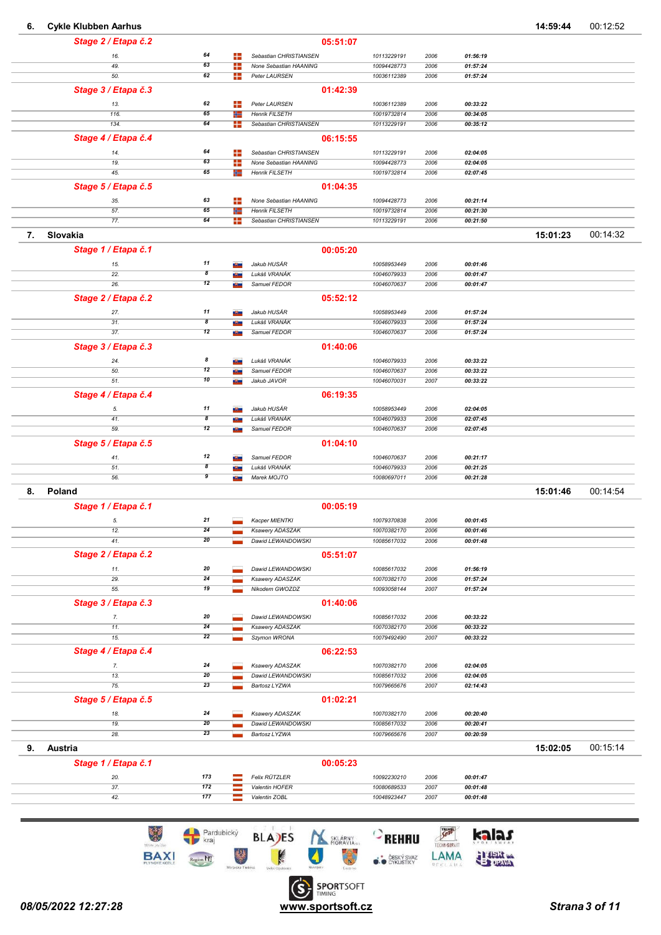| Stage 2 / Etapa č.2<br>05:51:07<br>64<br>╊<br>Sebastian CHRISTIANSEN<br>10113229191<br>2006<br>01:56:19<br>16.<br>63<br>÷<br>49.<br>None Sebastian HAANING<br>10094428773<br>2006<br>01:57:24<br>62<br>÷<br>50.<br>Peter LAURSEN<br>10036112389<br>2006<br>01:57:24<br>Stage 3 / Etapa č.3<br>01:42:39<br>13.<br>62<br>╇<br>Peter LAURSEN<br>10036112389<br>00:33:22<br>2006<br>65<br>116.<br><b>Henrik FILSETH</b><br>10019732814<br>2006<br>00:34:05<br>÷<br>134.<br>64<br>╇<br>Sebastian CHRISTIANSEN<br>10113229191<br>2006<br>00:35:12<br>06:15:55<br>Stage 4 / Etapa č.4<br>64<br>14.<br>÷<br>Sebastian CHRISTIANSEN<br>10113229191<br>2006<br>02:04:05<br>63<br>÷<br>None Sebastian HAANING<br>10094428773<br>2006<br>19.<br>02:04:05<br>65<br>45.<br>₩<br>Henrik FILSETH<br>10019732814<br>2006<br>02:07:45<br>01:04:35<br>Stage 5 / Etapa č.5<br>63<br>÷<br>None Sebastian HAANING<br>2006<br>00:21:14<br>35.<br>10094428773<br>65<br>57.<br><b>Henrik FILSETH</b><br>10019732814<br>2006<br>00:21:30<br>÷<br>64<br>77.<br>╇<br>Sebastian CHRISTIANSEN<br>10113229191<br>2006<br>00:21:50<br>Slovakia<br>15:01:23<br>7.<br>Stage 1 / Etapa č.1<br>00:05:20<br>11<br>Jakub HUSÁR<br>00:01:46<br>15.<br>10058953449<br>2006<br>a San<br>$\overline{\boldsymbol{s}}$<br>22.<br>Lukáš VRANÁK<br>10046079933<br>2006<br>00:01:47<br>a San<br>12<br>26.<br>Samuel FEDOR<br>10046070637<br>2006<br>00:01:47<br>65<br>Stage 2 / Etapa č.2<br>05:52:12<br>11<br>27.<br>Jakub HUSÁR<br>2006<br>01:57:24<br>10058953449<br>$\overline{\boldsymbol{s}}$<br>31.<br>Lukáš VRANÁK<br>10046079933<br>2006<br>01:57:24<br>ستل<br>12<br>37.<br>Samuel FEDOR<br>10046070637<br>2006<br>01:57:24<br>ستل<br>Stage 3 / Etapa č.3<br>01:40:06<br>8<br>Lukáš VRANÁK<br>2006<br>24.<br>10046079933<br>00:33:22<br>12<br>50.<br>Samuel FEDOR<br>10046070637<br>2006<br>00:33:22<br>10<br>51.<br>Jakub JAVOR<br>10046070031<br>2007<br>00:33:22<br><b>Birth</b><br>Stage 4 / Etapa č.4<br>06:19:35<br>11<br>Jakub HUSÁR<br>5.<br>10058953449<br>2006<br>02:04:05<br>$\overline{\boldsymbol{8}}$<br>41.<br>Lukáš VRANÁK<br>2006<br>10046079933<br>02:07:45<br><b>State</b><br>12<br>59.<br>Samuel FEDOR<br>10046070637<br>2006<br>02:07:45<br>ست<br>Stage 5 / Etapa č.5<br>01:04:10<br>12<br>Samuel FEDOR<br>00:21:17<br>41.<br>10046070637<br>2006<br>$\overline{\boldsymbol{s}}$<br>51.<br>Lukáš VRANÁK<br>10046079933<br>2006<br>00:21:25<br>a ba<br>9<br>56.<br>Marek MOJTO<br>10080697011<br>2006<br>00:21:28<br><b>Birthday</b><br>Poland<br>8.<br>15:01:46<br>Stage 1 / Etapa č.1<br>00:05:19<br>21<br>Kacper MIENTKI<br>5.<br>10079370838<br>2006<br>00:01:45<br>24<br>Ksawery ADASZAK<br>10070382170<br>2006<br>00:01:46<br>12.<br>20<br>Dawid LEWANDOWSKI<br>00:01:48<br>41.<br>10085617032<br>2006<br>Stage 2 / Etapa č.2<br>05:51:07<br>20<br>Dawid LEWANDOWSKI<br>2006<br>10085617032<br>01:56:19<br>11.<br>24<br>29.<br>Ksawery ADASZAK<br>10070382170<br>2006<br>01:57:24<br>19<br>55.<br>Nikodem GWOZDZ<br>10093058144<br>2007<br>01:57:24<br>Stage 3 / Etapa č.3<br>01:40:06<br>20<br>Dawid LEWANDOWSKI<br>00:33:22<br>7.<br>10085617032<br>2006<br>24<br>11.<br>Ksawery ADASZAK<br>10070382170<br>2006<br>00:33:22<br>22<br>15.<br>Szymon WRONA<br>10079492490<br>2007<br>00:33:22<br>Stage 4 / Etapa č.4<br>06:22:53<br>24<br>7.<br>Ksawery ADASZAK<br>10070382170<br>2006<br>02:04:05<br>20<br>Dawid LEWANDOWSKI<br>2006<br>02:04:05<br>13.<br>10085617032<br>23<br>75.<br>Bartosz LYZWA<br>10079665676<br>2007<br>02:14:43<br>Stage 5 / Etapa č.5<br>01:02:21<br>24<br>Ksawery ADASZAK<br>2006<br>10070382170<br>00:20:40<br>18.<br>20<br>Dawid LEWANDOWSKI<br>10085617032<br>2006<br>00:20:41<br>19.<br>23<br>28.<br>Bartosz LYZWA<br>10079665676<br>2007<br>00:20:59 | 00:12:52 | 14:59:44 |  |  |  |  | <b>Cykle Klubben Aarhus</b> | 6. |
|--------------------------------------------------------------------------------------------------------------------------------------------------------------------------------------------------------------------------------------------------------------------------------------------------------------------------------------------------------------------------------------------------------------------------------------------------------------------------------------------------------------------------------------------------------------------------------------------------------------------------------------------------------------------------------------------------------------------------------------------------------------------------------------------------------------------------------------------------------------------------------------------------------------------------------------------------------------------------------------------------------------------------------------------------------------------------------------------------------------------------------------------------------------------------------------------------------------------------------------------------------------------------------------------------------------------------------------------------------------------------------------------------------------------------------------------------------------------------------------------------------------------------------------------------------------------------------------------------------------------------------------------------------------------------------------------------------------------------------------------------------------------------------------------------------------------------------------------------------------------------------------------------------------------------------------------------------------------------------------------------------------------------------------------------------------------------------------------------------------------------------------------------------------------------------------------------------------------------------------------------------------------------------------------------------------------------------------------------------------------------------------------------------------------------------------------------------------------------------------------------------------------------------------------------------------------------------------------------------------------------------------------------------------------------------------------------------------------------------------------------------------------------------------------------------------------------------------------------------------------------------------------------------------------------------------------------------------------------------------------------------------------------------------------------------------------------------------------------------------------------------------------------------------------------------------------------------------------------------------------------------------------------------------------------------------------------------------------------------------------------------------------------------------------------------------------------------------------------------------------------------------------------------------------------------------------------------------------------------------------------------------------------------------------------------------------------------------------------------------------------------------------------|----------|----------|--|--|--|--|-----------------------------|----|
|                                                                                                                                                                                                                                                                                                                                                                                                                                                                                                                                                                                                                                                                                                                                                                                                                                                                                                                                                                                                                                                                                                                                                                                                                                                                                                                                                                                                                                                                                                                                                                                                                                                                                                                                                                                                                                                                                                                                                                                                                                                                                                                                                                                                                                                                                                                                                                                                                                                                                                                                                                                                                                                                                                                                                                                                                                                                                                                                                                                                                                                                                                                                                                                                                                                                                                                                                                                                                                                                                                                                                                                                                                                                                                                                                                          |          |          |  |  |  |  |                             |    |
|                                                                                                                                                                                                                                                                                                                                                                                                                                                                                                                                                                                                                                                                                                                                                                                                                                                                                                                                                                                                                                                                                                                                                                                                                                                                                                                                                                                                                                                                                                                                                                                                                                                                                                                                                                                                                                                                                                                                                                                                                                                                                                                                                                                                                                                                                                                                                                                                                                                                                                                                                                                                                                                                                                                                                                                                                                                                                                                                                                                                                                                                                                                                                                                                                                                                                                                                                                                                                                                                                                                                                                                                                                                                                                                                                                          |          |          |  |  |  |  |                             |    |
|                                                                                                                                                                                                                                                                                                                                                                                                                                                                                                                                                                                                                                                                                                                                                                                                                                                                                                                                                                                                                                                                                                                                                                                                                                                                                                                                                                                                                                                                                                                                                                                                                                                                                                                                                                                                                                                                                                                                                                                                                                                                                                                                                                                                                                                                                                                                                                                                                                                                                                                                                                                                                                                                                                                                                                                                                                                                                                                                                                                                                                                                                                                                                                                                                                                                                                                                                                                                                                                                                                                                                                                                                                                                                                                                                                          |          |          |  |  |  |  |                             |    |
|                                                                                                                                                                                                                                                                                                                                                                                                                                                                                                                                                                                                                                                                                                                                                                                                                                                                                                                                                                                                                                                                                                                                                                                                                                                                                                                                                                                                                                                                                                                                                                                                                                                                                                                                                                                                                                                                                                                                                                                                                                                                                                                                                                                                                                                                                                                                                                                                                                                                                                                                                                                                                                                                                                                                                                                                                                                                                                                                                                                                                                                                                                                                                                                                                                                                                                                                                                                                                                                                                                                                                                                                                                                                                                                                                                          |          |          |  |  |  |  |                             |    |
|                                                                                                                                                                                                                                                                                                                                                                                                                                                                                                                                                                                                                                                                                                                                                                                                                                                                                                                                                                                                                                                                                                                                                                                                                                                                                                                                                                                                                                                                                                                                                                                                                                                                                                                                                                                                                                                                                                                                                                                                                                                                                                                                                                                                                                                                                                                                                                                                                                                                                                                                                                                                                                                                                                                                                                                                                                                                                                                                                                                                                                                                                                                                                                                                                                                                                                                                                                                                                                                                                                                                                                                                                                                                                                                                                                          |          |          |  |  |  |  |                             |    |
|                                                                                                                                                                                                                                                                                                                                                                                                                                                                                                                                                                                                                                                                                                                                                                                                                                                                                                                                                                                                                                                                                                                                                                                                                                                                                                                                                                                                                                                                                                                                                                                                                                                                                                                                                                                                                                                                                                                                                                                                                                                                                                                                                                                                                                                                                                                                                                                                                                                                                                                                                                                                                                                                                                                                                                                                                                                                                                                                                                                                                                                                                                                                                                                                                                                                                                                                                                                                                                                                                                                                                                                                                                                                                                                                                                          |          |          |  |  |  |  |                             |    |
|                                                                                                                                                                                                                                                                                                                                                                                                                                                                                                                                                                                                                                                                                                                                                                                                                                                                                                                                                                                                                                                                                                                                                                                                                                                                                                                                                                                                                                                                                                                                                                                                                                                                                                                                                                                                                                                                                                                                                                                                                                                                                                                                                                                                                                                                                                                                                                                                                                                                                                                                                                                                                                                                                                                                                                                                                                                                                                                                                                                                                                                                                                                                                                                                                                                                                                                                                                                                                                                                                                                                                                                                                                                                                                                                                                          |          |          |  |  |  |  |                             |    |
|                                                                                                                                                                                                                                                                                                                                                                                                                                                                                                                                                                                                                                                                                                                                                                                                                                                                                                                                                                                                                                                                                                                                                                                                                                                                                                                                                                                                                                                                                                                                                                                                                                                                                                                                                                                                                                                                                                                                                                                                                                                                                                                                                                                                                                                                                                                                                                                                                                                                                                                                                                                                                                                                                                                                                                                                                                                                                                                                                                                                                                                                                                                                                                                                                                                                                                                                                                                                                                                                                                                                                                                                                                                                                                                                                                          |          |          |  |  |  |  |                             |    |
|                                                                                                                                                                                                                                                                                                                                                                                                                                                                                                                                                                                                                                                                                                                                                                                                                                                                                                                                                                                                                                                                                                                                                                                                                                                                                                                                                                                                                                                                                                                                                                                                                                                                                                                                                                                                                                                                                                                                                                                                                                                                                                                                                                                                                                                                                                                                                                                                                                                                                                                                                                                                                                                                                                                                                                                                                                                                                                                                                                                                                                                                                                                                                                                                                                                                                                                                                                                                                                                                                                                                                                                                                                                                                                                                                                          |          |          |  |  |  |  |                             |    |
|                                                                                                                                                                                                                                                                                                                                                                                                                                                                                                                                                                                                                                                                                                                                                                                                                                                                                                                                                                                                                                                                                                                                                                                                                                                                                                                                                                                                                                                                                                                                                                                                                                                                                                                                                                                                                                                                                                                                                                                                                                                                                                                                                                                                                                                                                                                                                                                                                                                                                                                                                                                                                                                                                                                                                                                                                                                                                                                                                                                                                                                                                                                                                                                                                                                                                                                                                                                                                                                                                                                                                                                                                                                                                                                                                                          |          |          |  |  |  |  |                             |    |
|                                                                                                                                                                                                                                                                                                                                                                                                                                                                                                                                                                                                                                                                                                                                                                                                                                                                                                                                                                                                                                                                                                                                                                                                                                                                                                                                                                                                                                                                                                                                                                                                                                                                                                                                                                                                                                                                                                                                                                                                                                                                                                                                                                                                                                                                                                                                                                                                                                                                                                                                                                                                                                                                                                                                                                                                                                                                                                                                                                                                                                                                                                                                                                                                                                                                                                                                                                                                                                                                                                                                                                                                                                                                                                                                                                          |          |          |  |  |  |  |                             |    |
|                                                                                                                                                                                                                                                                                                                                                                                                                                                                                                                                                                                                                                                                                                                                                                                                                                                                                                                                                                                                                                                                                                                                                                                                                                                                                                                                                                                                                                                                                                                                                                                                                                                                                                                                                                                                                                                                                                                                                                                                                                                                                                                                                                                                                                                                                                                                                                                                                                                                                                                                                                                                                                                                                                                                                                                                                                                                                                                                                                                                                                                                                                                                                                                                                                                                                                                                                                                                                                                                                                                                                                                                                                                                                                                                                                          |          |          |  |  |  |  |                             |    |
|                                                                                                                                                                                                                                                                                                                                                                                                                                                                                                                                                                                                                                                                                                                                                                                                                                                                                                                                                                                                                                                                                                                                                                                                                                                                                                                                                                                                                                                                                                                                                                                                                                                                                                                                                                                                                                                                                                                                                                                                                                                                                                                                                                                                                                                                                                                                                                                                                                                                                                                                                                                                                                                                                                                                                                                                                                                                                                                                                                                                                                                                                                                                                                                                                                                                                                                                                                                                                                                                                                                                                                                                                                                                                                                                                                          |          |          |  |  |  |  |                             |    |
|                                                                                                                                                                                                                                                                                                                                                                                                                                                                                                                                                                                                                                                                                                                                                                                                                                                                                                                                                                                                                                                                                                                                                                                                                                                                                                                                                                                                                                                                                                                                                                                                                                                                                                                                                                                                                                                                                                                                                                                                                                                                                                                                                                                                                                                                                                                                                                                                                                                                                                                                                                                                                                                                                                                                                                                                                                                                                                                                                                                                                                                                                                                                                                                                                                                                                                                                                                                                                                                                                                                                                                                                                                                                                                                                                                          |          |          |  |  |  |  |                             |    |
|                                                                                                                                                                                                                                                                                                                                                                                                                                                                                                                                                                                                                                                                                                                                                                                                                                                                                                                                                                                                                                                                                                                                                                                                                                                                                                                                                                                                                                                                                                                                                                                                                                                                                                                                                                                                                                                                                                                                                                                                                                                                                                                                                                                                                                                                                                                                                                                                                                                                                                                                                                                                                                                                                                                                                                                                                                                                                                                                                                                                                                                                                                                                                                                                                                                                                                                                                                                                                                                                                                                                                                                                                                                                                                                                                                          |          |          |  |  |  |  |                             |    |
|                                                                                                                                                                                                                                                                                                                                                                                                                                                                                                                                                                                                                                                                                                                                                                                                                                                                                                                                                                                                                                                                                                                                                                                                                                                                                                                                                                                                                                                                                                                                                                                                                                                                                                                                                                                                                                                                                                                                                                                                                                                                                                                                                                                                                                                                                                                                                                                                                                                                                                                                                                                                                                                                                                                                                                                                                                                                                                                                                                                                                                                                                                                                                                                                                                                                                                                                                                                                                                                                                                                                                                                                                                                                                                                                                                          |          |          |  |  |  |  |                             |    |
|                                                                                                                                                                                                                                                                                                                                                                                                                                                                                                                                                                                                                                                                                                                                                                                                                                                                                                                                                                                                                                                                                                                                                                                                                                                                                                                                                                                                                                                                                                                                                                                                                                                                                                                                                                                                                                                                                                                                                                                                                                                                                                                                                                                                                                                                                                                                                                                                                                                                                                                                                                                                                                                                                                                                                                                                                                                                                                                                                                                                                                                                                                                                                                                                                                                                                                                                                                                                                                                                                                                                                                                                                                                                                                                                                                          |          |          |  |  |  |  |                             |    |
|                                                                                                                                                                                                                                                                                                                                                                                                                                                                                                                                                                                                                                                                                                                                                                                                                                                                                                                                                                                                                                                                                                                                                                                                                                                                                                                                                                                                                                                                                                                                                                                                                                                                                                                                                                                                                                                                                                                                                                                                                                                                                                                                                                                                                                                                                                                                                                                                                                                                                                                                                                                                                                                                                                                                                                                                                                                                                                                                                                                                                                                                                                                                                                                                                                                                                                                                                                                                                                                                                                                                                                                                                                                                                                                                                                          | 00:14:32 |          |  |  |  |  |                             |    |
|                                                                                                                                                                                                                                                                                                                                                                                                                                                                                                                                                                                                                                                                                                                                                                                                                                                                                                                                                                                                                                                                                                                                                                                                                                                                                                                                                                                                                                                                                                                                                                                                                                                                                                                                                                                                                                                                                                                                                                                                                                                                                                                                                                                                                                                                                                                                                                                                                                                                                                                                                                                                                                                                                                                                                                                                                                                                                                                                                                                                                                                                                                                                                                                                                                                                                                                                                                                                                                                                                                                                                                                                                                                                                                                                                                          |          |          |  |  |  |  |                             |    |
|                                                                                                                                                                                                                                                                                                                                                                                                                                                                                                                                                                                                                                                                                                                                                                                                                                                                                                                                                                                                                                                                                                                                                                                                                                                                                                                                                                                                                                                                                                                                                                                                                                                                                                                                                                                                                                                                                                                                                                                                                                                                                                                                                                                                                                                                                                                                                                                                                                                                                                                                                                                                                                                                                                                                                                                                                                                                                                                                                                                                                                                                                                                                                                                                                                                                                                                                                                                                                                                                                                                                                                                                                                                                                                                                                                          |          |          |  |  |  |  |                             |    |
|                                                                                                                                                                                                                                                                                                                                                                                                                                                                                                                                                                                                                                                                                                                                                                                                                                                                                                                                                                                                                                                                                                                                                                                                                                                                                                                                                                                                                                                                                                                                                                                                                                                                                                                                                                                                                                                                                                                                                                                                                                                                                                                                                                                                                                                                                                                                                                                                                                                                                                                                                                                                                                                                                                                                                                                                                                                                                                                                                                                                                                                                                                                                                                                                                                                                                                                                                                                                                                                                                                                                                                                                                                                                                                                                                                          |          |          |  |  |  |  |                             |    |
|                                                                                                                                                                                                                                                                                                                                                                                                                                                                                                                                                                                                                                                                                                                                                                                                                                                                                                                                                                                                                                                                                                                                                                                                                                                                                                                                                                                                                                                                                                                                                                                                                                                                                                                                                                                                                                                                                                                                                                                                                                                                                                                                                                                                                                                                                                                                                                                                                                                                                                                                                                                                                                                                                                                                                                                                                                                                                                                                                                                                                                                                                                                                                                                                                                                                                                                                                                                                                                                                                                                                                                                                                                                                                                                                                                          |          |          |  |  |  |  |                             |    |
|                                                                                                                                                                                                                                                                                                                                                                                                                                                                                                                                                                                                                                                                                                                                                                                                                                                                                                                                                                                                                                                                                                                                                                                                                                                                                                                                                                                                                                                                                                                                                                                                                                                                                                                                                                                                                                                                                                                                                                                                                                                                                                                                                                                                                                                                                                                                                                                                                                                                                                                                                                                                                                                                                                                                                                                                                                                                                                                                                                                                                                                                                                                                                                                                                                                                                                                                                                                                                                                                                                                                                                                                                                                                                                                                                                          |          |          |  |  |  |  |                             |    |
|                                                                                                                                                                                                                                                                                                                                                                                                                                                                                                                                                                                                                                                                                                                                                                                                                                                                                                                                                                                                                                                                                                                                                                                                                                                                                                                                                                                                                                                                                                                                                                                                                                                                                                                                                                                                                                                                                                                                                                                                                                                                                                                                                                                                                                                                                                                                                                                                                                                                                                                                                                                                                                                                                                                                                                                                                                                                                                                                                                                                                                                                                                                                                                                                                                                                                                                                                                                                                                                                                                                                                                                                                                                                                                                                                                          |          |          |  |  |  |  |                             |    |
|                                                                                                                                                                                                                                                                                                                                                                                                                                                                                                                                                                                                                                                                                                                                                                                                                                                                                                                                                                                                                                                                                                                                                                                                                                                                                                                                                                                                                                                                                                                                                                                                                                                                                                                                                                                                                                                                                                                                                                                                                                                                                                                                                                                                                                                                                                                                                                                                                                                                                                                                                                                                                                                                                                                                                                                                                                                                                                                                                                                                                                                                                                                                                                                                                                                                                                                                                                                                                                                                                                                                                                                                                                                                                                                                                                          |          |          |  |  |  |  |                             |    |
|                                                                                                                                                                                                                                                                                                                                                                                                                                                                                                                                                                                                                                                                                                                                                                                                                                                                                                                                                                                                                                                                                                                                                                                                                                                                                                                                                                                                                                                                                                                                                                                                                                                                                                                                                                                                                                                                                                                                                                                                                                                                                                                                                                                                                                                                                                                                                                                                                                                                                                                                                                                                                                                                                                                                                                                                                                                                                                                                                                                                                                                                                                                                                                                                                                                                                                                                                                                                                                                                                                                                                                                                                                                                                                                                                                          |          |          |  |  |  |  |                             |    |
|                                                                                                                                                                                                                                                                                                                                                                                                                                                                                                                                                                                                                                                                                                                                                                                                                                                                                                                                                                                                                                                                                                                                                                                                                                                                                                                                                                                                                                                                                                                                                                                                                                                                                                                                                                                                                                                                                                                                                                                                                                                                                                                                                                                                                                                                                                                                                                                                                                                                                                                                                                                                                                                                                                                                                                                                                                                                                                                                                                                                                                                                                                                                                                                                                                                                                                                                                                                                                                                                                                                                                                                                                                                                                                                                                                          |          |          |  |  |  |  |                             |    |
|                                                                                                                                                                                                                                                                                                                                                                                                                                                                                                                                                                                                                                                                                                                                                                                                                                                                                                                                                                                                                                                                                                                                                                                                                                                                                                                                                                                                                                                                                                                                                                                                                                                                                                                                                                                                                                                                                                                                                                                                                                                                                                                                                                                                                                                                                                                                                                                                                                                                                                                                                                                                                                                                                                                                                                                                                                                                                                                                                                                                                                                                                                                                                                                                                                                                                                                                                                                                                                                                                                                                                                                                                                                                                                                                                                          |          |          |  |  |  |  |                             |    |
|                                                                                                                                                                                                                                                                                                                                                                                                                                                                                                                                                                                                                                                                                                                                                                                                                                                                                                                                                                                                                                                                                                                                                                                                                                                                                                                                                                                                                                                                                                                                                                                                                                                                                                                                                                                                                                                                                                                                                                                                                                                                                                                                                                                                                                                                                                                                                                                                                                                                                                                                                                                                                                                                                                                                                                                                                                                                                                                                                                                                                                                                                                                                                                                                                                                                                                                                                                                                                                                                                                                                                                                                                                                                                                                                                                          |          |          |  |  |  |  |                             |    |
|                                                                                                                                                                                                                                                                                                                                                                                                                                                                                                                                                                                                                                                                                                                                                                                                                                                                                                                                                                                                                                                                                                                                                                                                                                                                                                                                                                                                                                                                                                                                                                                                                                                                                                                                                                                                                                                                                                                                                                                                                                                                                                                                                                                                                                                                                                                                                                                                                                                                                                                                                                                                                                                                                                                                                                                                                                                                                                                                                                                                                                                                                                                                                                                                                                                                                                                                                                                                                                                                                                                                                                                                                                                                                                                                                                          |          |          |  |  |  |  |                             |    |
|                                                                                                                                                                                                                                                                                                                                                                                                                                                                                                                                                                                                                                                                                                                                                                                                                                                                                                                                                                                                                                                                                                                                                                                                                                                                                                                                                                                                                                                                                                                                                                                                                                                                                                                                                                                                                                                                                                                                                                                                                                                                                                                                                                                                                                                                                                                                                                                                                                                                                                                                                                                                                                                                                                                                                                                                                                                                                                                                                                                                                                                                                                                                                                                                                                                                                                                                                                                                                                                                                                                                                                                                                                                                                                                                                                          |          |          |  |  |  |  |                             |    |
|                                                                                                                                                                                                                                                                                                                                                                                                                                                                                                                                                                                                                                                                                                                                                                                                                                                                                                                                                                                                                                                                                                                                                                                                                                                                                                                                                                                                                                                                                                                                                                                                                                                                                                                                                                                                                                                                                                                                                                                                                                                                                                                                                                                                                                                                                                                                                                                                                                                                                                                                                                                                                                                                                                                                                                                                                                                                                                                                                                                                                                                                                                                                                                                                                                                                                                                                                                                                                                                                                                                                                                                                                                                                                                                                                                          |          |          |  |  |  |  |                             |    |
|                                                                                                                                                                                                                                                                                                                                                                                                                                                                                                                                                                                                                                                                                                                                                                                                                                                                                                                                                                                                                                                                                                                                                                                                                                                                                                                                                                                                                                                                                                                                                                                                                                                                                                                                                                                                                                                                                                                                                                                                                                                                                                                                                                                                                                                                                                                                                                                                                                                                                                                                                                                                                                                                                                                                                                                                                                                                                                                                                                                                                                                                                                                                                                                                                                                                                                                                                                                                                                                                                                                                                                                                                                                                                                                                                                          |          |          |  |  |  |  |                             |    |
|                                                                                                                                                                                                                                                                                                                                                                                                                                                                                                                                                                                                                                                                                                                                                                                                                                                                                                                                                                                                                                                                                                                                                                                                                                                                                                                                                                                                                                                                                                                                                                                                                                                                                                                                                                                                                                                                                                                                                                                                                                                                                                                                                                                                                                                                                                                                                                                                                                                                                                                                                                                                                                                                                                                                                                                                                                                                                                                                                                                                                                                                                                                                                                                                                                                                                                                                                                                                                                                                                                                                                                                                                                                                                                                                                                          |          |          |  |  |  |  |                             |    |
|                                                                                                                                                                                                                                                                                                                                                                                                                                                                                                                                                                                                                                                                                                                                                                                                                                                                                                                                                                                                                                                                                                                                                                                                                                                                                                                                                                                                                                                                                                                                                                                                                                                                                                                                                                                                                                                                                                                                                                                                                                                                                                                                                                                                                                                                                                                                                                                                                                                                                                                                                                                                                                                                                                                                                                                                                                                                                                                                                                                                                                                                                                                                                                                                                                                                                                                                                                                                                                                                                                                                                                                                                                                                                                                                                                          |          |          |  |  |  |  |                             |    |
|                                                                                                                                                                                                                                                                                                                                                                                                                                                                                                                                                                                                                                                                                                                                                                                                                                                                                                                                                                                                                                                                                                                                                                                                                                                                                                                                                                                                                                                                                                                                                                                                                                                                                                                                                                                                                                                                                                                                                                                                                                                                                                                                                                                                                                                                                                                                                                                                                                                                                                                                                                                                                                                                                                                                                                                                                                                                                                                                                                                                                                                                                                                                                                                                                                                                                                                                                                                                                                                                                                                                                                                                                                                                                                                                                                          |          |          |  |  |  |  |                             |    |
|                                                                                                                                                                                                                                                                                                                                                                                                                                                                                                                                                                                                                                                                                                                                                                                                                                                                                                                                                                                                                                                                                                                                                                                                                                                                                                                                                                                                                                                                                                                                                                                                                                                                                                                                                                                                                                                                                                                                                                                                                                                                                                                                                                                                                                                                                                                                                                                                                                                                                                                                                                                                                                                                                                                                                                                                                                                                                                                                                                                                                                                                                                                                                                                                                                                                                                                                                                                                                                                                                                                                                                                                                                                                                                                                                                          |          |          |  |  |  |  |                             |    |
|                                                                                                                                                                                                                                                                                                                                                                                                                                                                                                                                                                                                                                                                                                                                                                                                                                                                                                                                                                                                                                                                                                                                                                                                                                                                                                                                                                                                                                                                                                                                                                                                                                                                                                                                                                                                                                                                                                                                                                                                                                                                                                                                                                                                                                                                                                                                                                                                                                                                                                                                                                                                                                                                                                                                                                                                                                                                                                                                                                                                                                                                                                                                                                                                                                                                                                                                                                                                                                                                                                                                                                                                                                                                                                                                                                          |          |          |  |  |  |  |                             |    |
|                                                                                                                                                                                                                                                                                                                                                                                                                                                                                                                                                                                                                                                                                                                                                                                                                                                                                                                                                                                                                                                                                                                                                                                                                                                                                                                                                                                                                                                                                                                                                                                                                                                                                                                                                                                                                                                                                                                                                                                                                                                                                                                                                                                                                                                                                                                                                                                                                                                                                                                                                                                                                                                                                                                                                                                                                                                                                                                                                                                                                                                                                                                                                                                                                                                                                                                                                                                                                                                                                                                                                                                                                                                                                                                                                                          |          |          |  |  |  |  |                             |    |
|                                                                                                                                                                                                                                                                                                                                                                                                                                                                                                                                                                                                                                                                                                                                                                                                                                                                                                                                                                                                                                                                                                                                                                                                                                                                                                                                                                                                                                                                                                                                                                                                                                                                                                                                                                                                                                                                                                                                                                                                                                                                                                                                                                                                                                                                                                                                                                                                                                                                                                                                                                                                                                                                                                                                                                                                                                                                                                                                                                                                                                                                                                                                                                                                                                                                                                                                                                                                                                                                                                                                                                                                                                                                                                                                                                          |          |          |  |  |  |  |                             |    |
|                                                                                                                                                                                                                                                                                                                                                                                                                                                                                                                                                                                                                                                                                                                                                                                                                                                                                                                                                                                                                                                                                                                                                                                                                                                                                                                                                                                                                                                                                                                                                                                                                                                                                                                                                                                                                                                                                                                                                                                                                                                                                                                                                                                                                                                                                                                                                                                                                                                                                                                                                                                                                                                                                                                                                                                                                                                                                                                                                                                                                                                                                                                                                                                                                                                                                                                                                                                                                                                                                                                                                                                                                                                                                                                                                                          | 00:14:54 |          |  |  |  |  |                             |    |
|                                                                                                                                                                                                                                                                                                                                                                                                                                                                                                                                                                                                                                                                                                                                                                                                                                                                                                                                                                                                                                                                                                                                                                                                                                                                                                                                                                                                                                                                                                                                                                                                                                                                                                                                                                                                                                                                                                                                                                                                                                                                                                                                                                                                                                                                                                                                                                                                                                                                                                                                                                                                                                                                                                                                                                                                                                                                                                                                                                                                                                                                                                                                                                                                                                                                                                                                                                                                                                                                                                                                                                                                                                                                                                                                                                          |          |          |  |  |  |  |                             |    |
|                                                                                                                                                                                                                                                                                                                                                                                                                                                                                                                                                                                                                                                                                                                                                                                                                                                                                                                                                                                                                                                                                                                                                                                                                                                                                                                                                                                                                                                                                                                                                                                                                                                                                                                                                                                                                                                                                                                                                                                                                                                                                                                                                                                                                                                                                                                                                                                                                                                                                                                                                                                                                                                                                                                                                                                                                                                                                                                                                                                                                                                                                                                                                                                                                                                                                                                                                                                                                                                                                                                                                                                                                                                                                                                                                                          |          |          |  |  |  |  |                             |    |
|                                                                                                                                                                                                                                                                                                                                                                                                                                                                                                                                                                                                                                                                                                                                                                                                                                                                                                                                                                                                                                                                                                                                                                                                                                                                                                                                                                                                                                                                                                                                                                                                                                                                                                                                                                                                                                                                                                                                                                                                                                                                                                                                                                                                                                                                                                                                                                                                                                                                                                                                                                                                                                                                                                                                                                                                                                                                                                                                                                                                                                                                                                                                                                                                                                                                                                                                                                                                                                                                                                                                                                                                                                                                                                                                                                          |          |          |  |  |  |  |                             |    |
|                                                                                                                                                                                                                                                                                                                                                                                                                                                                                                                                                                                                                                                                                                                                                                                                                                                                                                                                                                                                                                                                                                                                                                                                                                                                                                                                                                                                                                                                                                                                                                                                                                                                                                                                                                                                                                                                                                                                                                                                                                                                                                                                                                                                                                                                                                                                                                                                                                                                                                                                                                                                                                                                                                                                                                                                                                                                                                                                                                                                                                                                                                                                                                                                                                                                                                                                                                                                                                                                                                                                                                                                                                                                                                                                                                          |          |          |  |  |  |  |                             |    |
|                                                                                                                                                                                                                                                                                                                                                                                                                                                                                                                                                                                                                                                                                                                                                                                                                                                                                                                                                                                                                                                                                                                                                                                                                                                                                                                                                                                                                                                                                                                                                                                                                                                                                                                                                                                                                                                                                                                                                                                                                                                                                                                                                                                                                                                                                                                                                                                                                                                                                                                                                                                                                                                                                                                                                                                                                                                                                                                                                                                                                                                                                                                                                                                                                                                                                                                                                                                                                                                                                                                                                                                                                                                                                                                                                                          |          |          |  |  |  |  |                             |    |
|                                                                                                                                                                                                                                                                                                                                                                                                                                                                                                                                                                                                                                                                                                                                                                                                                                                                                                                                                                                                                                                                                                                                                                                                                                                                                                                                                                                                                                                                                                                                                                                                                                                                                                                                                                                                                                                                                                                                                                                                                                                                                                                                                                                                                                                                                                                                                                                                                                                                                                                                                                                                                                                                                                                                                                                                                                                                                                                                                                                                                                                                                                                                                                                                                                                                                                                                                                                                                                                                                                                                                                                                                                                                                                                                                                          |          |          |  |  |  |  |                             |    |
|                                                                                                                                                                                                                                                                                                                                                                                                                                                                                                                                                                                                                                                                                                                                                                                                                                                                                                                                                                                                                                                                                                                                                                                                                                                                                                                                                                                                                                                                                                                                                                                                                                                                                                                                                                                                                                                                                                                                                                                                                                                                                                                                                                                                                                                                                                                                                                                                                                                                                                                                                                                                                                                                                                                                                                                                                                                                                                                                                                                                                                                                                                                                                                                                                                                                                                                                                                                                                                                                                                                                                                                                                                                                                                                                                                          |          |          |  |  |  |  |                             |    |
|                                                                                                                                                                                                                                                                                                                                                                                                                                                                                                                                                                                                                                                                                                                                                                                                                                                                                                                                                                                                                                                                                                                                                                                                                                                                                                                                                                                                                                                                                                                                                                                                                                                                                                                                                                                                                                                                                                                                                                                                                                                                                                                                                                                                                                                                                                                                                                                                                                                                                                                                                                                                                                                                                                                                                                                                                                                                                                                                                                                                                                                                                                                                                                                                                                                                                                                                                                                                                                                                                                                                                                                                                                                                                                                                                                          |          |          |  |  |  |  |                             |    |
|                                                                                                                                                                                                                                                                                                                                                                                                                                                                                                                                                                                                                                                                                                                                                                                                                                                                                                                                                                                                                                                                                                                                                                                                                                                                                                                                                                                                                                                                                                                                                                                                                                                                                                                                                                                                                                                                                                                                                                                                                                                                                                                                                                                                                                                                                                                                                                                                                                                                                                                                                                                                                                                                                                                                                                                                                                                                                                                                                                                                                                                                                                                                                                                                                                                                                                                                                                                                                                                                                                                                                                                                                                                                                                                                                                          |          |          |  |  |  |  |                             |    |
|                                                                                                                                                                                                                                                                                                                                                                                                                                                                                                                                                                                                                                                                                                                                                                                                                                                                                                                                                                                                                                                                                                                                                                                                                                                                                                                                                                                                                                                                                                                                                                                                                                                                                                                                                                                                                                                                                                                                                                                                                                                                                                                                                                                                                                                                                                                                                                                                                                                                                                                                                                                                                                                                                                                                                                                                                                                                                                                                                                                                                                                                                                                                                                                                                                                                                                                                                                                                                                                                                                                                                                                                                                                                                                                                                                          |          |          |  |  |  |  |                             |    |
|                                                                                                                                                                                                                                                                                                                                                                                                                                                                                                                                                                                                                                                                                                                                                                                                                                                                                                                                                                                                                                                                                                                                                                                                                                                                                                                                                                                                                                                                                                                                                                                                                                                                                                                                                                                                                                                                                                                                                                                                                                                                                                                                                                                                                                                                                                                                                                                                                                                                                                                                                                                                                                                                                                                                                                                                                                                                                                                                                                                                                                                                                                                                                                                                                                                                                                                                                                                                                                                                                                                                                                                                                                                                                                                                                                          |          |          |  |  |  |  |                             |    |
|                                                                                                                                                                                                                                                                                                                                                                                                                                                                                                                                                                                                                                                                                                                                                                                                                                                                                                                                                                                                                                                                                                                                                                                                                                                                                                                                                                                                                                                                                                                                                                                                                                                                                                                                                                                                                                                                                                                                                                                                                                                                                                                                                                                                                                                                                                                                                                                                                                                                                                                                                                                                                                                                                                                                                                                                                                                                                                                                                                                                                                                                                                                                                                                                                                                                                                                                                                                                                                                                                                                                                                                                                                                                                                                                                                          |          |          |  |  |  |  |                             |    |
|                                                                                                                                                                                                                                                                                                                                                                                                                                                                                                                                                                                                                                                                                                                                                                                                                                                                                                                                                                                                                                                                                                                                                                                                                                                                                                                                                                                                                                                                                                                                                                                                                                                                                                                                                                                                                                                                                                                                                                                                                                                                                                                                                                                                                                                                                                                                                                                                                                                                                                                                                                                                                                                                                                                                                                                                                                                                                                                                                                                                                                                                                                                                                                                                                                                                                                                                                                                                                                                                                                                                                                                                                                                                                                                                                                          |          |          |  |  |  |  |                             |    |
|                                                                                                                                                                                                                                                                                                                                                                                                                                                                                                                                                                                                                                                                                                                                                                                                                                                                                                                                                                                                                                                                                                                                                                                                                                                                                                                                                                                                                                                                                                                                                                                                                                                                                                                                                                                                                                                                                                                                                                                                                                                                                                                                                                                                                                                                                                                                                                                                                                                                                                                                                                                                                                                                                                                                                                                                                                                                                                                                                                                                                                                                                                                                                                                                                                                                                                                                                                                                                                                                                                                                                                                                                                                                                                                                                                          |          |          |  |  |  |  |                             |    |
|                                                                                                                                                                                                                                                                                                                                                                                                                                                                                                                                                                                                                                                                                                                                                                                                                                                                                                                                                                                                                                                                                                                                                                                                                                                                                                                                                                                                                                                                                                                                                                                                                                                                                                                                                                                                                                                                                                                                                                                                                                                                                                                                                                                                                                                                                                                                                                                                                                                                                                                                                                                                                                                                                                                                                                                                                                                                                                                                                                                                                                                                                                                                                                                                                                                                                                                                                                                                                                                                                                                                                                                                                                                                                                                                                                          |          |          |  |  |  |  |                             |    |
|                                                                                                                                                                                                                                                                                                                                                                                                                                                                                                                                                                                                                                                                                                                                                                                                                                                                                                                                                                                                                                                                                                                                                                                                                                                                                                                                                                                                                                                                                                                                                                                                                                                                                                                                                                                                                                                                                                                                                                                                                                                                                                                                                                                                                                                                                                                                                                                                                                                                                                                                                                                                                                                                                                                                                                                                                                                                                                                                                                                                                                                                                                                                                                                                                                                                                                                                                                                                                                                                                                                                                                                                                                                                                                                                                                          |          |          |  |  |  |  |                             |    |
|                                                                                                                                                                                                                                                                                                                                                                                                                                                                                                                                                                                                                                                                                                                                                                                                                                                                                                                                                                                                                                                                                                                                                                                                                                                                                                                                                                                                                                                                                                                                                                                                                                                                                                                                                                                                                                                                                                                                                                                                                                                                                                                                                                                                                                                                                                                                                                                                                                                                                                                                                                                                                                                                                                                                                                                                                                                                                                                                                                                                                                                                                                                                                                                                                                                                                                                                                                                                                                                                                                                                                                                                                                                                                                                                                                          |          |          |  |  |  |  |                             |    |
|                                                                                                                                                                                                                                                                                                                                                                                                                                                                                                                                                                                                                                                                                                                                                                                                                                                                                                                                                                                                                                                                                                                                                                                                                                                                                                                                                                                                                                                                                                                                                                                                                                                                                                                                                                                                                                                                                                                                                                                                                                                                                                                                                                                                                                                                                                                                                                                                                                                                                                                                                                                                                                                                                                                                                                                                                                                                                                                                                                                                                                                                                                                                                                                                                                                                                                                                                                                                                                                                                                                                                                                                                                                                                                                                                                          |          |          |  |  |  |  |                             |    |
|                                                                                                                                                                                                                                                                                                                                                                                                                                                                                                                                                                                                                                                                                                                                                                                                                                                                                                                                                                                                                                                                                                                                                                                                                                                                                                                                                                                                                                                                                                                                                                                                                                                                                                                                                                                                                                                                                                                                                                                                                                                                                                                                                                                                                                                                                                                                                                                                                                                                                                                                                                                                                                                                                                                                                                                                                                                                                                                                                                                                                                                                                                                                                                                                                                                                                                                                                                                                                                                                                                                                                                                                                                                                                                                                                                          |          |          |  |  |  |  |                             |    |
|                                                                                                                                                                                                                                                                                                                                                                                                                                                                                                                                                                                                                                                                                                                                                                                                                                                                                                                                                                                                                                                                                                                                                                                                                                                                                                                                                                                                                                                                                                                                                                                                                                                                                                                                                                                                                                                                                                                                                                                                                                                                                                                                                                                                                                                                                                                                                                                                                                                                                                                                                                                                                                                                                                                                                                                                                                                                                                                                                                                                                                                                                                                                                                                                                                                                                                                                                                                                                                                                                                                                                                                                                                                                                                                                                                          |          |          |  |  |  |  |                             |    |
|                                                                                                                                                                                                                                                                                                                                                                                                                                                                                                                                                                                                                                                                                                                                                                                                                                                                                                                                                                                                                                                                                                                                                                                                                                                                                                                                                                                                                                                                                                                                                                                                                                                                                                                                                                                                                                                                                                                                                                                                                                                                                                                                                                                                                                                                                                                                                                                                                                                                                                                                                                                                                                                                                                                                                                                                                                                                                                                                                                                                                                                                                                                                                                                                                                                                                                                                                                                                                                                                                                                                                                                                                                                                                                                                                                          |          |          |  |  |  |  |                             |    |
| 9.<br>15:02:05<br>Austria                                                                                                                                                                                                                                                                                                                                                                                                                                                                                                                                                                                                                                                                                                                                                                                                                                                                                                                                                                                                                                                                                                                                                                                                                                                                                                                                                                                                                                                                                                                                                                                                                                                                                                                                                                                                                                                                                                                                                                                                                                                                                                                                                                                                                                                                                                                                                                                                                                                                                                                                                                                                                                                                                                                                                                                                                                                                                                                                                                                                                                                                                                                                                                                                                                                                                                                                                                                                                                                                                                                                                                                                                                                                                                                                                | 00:15:14 |          |  |  |  |  |                             |    |
|                                                                                                                                                                                                                                                                                                                                                                                                                                                                                                                                                                                                                                                                                                                                                                                                                                                                                                                                                                                                                                                                                                                                                                                                                                                                                                                                                                                                                                                                                                                                                                                                                                                                                                                                                                                                                                                                                                                                                                                                                                                                                                                                                                                                                                                                                                                                                                                                                                                                                                                                                                                                                                                                                                                                                                                                                                                                                                                                                                                                                                                                                                                                                                                                                                                                                                                                                                                                                                                                                                                                                                                                                                                                                                                                                                          |          |          |  |  |  |  |                             |    |
| Stage 1 / Etapa č.1<br>00:05:23                                                                                                                                                                                                                                                                                                                                                                                                                                                                                                                                                                                                                                                                                                                                                                                                                                                                                                                                                                                                                                                                                                                                                                                                                                                                                                                                                                                                                                                                                                                                                                                                                                                                                                                                                                                                                                                                                                                                                                                                                                                                                                                                                                                                                                                                                                                                                                                                                                                                                                                                                                                                                                                                                                                                                                                                                                                                                                                                                                                                                                                                                                                                                                                                                                                                                                                                                                                                                                                                                                                                                                                                                                                                                                                                          |          |          |  |  |  |  |                             |    |
| 173<br>Felix RÜTZLER<br>00:01:47<br>10092230210<br>2006<br>20.                                                                                                                                                                                                                                                                                                                                                                                                                                                                                                                                                                                                                                                                                                                                                                                                                                                                                                                                                                                                                                                                                                                                                                                                                                                                                                                                                                                                                                                                                                                                                                                                                                                                                                                                                                                                                                                                                                                                                                                                                                                                                                                                                                                                                                                                                                                                                                                                                                                                                                                                                                                                                                                                                                                                                                                                                                                                                                                                                                                                                                                                                                                                                                                                                                                                                                                                                                                                                                                                                                                                                                                                                                                                                                           |          |          |  |  |  |  |                             |    |
| 172<br>37.<br>Valentin HOFER<br>10080689533<br>2007<br>00:01:48                                                                                                                                                                                                                                                                                                                                                                                                                                                                                                                                                                                                                                                                                                                                                                                                                                                                                                                                                                                                                                                                                                                                                                                                                                                                                                                                                                                                                                                                                                                                                                                                                                                                                                                                                                                                                                                                                                                                                                                                                                                                                                                                                                                                                                                                                                                                                                                                                                                                                                                                                                                                                                                                                                                                                                                                                                                                                                                                                                                                                                                                                                                                                                                                                                                                                                                                                                                                                                                                                                                                                                                                                                                                                                          |          |          |  |  |  |  |                             |    |
| 177<br>42.<br>Valentin ZOBL<br>10048923447<br>00:01:48<br>2007                                                                                                                                                                                                                                                                                                                                                                                                                                                                                                                                                                                                                                                                                                                                                                                                                                                                                                                                                                                                                                                                                                                                                                                                                                                                                                                                                                                                                                                                                                                                                                                                                                                                                                                                                                                                                                                                                                                                                                                                                                                                                                                                                                                                                                                                                                                                                                                                                                                                                                                                                                                                                                                                                                                                                                                                                                                                                                                                                                                                                                                                                                                                                                                                                                                                                                                                                                                                                                                                                                                                                                                                                                                                                                           |          |          |  |  |  |  |                             |    |

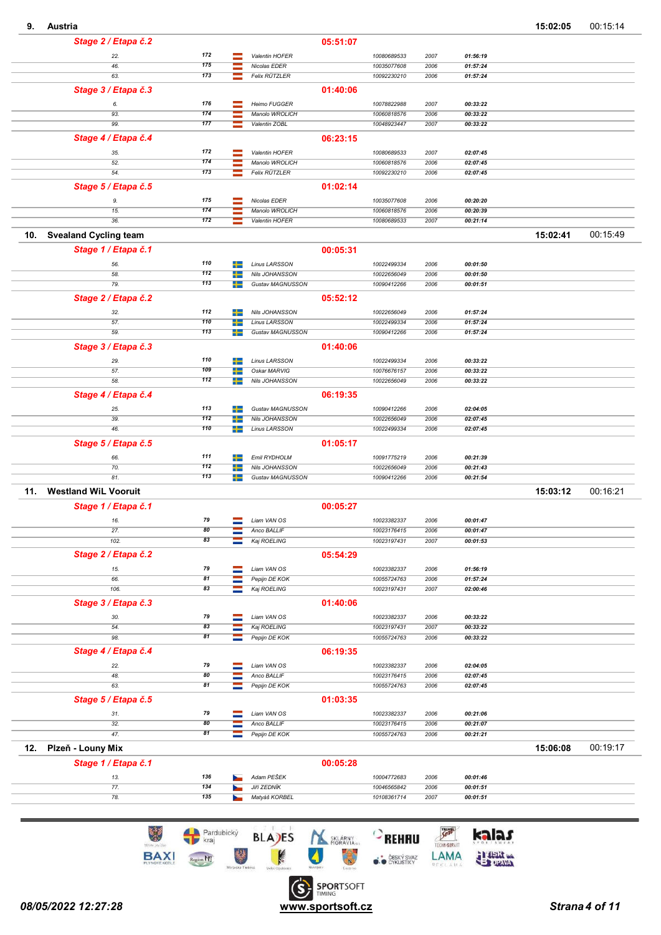|    | Austria |
|----|---------|
| 9. |         |
|    |         |

| J.<br>Ausula                        |            |        |                                    |          |                            |              |                      |          |                      |
|-------------------------------------|------------|--------|------------------------------------|----------|----------------------------|--------------|----------------------|----------|----------------------|
| Stage 2 / Etapa č.2                 |            |        |                                    | 05:51:07 |                            |              |                      |          |                      |
| 22.                                 | 172        |        | Valentin HOFER                     |          | 10080689533                | 2007         | 01:56:19             |          |                      |
| 46.                                 | 175        | ═      | Nicolas EDER                       |          | 10035077608                | 2006         | 01:57:24             |          |                      |
| 63.                                 | 173        | ⋍      | Felix RÜTZLER                      |          | 10092230210                | 2006         | 01:57:24             |          |                      |
|                                     |            |        |                                    |          |                            |              |                      |          |                      |
| Stage 3 / Etapa č.3                 |            |        |                                    | 01:40:06 |                            |              |                      |          |                      |
| 6.                                  | 176        |        | Heimo FUGGER                       |          | 10078822988                | 2007         | 00:33:22             |          |                      |
| 93.                                 | 174        |        | Manolo WROLICH                     |          | 10060818576                | 2006         | 00:33:22             |          |                      |
| 99.                                 | 177        |        | Valentin ZOBL                      |          | 10048923447                | 2007         | 00:33:22             |          |                      |
| Stage 4 / Etapa č.4                 |            |        |                                    | 06:23:15 |                            |              |                      |          |                      |
|                                     | 172        |        |                                    |          |                            |              |                      |          |                      |
| 35.                                 | 174        | -      | Valentin HOFER                     |          | 10080689533                | 2007         | 02:07:45             |          |                      |
| 52.<br>54.                          | 173        |        | Manolo WROLICH                     |          | 10060818576                | 2006         | 02:07:45             |          |                      |
|                                     |            |        | Felix RÜTZLER                      |          | 10092230210                | 2006         | 02:07:45             |          |                      |
| Stage 5 / Etapa č.5                 |            |        |                                    | 01:02:14 |                            |              |                      |          |                      |
| 9.                                  | 175        |        | Nicolas EDER                       |          | 10035077608                | 2006         | 00:20:20             |          |                      |
| 15.                                 | 174        |        | Manolo WROLICH                     |          | 10060818576                | 2006         | 00:20:39             |          |                      |
| 36.                                 | 172        |        | Valentin HOFER                     |          | 10080689533                | 2007         | 00:21:14             |          |                      |
|                                     |            |        |                                    |          |                            |              |                      |          |                      |
| 10.<br><b>Svealand Cycling team</b> |            |        |                                    |          |                            |              |                      | 15:02:41 | 00:15:49             |
| Stage 1 / Etapa č.1                 |            |        |                                    | 00:05:31 |                            |              |                      |          |                      |
| 56.                                 | 110        | --     | <b>Linus LARSSON</b>               |          | 10022499334                | 2006         | 00:01:50             |          |                      |
| 58.                                 | 112        | +      | Nils JOHANSSON                     |          | 10022656049                | 2006         | 00:01:50             |          |                      |
| 79.                                 | 113        | +      | Gustav MAGNUSSON                   |          | 10090412266                | 2006         | 00:01:51             |          |                      |
|                                     |            |        |                                    |          |                            |              |                      |          |                      |
| Stage 2 / Etapa č.2                 |            |        |                                    | 05:52:12 |                            |              |                      |          |                      |
| 32.                                 | 112        | ┶      | Nils JOHANSSON                     |          | 10022656049                | 2006         | 01:57:24             |          |                      |
| 57.                                 | 110        |        | <b>Linus LARSSON</b>               |          | 10022499334                | 2006         | 01:57:24             |          |                      |
| 59.                                 | 113        |        | Gustav MAGNUSSON                   |          | 10090412266                | 2006         | 01:57:24             |          |                      |
|                                     |            |        |                                    | 01:40:06 |                            |              |                      |          |                      |
| Stage 3 / Etapa č.3                 |            |        |                                    |          |                            |              |                      |          |                      |
| 29.                                 | 110        | ÷      | <b>Linus LARSSON</b>               |          | 10022499334                | 2006         | 00:33:22             |          |                      |
| 57.                                 | 109        |        | Oskar MARVIG                       |          | 10076676157                | 2006         | 00:33:22             |          |                      |
| 58.                                 | 112        | ┶      | Nils JOHANSSON                     |          | 10022656049                | 2006         | 00:33:22             |          |                      |
| Stage 4 / Etapa č.4                 |            |        |                                    | 06:19:35 |                            |              |                      |          |                      |
|                                     |            |        |                                    |          |                            |              |                      |          |                      |
| 25.                                 | 113<br>112 |        | Gustav MAGNUSSON                   |          | 10090412266                | 2006         | 02:04:05             |          |                      |
| 39.                                 | 110        |        | Nils JOHANSSON                     |          | 10022656049                | 2006         | 02:07:45             |          |                      |
| 46.                                 |            | ÷      | <b>Linus LARSSON</b>               |          | 10022499334                | 2006         | 02:07:45             |          |                      |
| Stage 5 / Etapa č.5                 |            |        |                                    | 01:05:17 |                            |              |                      |          |                      |
|                                     |            |        |                                    |          |                            |              |                      |          |                      |
|                                     | 111        |        |                                    |          |                            |              |                      |          |                      |
| 66.                                 | 112        | ÷<br>┶ | Emil RYDHOLM                       |          | 10091775219                | 2006         | 00:21:39             |          |                      |
| 70.<br>81.                          | 113        | +      | Nils JOHANSSON<br>Gustav MAGNUSSON |          | 10022656049<br>10090412266 | 2006<br>2006 | 00:21:43<br>00:21:54 |          |                      |
|                                     |            |        |                                    |          |                            |              |                      |          |                      |
| <b>Westland WiL Vooruit</b><br>11.  |            |        |                                    |          |                            |              |                      | 15:03:12 |                      |
| Stage 1 / Etapa č.1                 |            |        |                                    | 00:05:27 |                            |              |                      |          |                      |
|                                     |            |        |                                    |          |                            |              |                      |          |                      |
| 16.                                 | 79         | -      | Liam VAN OS                        |          | 10023382337                | 2006         | 00:01:47             |          |                      |
| 27.                                 | 80         |        | Anco BALLIF                        |          | 10023176415                | 2006         | 00:01:47             |          |                      |
| 102.                                | 83         |        | Kaj ROELING                        |          | 10023197431                | 2007         | 00:01:53             |          |                      |
| Stage 2 / Etapa č.2                 |            |        |                                    | 05:54:29 |                            |              |                      |          |                      |
| 15.                                 | 79         |        | Liam VAN OS                        |          | 10023382337                | 2006         | 01:56:19             |          |                      |
| 66.                                 | 81         | Ξ<br>۳ | Pepijn DE KOK                      |          | 10055724763                | 2006         | 01:57:24             |          |                      |
| 106.                                | 83         | ≡      | Kaj ROELING                        |          | 10023197431                | 2007         | 02:00:46             |          |                      |
|                                     |            |        |                                    |          |                            |              |                      |          |                      |
| Stage 3 / Etapa č.3                 |            |        |                                    | 01:40:06 |                            |              |                      |          |                      |
| 30.                                 | 79         |        | Liam VAN OS                        |          | 10023382337                | 2006         | 00:33:22             |          |                      |
| 54.                                 | 83         |        | Kaj ROELING                        |          | 10023197431                | 2007         | 00:33:22             |          |                      |
| 98.                                 | 81         |        | Pepijn DE KOK                      |          | 10055724763                | 2006         | 00:33:22             |          |                      |
|                                     |            |        |                                    | 06:19:35 |                            |              |                      |          |                      |
| Stage 4 / Etapa č.4                 |            |        |                                    |          |                            |              |                      |          |                      |
| 22.                                 | 79         |        | Liam VAN OS                        |          | 10023382337                | 2006         | 02:04:05             |          |                      |
| 48.                                 | 80         |        | Anco BALLIF                        |          | 10023176415                | 2006         | 02:07:45             |          |                      |
| 63.                                 | 81         |        | Pepijn DE KOK                      |          | 10055724763                | 2006         | 02:07:45             |          |                      |
| Stage 5 / Etapa č.5                 |            |        |                                    | 01:03:35 |                            |              |                      |          |                      |
|                                     |            |        |                                    |          |                            |              |                      |          |                      |
| 31.                                 | 79         |        | Liam VAN OS                        |          | 10023382337                | 2006         | 00:21:06             |          |                      |
| 32.                                 | 80         |        | Anco BALLIF                        |          | 10023176415                | 2006         | 00:21:07             |          |                      |
| 47.                                 | 81         |        | Pepijn DE KOK                      |          | 10055724763                | 2006         | 00:21:21             |          |                      |
| 12.<br>Plzeň - Louny Mix            |            |        |                                    |          |                            |              |                      | 15:06:08 |                      |
|                                     |            |        |                                    |          |                            |              |                      |          |                      |
| Stage 1 / Etapa č.1                 |            |        |                                    | 00:05:28 |                            |              |                      |          |                      |
| 13.                                 | 136        |        | Adam PEŠEK                         |          | 10004772683                | 2006         | 00:01:46             |          |                      |
| 77.<br>78.                          | 134<br>135 |        | Jiří ZEDNÍK<br>Matyáš KORBEL       |          | 10046565842<br>10108361714 | 2006<br>2007 | 00:01:51<br>00:01:51 |          | 00:16:21<br>00:19:17 |

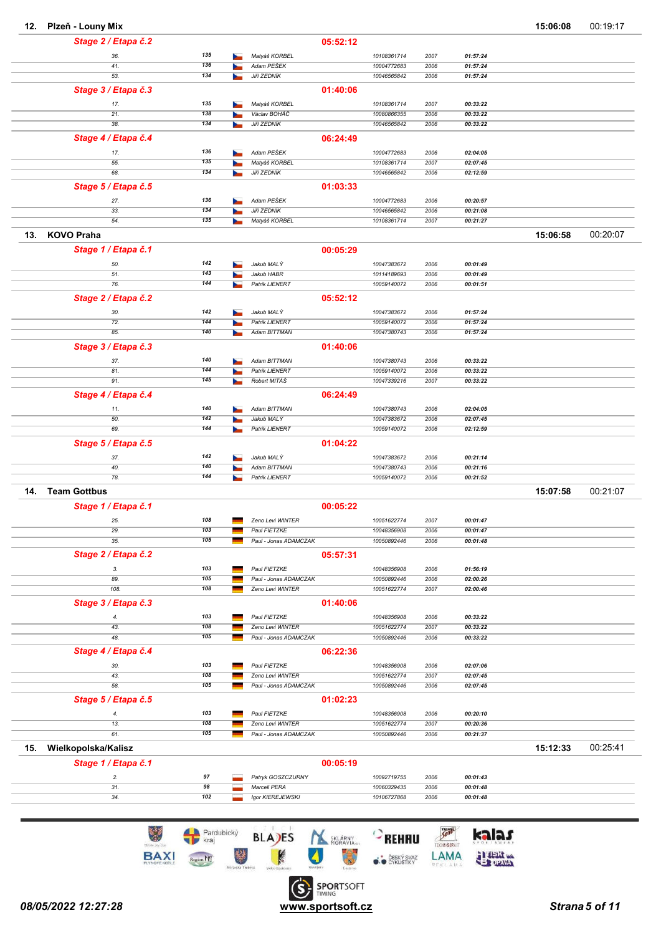| 12. | Plzeň - Louny Mix   |            |                       |          |                            |              |                      | 15:06:08 | 00:19:17 |
|-----|---------------------|------------|-----------------------|----------|----------------------------|--------------|----------------------|----------|----------|
|     | Stage 2 / Etapa č.2 |            |                       | 05:52:12 |                            |              |                      |          |          |
|     | 36.                 | 135        | Matyáš KORBEL         |          | 10108361714                | 2007         | 01:57:24             |          |          |
|     | 41.                 | 136        | Adam PEŠEK            |          | 10004772683                | 2006         | 01:57:24             |          |          |
|     | 53.                 | 134        | Jiří ZEDNÍK           |          | 10046565842                | 2006         | 01:57:24             |          |          |
|     | Stage 3 / Etapa č.3 |            |                       | 01:40:06 |                            |              |                      |          |          |
|     | 17.                 | 135        | Matyáš KORBEL         |          | 10108361714                | 2007         | 00:33:22             |          |          |
|     | 21.                 | 138        | Václav BOHÁČ          |          | 10080866355                | 2006         | 00:33:22             |          |          |
|     | 38.                 | 134        | Jiří ZEDNÍK           |          | 10046565842                | 2006         | 00:33:22             |          |          |
|     | Stage 4 / Etapa č.4 |            |                       | 06:24:49 |                            |              |                      |          |          |
|     | 17.                 | 136        | Adam PEŠEK            |          | 10004772683                | 2006         | 02:04:05             |          |          |
|     | 55.                 | 135        | Matyáš KORBEL         |          | 10108361714                | 2007         | 02:07:45             |          |          |
|     | 68.                 | 134        | <b>Jiří ZEDNÍK</b>    |          | 10046565842                | 2006         | 02:12:59             |          |          |
|     | Stage 5 / Etapa č.5 |            |                       | 01:03:33 |                            |              |                      |          |          |
|     | 27.                 | 136        | Adam PEŠEK            |          | 10004772683                | 2006         | 00:20:57             |          |          |
|     | 33.                 | 134        | Jiří ZEDNÍK           |          | 10046565842                | 2006         | 00:21:08             |          |          |
|     | 54.                 | 135        | Matyáš KORBEL         |          | 10108361714                | 2007         | 00:21:27             |          |          |
| 13. | <b>KOVO Praha</b>   |            |                       |          |                            |              |                      | 15:06:58 | 00:20:07 |
|     |                     |            |                       |          |                            |              |                      |          |          |
|     | Stage 1 / Etapa č.1 |            |                       | 00:05:29 |                            |              |                      |          |          |
|     | 50.                 | 142        | Jakub MALÝ            |          | 10047383672                | 2006         | 00:01:49             |          |          |
|     | 51.<br>76.          | 143<br>144 | Jakub HABR            |          | 10114189693<br>10059140072 | 2006<br>2006 | 00:01:49<br>00:01:51 |          |          |
|     |                     |            | Patrik LIENERT        |          |                            |              |                      |          |          |
|     | Stage 2 / Etapa č.2 |            |                       | 05:52:12 |                            |              |                      |          |          |
|     | 30.                 | 142        | Jakub MALÝ            |          | 10047383672                | 2006         | 01:57:24             |          |          |
|     | 72.                 | 144        | Patrik LIENERT        |          | 10059140072                | 2006         | 01:57:24             |          |          |
|     | 85.                 | 140        | Adam BITTMAN          |          | 10047380743                | 2006         | 01:57:24             |          |          |
|     | Stage 3 / Etapa č.3 |            |                       | 01:40:06 |                            |              |                      |          |          |
|     | 37.                 | 140        | Adam BITTMAN          |          | 10047380743                | 2006         | 00:33:22             |          |          |
|     | 81.                 | 144        | Patrik LIENERT        |          | 10059140072                | 2006         | 00:33:22             |          |          |
|     | 91.                 | 145        | Robert MITÁŠ          |          | 10047339216                | 2007         | 00:33:22             |          |          |
|     | Stage 4 / Etapa č.4 |            |                       | 06:24:49 |                            |              |                      |          |          |
|     | 11.                 | 140        | Adam BITTMAN          |          | 10047380743                | 2006         | 02:04:05             |          |          |
|     | 50.                 | 142        | Jakub MALÝ            |          | 10047383672                | 2006         | 02:07:45             |          |          |
|     | 69.                 | 144        | Patrik LIENERT        |          | 10059140072                | 2006         | 02:12:59             |          |          |
|     | Stage 5 / Etapa č.5 |            |                       | 01:04:22 |                            |              |                      |          |          |
|     | 37.                 | 142        | Jakub MALÝ            |          | 10047383672                | 2006         | 00:21:14             |          |          |
|     | 40.                 | 140        | Adam BITTMAN          |          | 10047380743                | 2006         | 00:21:16             |          |          |
|     | 78.                 | 144        | Patrik LIENERT        |          | 10059140072                | 2006         | 00:21:52             |          |          |
| 14. | <b>Team Gottbus</b> |            |                       |          |                            |              |                      | 15:07:58 | 00:21:07 |
|     | Stage 1 / Etapa č.1 |            |                       | 00:05:22 |                            |              |                      |          |          |
|     | 25.                 | 108        | Zeno Levi WINTER      |          | 10051622774                | 2007         | 00:01:47             |          |          |
|     | 29.                 | 103        | Paul FIETZKE          |          | 10048356908                | 2006         | 00:01:47             |          |          |
|     | 35.                 | 105        | Paul - Jonas ADAMCZAK |          | 10050892446                | 2006         | 00:01:48             |          |          |
|     | Stage 2 / Etapa č.2 |            |                       | 05:57:31 |                            |              |                      |          |          |
|     | 3.                  | 103        | Paul FIETZKE          |          | 10048356908                | 2006         | 01:56:19             |          |          |
|     | 89.                 | 105        | Paul - Jonas ADAMCZAK |          | 10050892446                | 2006         | 02:00:26             |          |          |
|     | 108.                | 108        | Zeno Levi WINTER      |          | 10051622774                | 2007         | 02:00:46             |          |          |
|     | Stage 3 / Etapa č.3 |            |                       | 01:40:06 |                            |              |                      |          |          |
|     | 4.                  | 103        | Paul FIETZKE          |          | 10048356908                | 2006         | 00:33:22             |          |          |
|     | 43.                 | 108        | Zeno Levi WINTER      |          | 10051622774                | 2007         | 00:33:22             |          |          |
|     | 48.                 | 105        | Paul - Jonas ADAMCZAK |          | 10050892446                | 2006         | 00:33:22             |          |          |
|     | Stage 4 / Etapa č.4 |            |                       | 06:22:36 |                            |              |                      |          |          |
|     | 30.                 | 103        | Paul FIETZKE          |          | 10048356908                | 2006         | 02:07:06             |          |          |
|     | 43.                 | 108        | Zeno Levi WINTER      |          | 10051622774                | 2007         | 02:07:45             |          |          |
|     | 58.                 | 105        | Paul - Jonas ADAMCZAK |          | 10050892446                | 2006         | 02:07:45             |          |          |
|     | Stage 5 / Etapa č.5 |            |                       | 01:02:23 |                            |              |                      |          |          |
|     | 4.                  | 103        | Paul FIETZKE          |          | 10048356908                | 2006         | 00:20:10             |          |          |
|     | 13.                 | 108        | Zeno Levi WINTER      |          | 10051622774                | 2007         | 00:20:36             |          |          |
|     | 61.                 | 105        | Paul - Jonas ADAMCZAK |          | 10050892446                | 2006         | 00:21:37             |          |          |
| 15. | Wielkopolska/Kalisz |            |                       |          |                            |              |                      | 15:12:33 | 00:25:41 |
|     | Stage 1 / Etapa č.1 |            |                       | 00:05:19 |                            |              |                      |          |          |
|     | 2.                  | 97         | Patryk GOSZCZURNY     |          | 10092719755                | 2006         | 00:01:43             |          |          |
|     | 31.                 | 98         | Marceli PERA          |          | 10060329435                | 2006         | 00:01:48             |          |          |
|     | 34.                 | 102        | Igor KIEREJEWSKI      |          | 10106727868                | 2006         | 00:01:48             |          |          |
|     |                     |            |                       |          |                            |              |                      |          |          |

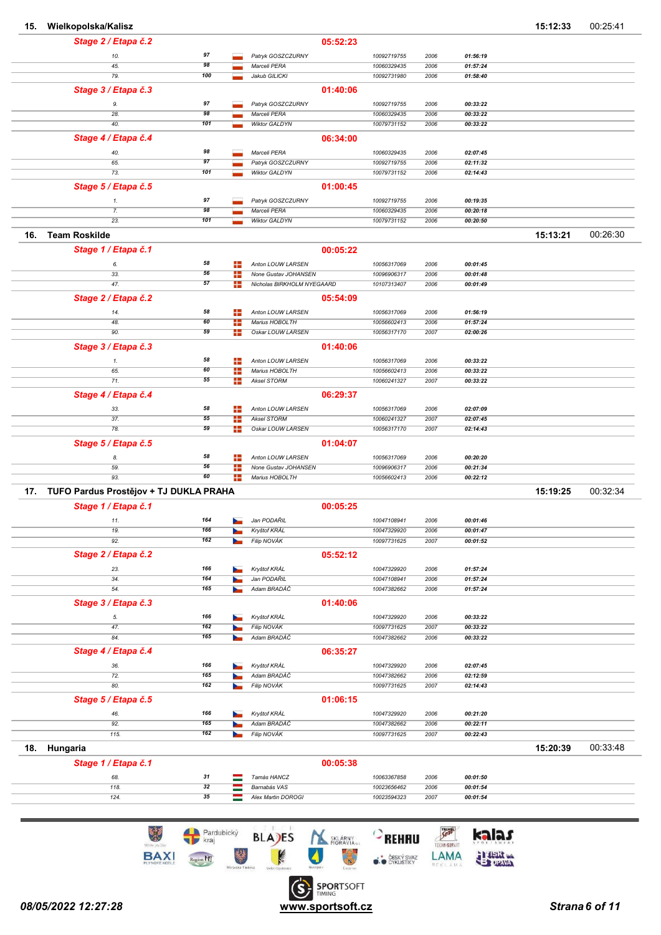| 15. | Wielkopolska/Kalisz                    |            |            |                                                    |          |                            |              |                      | 15:12:33 | 00:25:41 |
|-----|----------------------------------------|------------|------------|----------------------------------------------------|----------|----------------------------|--------------|----------------------|----------|----------|
|     | Stage 2 / Etapa č.2                    |            |            |                                                    | 05:52:23 |                            |              |                      |          |          |
|     | 10.                                    | 97         |            | Patryk GOSZCZURNY                                  |          | 10092719755                | 2006         | 01:56:19             |          |          |
|     | 45.                                    | 98         |            | Marceli PERA                                       |          | 10060329435                | 2006         | 01:57:24             |          |          |
|     | 79.                                    | 100        |            | Jakub GILICKI                                      |          | 10092731980                | 2006         | 01:58:40             |          |          |
|     | Stage 3 / Etapa č.3                    |            |            |                                                    | 01:40:06 |                            |              |                      |          |          |
|     | 9.                                     | 97         |            | Patryk GOSZCZURNY                                  |          | 10092719755                | 2006         | 00:33:22             |          |          |
|     | 28.                                    | 98         |            | Marceli PERA                                       |          | 10060329435                | 2006         | 00:33:22             |          |          |
|     | 40.                                    | 101        |            | Wiktor GALDYN                                      |          | 10079731152                | 2006         | 00:33:22             |          |          |
|     | Stage 4 / Etapa č.4                    |            |            |                                                    | 06:34:00 |                            |              |                      |          |          |
|     | 40.                                    | 98         |            | Marceli PERA                                       |          | 10060329435                | 2006         | 02:07:45             |          |          |
|     | 65.                                    | 97         |            | Patryk GOSZCZURNY                                  |          | 10092719755                | 2006         | 02:11:32             |          |          |
|     | 73.                                    | 101        |            | Wiktor GALDYN                                      |          | 10079731152                | 2006         | 02:14:43             |          |          |
|     | Stage 5 / Etapa č.5                    |            |            |                                                    | 01:00:45 |                            |              |                      |          |          |
|     |                                        | 97         |            | Patryk GOSZCZURNY                                  |          | 10092719755                | 2006         | 00:19:35             |          |          |
|     | 1.<br>7.                               | 98         |            | Marceli PERA                                       |          | 10060329435                | 2006         | 00:20:18             |          |          |
|     | 23.                                    | 101        |            | Wiktor GALDYN                                      |          | 10079731152                | 2006         | 00:20:50             |          |          |
| 16. | <b>Team Roskilde</b>                   |            |            |                                                    |          |                            |              |                      | 15:13:21 | 00:26:30 |
|     |                                        |            |            |                                                    |          |                            |              |                      |          |          |
|     | Stage 1 / Etapa č.1                    |            |            |                                                    | 00:05:22 |                            |              |                      |          |          |
|     | 6.                                     | 58         | ÷          | Anton LOUW LARSEN                                  |          | 10056317069                | 2006         | 00:01:45             |          |          |
|     | 33.<br>47.                             | 56<br>57   | ÷<br>╊     | None Gustav JOHANSEN<br>Nicholas BIRKHOLM NYEGAARD |          | 10096906317<br>10107313407 | 2006<br>2006 | 00:01:48<br>00:01:49 |          |          |
|     |                                        |            |            |                                                    |          |                            |              |                      |          |          |
|     | Stage 2 / Etapa č.2                    |            |            |                                                    | 05:54:09 |                            |              |                      |          |          |
|     | 14.                                    | 58         | ÷          | Anton LOUW LARSEN                                  |          | 10056317069                | 2006         | 01:56:19             |          |          |
|     | 48.<br>90.                             | 60<br>59   | ÷<br>÷     | Marius HOBOLTH<br>Oskar LOUW LARSEN                |          | 10056602413<br>10056317170 | 2006<br>2007 | 01:57:24<br>02:00:26 |          |          |
|     |                                        |            |            |                                                    |          |                            |              |                      |          |          |
|     | Stage 3 / Etapa č.3                    |            |            |                                                    | 01:40:06 |                            |              |                      |          |          |
|     | 1.                                     | 58         | ÷          | Anton LOUW LARSEN                                  |          | 10056317069                | 2006         | 00:33:22             |          |          |
|     | 65.<br>71.                             | 60<br>55   | ÷<br>$\pm$ | Marius HOBOLTH<br>Aksel STORM                      |          | 10056602413<br>10060241327 | 2006<br>2007 | 00:33:22<br>00:33:22 |          |          |
|     |                                        |            |            |                                                    |          |                            |              |                      |          |          |
|     | Stage 4 / Etapa č.4                    |            |            |                                                    | 06:29:37 |                            |              |                      |          |          |
|     | 33.                                    | 58         | ÷          | Anton LOUW LARSEN                                  |          | 10056317069                | 2006         | 02:07:09             |          |          |
|     | 37.<br>78.                             | 55<br>59   | ÷<br>÷     | Aksel STORM<br>Oskar LOUW LARSEN                   |          | 10060241327<br>10056317170 | 2007<br>2007 | 02:07:45<br>02:14:43 |          |          |
|     |                                        |            |            |                                                    |          |                            |              |                      |          |          |
|     | Stage 5 / Etapa č.5                    |            |            |                                                    | 01:04:07 |                            |              |                      |          |          |
|     | 8.                                     | 58         | ÷          | Anton LOUW LARSEN                                  |          | 10056317069                | 2006         | 00:20:20             |          |          |
|     | 59.<br>93.                             | 56<br>60   | ÷<br>╊     | None Gustav JOHANSEN<br>Marius HOBOLTH             |          | 10096906317<br>10056602413 | 2006<br>2006 | 00:21:34<br>00:22:12 |          |          |
|     |                                        |            |            |                                                    |          |                            |              |                      |          |          |
| 17. | TUFO Pardus Prostějov + TJ DUKLA PRAHA |            |            |                                                    |          |                            |              |                      | 15:19:25 | 00:32:34 |
|     | Stage 1 / Etapa č.1                    |            |            |                                                    | 00:05:25 |                            |              |                      |          |          |
|     | 11.                                    | 164        |            | Jan PODARIL                                        |          | 10047108941                | 2006         | 00:01:46             |          |          |
|     | 19.                                    | 166        |            | Kryštof KRÁL                                       |          | 10047329920                | 2006         | 00:01:47             |          |          |
|     | 92.                                    | 162        |            | Filip NOVÁK                                        |          | 10097731625                | 2007         | 00:01:52             |          |          |
|     | Stage 2 / Etapa č.2                    |            |            |                                                    | 05:52:12 |                            |              |                      |          |          |
|     | 23.                                    | 166        |            | Kryštof KRÁL                                       |          | 10047329920                | 2006         | 01:57:24             |          |          |
|     | 34.<br>54.                             | 164<br>165 |            | Jan PODAŘIL<br>Adam BRADÁČ                         |          | 10047108941<br>10047382662 | 2006<br>2006 | 01:57:24<br>01:57:24 |          |          |
|     |                                        |            |            |                                                    |          |                            |              |                      |          |          |
|     | Stage 3 / Etapa č.3                    |            |            |                                                    | 01:40:06 |                            |              |                      |          |          |
|     | 5.                                     | 166        | h.         | Kryštof KRÁL                                       |          | 10047329920                | 2006         | 00:33:22             |          |          |
|     | 47.                                    | 162<br>165 |            | Filip NOVÁK<br>Adam BRADÁČ                         |          | 10097731625<br>10047382662 | 2007         | 00:33:22             |          |          |
|     | 84.                                    |            |            |                                                    |          |                            | 2006         | 00:33:22             |          |          |
|     | Stage 4 / Etapa č.4                    |            |            |                                                    | 06:35:27 |                            |              |                      |          |          |
|     | 36.                                    | 166        |            | Kryštof KRÁL                                       |          | 10047329920                | 2006         | 02:07:45             |          |          |
|     | 72.<br>80.                             | 165<br>162 |            | Adam BRADÁČ                                        |          | 10047382662                | 2006         | 02:12:59             |          |          |
|     |                                        |            |            | Filip NOVÁK                                        |          | 10097731625                | 2007         | 02:14:43             |          |          |
|     | Stage 5 / Etapa č.5                    |            |            |                                                    | 01:06:15 |                            |              |                      |          |          |
|     | 46.                                    | 166        |            | Kryštof KRÁL                                       |          | 10047329920                | 2006         | 00:21:20             |          |          |
|     | 92.<br>115.                            | 165<br>162 |            | Adam BRADÁČ<br>Filip NOVÁK                         |          | 10047382662                | 2006<br>2007 | 00:22:11<br>00:22:43 |          |          |
|     |                                        |            |            |                                                    |          | 10097731625                |              |                      |          |          |
| 18. | Hungaria                               |            |            |                                                    |          |                            |              |                      | 15:20:39 | 00:33:48 |
|     | Stage 1 / Etapa č.1                    |            |            |                                                    | 00:05:38 |                            |              |                      |          |          |
|     | 68.                                    | 31         | ═          | Tamás HANCZ                                        |          | 10063367858                | 2006         | 00:01:50             |          |          |
|     | 118.                                   | 32         |            | Barnabás VAS                                       |          | 10023656462                | 2006         | 00:01:54             |          |          |
|     | 124.                                   | 35         |            | Alex Martin DOROGI                                 |          | 10023594323                | 2007         | 00:01:54             |          |          |
|     |                                        |            |            |                                                    |          |                            |              |                      |          |          |

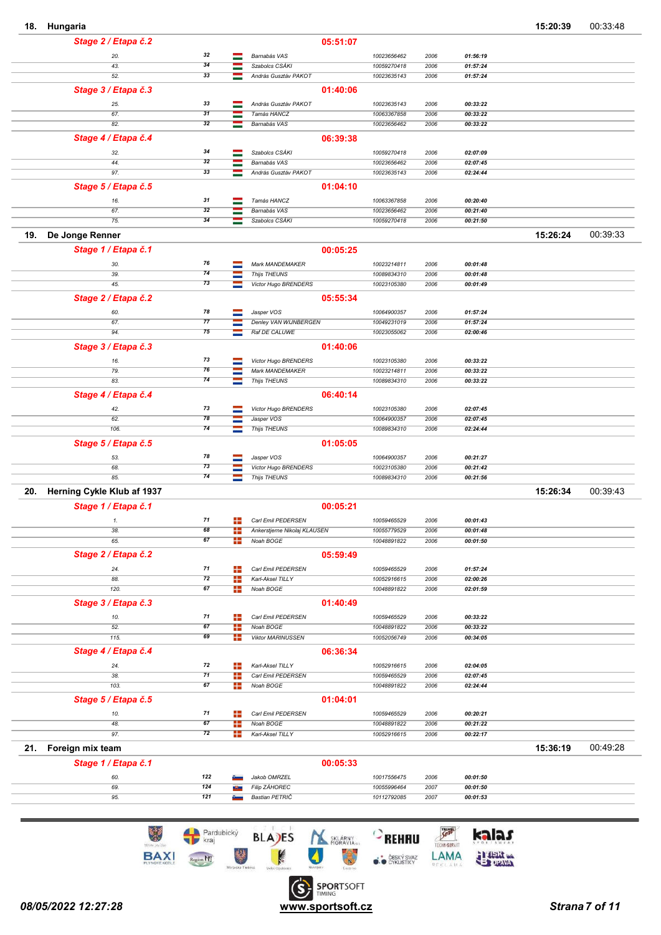18. Hungaria 15:20:39 00:33:48

|                                   |            |                |                                        | 05:51:07 |                            |              |                      |          |          |
|-----------------------------------|------------|----------------|----------------------------------------|----------|----------------------------|--------------|----------------------|----------|----------|
| 20.                               | 32         | ═              | Barnabás VAS                           |          | 10023656462                | 2006         | 01:56:19             |          |          |
| 43.                               | 34         | $\equiv$       | Szabolcs CSÁKI                         |          | 10059270418                | 2006         | 01:57:24             |          |          |
| 52.                               | 33         | ═              | András Gusztáv PAKOT                   |          | 10023635143                | 2006         | 01:57:24             |          |          |
| Stage 3 / Etapa č.3               |            |                |                                        | 01:40:06 |                            |              |                      |          |          |
| 25.                               | 33         |                | András Gusztáv PAKOT                   |          | 10023635143                | 2006         | 00:33:22             |          |          |
| 67.                               | 31         |                | Tamás HANCZ                            |          | 10063367858                | 2006         | 00:33:22             |          |          |
| 82.                               | 32         |                | Barnabás VAS                           |          | 10023656462                | 2006         | 00:33:22             |          |          |
| Stage 4 / Etapa č.4               |            |                |                                        | 06:39:38 |                            |              |                      |          |          |
| 32.                               | 34         | ═              | Szabolcs CSÁKI                         |          | 10059270418                | 2006         | 02:07:09             |          |          |
| 44.                               | 32         | ═              | Barnabás VAS                           |          | 10023656462                | 2006         | 02:07:45             |          |          |
| 97.                               | 33         | ═              | András Gusztáv PAKOT                   |          | 10023635143                | 2006         | 02:24:44             |          |          |
| Stage 5 / Etapa č.5               |            |                |                                        | 01:04:10 |                            |              |                      |          |          |
| 16.                               | 31         |                | Tamás HANCZ                            |          | 10063367858                | 2006         | 00:20:40             |          |          |
| 67.                               | 32         |                | Barnabás VAS                           |          | 10023656462                | 2006         | 00:21:40             |          |          |
| 75.                               | 34         |                | Szabolcs CSÁKI                         |          | 10059270418                | 2006         | 00:21:50             |          |          |
| 19.<br>De Jonge Renner            |            |                |                                        |          |                            |              |                      | 15:26:24 | 00:39:33 |
| Stage 1 / Etapa č.1               |            |                |                                        | 00:05:25 |                            |              |                      |          |          |
| 30.                               | 76         | ═              | Mark MANDEMAKER                        |          | 10023214811                | 2006         | 00:01:48             |          |          |
| 39.                               | 74         |                | Thijs THEUNS                           |          | 10089834310                | 2006         | 00:01:48             |          |          |
| 45.                               | 73         |                | Victor Hugo BRENDERS                   |          | 10023105380                | 2006         | 00:01:49             |          |          |
| Stage 2 / Etapa č.2               |            |                |                                        | 05:55:34 |                            |              |                      |          |          |
| 60.                               | 78         | ═              | Jasper VOS                             |          | 10064900357                | 2006         | 01:57:24             |          |          |
| 67.                               | 77         |                | Denley VAN WIJNBERGEN                  |          | 10049231019                | 2006         | 01:57:24             |          |          |
| 94.                               | 75         |                | Raf DE CALUWE                          |          | 10023055062                | 2006         | 02:00:46             |          |          |
| Stage 3 / Etapa č.3               |            |                |                                        | 01:40:06 |                            |              |                      |          |          |
| 16.                               | 73         |                | Victor Hugo BRENDERS                   |          | 10023105380                | 2006         | 00:33:22             |          |          |
| 79.                               | 76         |                | Mark MANDEMAKER                        |          | 10023214811                | 2006         | 00:33:22             |          |          |
| 83.                               | 74         | ═              | Thijs THEUNS                           |          | 10089834310                | 2006         | 00:33:22             |          |          |
| Stage 4 / Etapa č.4               |            |                |                                        | 06:40:14 |                            |              |                      |          |          |
| 42.                               | 73         | ═              | Victor Hugo BRENDERS                   |          | 10023105380                | 2006         | 02:07:45             |          |          |
| 62.                               | 78         | $\equiv$       | Jasper VOS                             |          | 10064900357                | 2006         | 02:07:45             |          |          |
| 106.                              | 74         | =              | Thijs THEUNS                           |          | 10089834310                | 2006         | 02:24:44             |          |          |
| Stage 5 / Etapa č.5               |            |                |                                        | 01:05:05 |                            |              |                      |          |          |
| 53.                               | 78         |                | Jasper VOS                             |          | 10064900357                | 2006         | 00:21:27             |          |          |
| 68.                               |            |                | Victor Hugo BRENDERS                   |          | 10023105380                | 2006         | 00:21:42             |          |          |
|                                   | 73         |                |                                        |          |                            |              |                      |          |          |
| 85.                               | 74         |                | Thijs THEUNS                           |          | 10089834310                | 2006         | 00:21:56             |          |          |
| Herning Cykle Klub af 1937<br>20. |            |                |                                        |          |                            |              |                      | 15:26:34 | 00:39:43 |
| Stage 1 / Etapa č.1               |            |                |                                        | 00:05:21 |                            |              |                      |          |          |
| 1.                                | 71         | ÷              | Carl Emil PEDERSEN                     |          | 10059465529                | 2006         | 00:01:43             |          |          |
| 38.                               | 68         | ╇              | Ankerstjerne Nikolaj KLAUSEN           |          | 10055779529                | 2006         | 00:01:48             |          |          |
| 65.                               | 67         | ╄              | Noah BOGE                              |          | 10048891822                | 2006         | 00:01:50             |          |          |
| Stage 2 / Etapa č.2               |            |                |                                        | 05:59:49 |                            |              |                      |          |          |
| 24.                               | 71         | ┿              | Carl Emil PEDERSEN                     |          | 10059465529                | 2006         | 01:57:24             |          |          |
| 88.                               | 72         | $\pm$          | Karl-Aksel TILLY                       |          | 10052916615                | 2006         | 02:00:26             |          |          |
| 120.                              | 67         | $\ddot{}$      | Noah BOGE                              |          | 10048891822                | 2006         | 02:01:59             |          |          |
| Stage 3 / Etapa č.3               |            |                |                                        | 01:40:49 |                            |              |                      |          |          |
| 10.                               | 71         | ÷              | Carl Emil PEDERSEN                     |          | 10059465529                | 2006         | 00:33:22             |          |          |
| 52.                               | 67         | $\bf{+}$       | Noah BOGE                              |          | 10048891822                | 2006         | 00:33:22             |          |          |
| 115.                              | 69         | $\ddot{}$      | <b>Viktor MARINUSSEN</b>               |          | 10052056749                | 2006         | 00:34:05             |          |          |
| Stage 4 / Etapa č.4               |            |                |                                        | 06:36:34 |                            |              |                      |          |          |
| 24.                               | 72         | ٠              | Karl-Aksel TILLY                       |          | 10052916615                | 2006         | 02:04:05             |          |          |
| 38.<br>103.                       | 71<br>67   | Ŧ<br>$\ddot{}$ | Carl Emil PEDERSEN<br>Noah BOGE        |          | 10059465529<br>10048891822 | 2006<br>2006 | 02:07:45<br>02:24:44 |          |          |
|                                   |            |                |                                        |          |                            |              |                      |          |          |
| Stage 5 / Etapa č.5               |            |                |                                        | 01:04:01 |                            |              |                      |          |          |
| 10.                               | 71<br>67   | ┿              | Carl Emil PEDERSEN                     |          | 10059465529                | 2006         | 00:20:21             |          |          |
| 48.<br>97.                        | 72         | $\bf{+}$<br>Ŧ  | Noah BOGE<br>Karl-Aksel TILLY          |          | 10048891822<br>10052916615 | 2006<br>2006 | 00:21:22<br>00:22:17 |          |          |
|                                   |            |                |                                        |          |                            |              |                      |          |          |
| Foreign mix team<br>21.           |            |                |                                        |          |                            |              |                      | 15:36:19 | 00:49:28 |
| Stage 1 / Etapa č.1               |            |                |                                        | 00:05:33 |                            |              |                      |          |          |
| 60.                               | 122        |                | Jakob OMRZEL                           |          | 10017556475                | 2006         | 00:01:50             |          |          |
| 69.<br>95.                        | 124<br>121 |                | <b>Filip ZÁHOREC</b><br>Bastian PETRIČ |          | 10055996464<br>10112792085 | 2007<br>2007 | 00:01:50<br>00:01:53 |          |          |
|                                   |            |                |                                        |          |                            |              |                      |          |          |

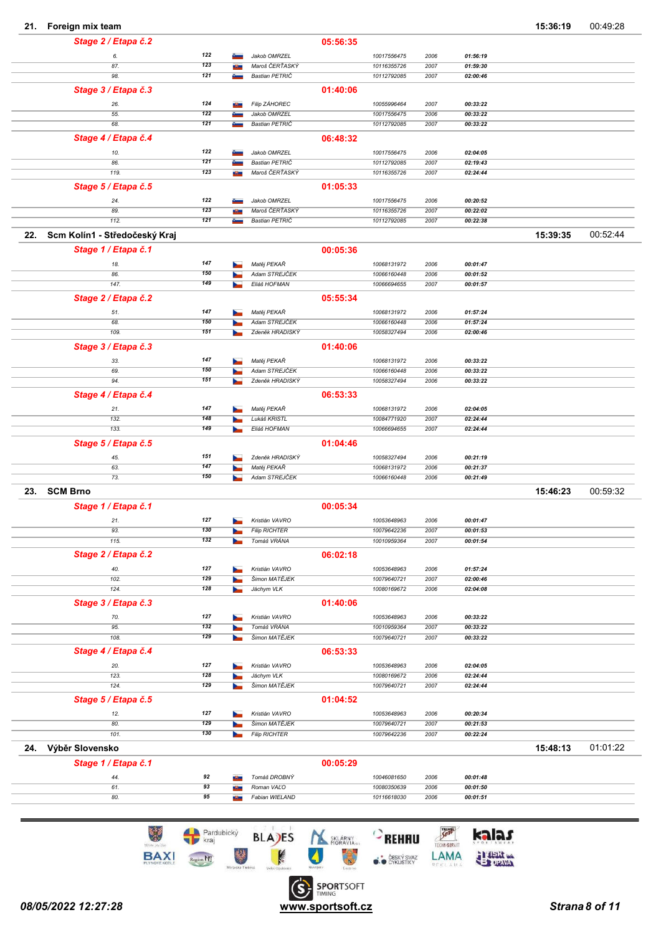| 21. | Foreign mix team              |            |        |                                |          |                            |              |                      | 15:36:19 | 00:49:28 |
|-----|-------------------------------|------------|--------|--------------------------------|----------|----------------------------|--------------|----------------------|----------|----------|
|     | Stage 2 / Etapa č.2           |            |        |                                | 05:56:35 |                            |              |                      |          |          |
|     | 6.                            | 122        |        | Jakob OMRZEL                   |          | 10017556475                | 2006         | 01:56:19             |          |          |
|     | 87.                           | 123        |        | Maroš ČERŤASKÝ                 |          | 10116355726                | 2007         | 01:59:30             |          |          |
|     | 98.                           | 121        |        | Bastian PETRIČ                 |          | 10112792085                | 2007         | 02:00:46             |          |          |
|     | Stage 3 / Etapa č.3           |            |        |                                | 01:40:06 |                            |              |                      |          |          |
|     | 26.                           | 124        |        | <b>Filip ZÁHOREC</b>           |          | 10055996464                | 2007         | 00:33:22             |          |          |
|     | 55.                           | 122        |        | Jakob OMRZEL                   |          | 10017556475                | 2006         | 00:33:22             |          |          |
|     | 68.                           | 121        |        | Bastian PETRIČ                 |          | 10112792085                | 2007         | 00:33:22             |          |          |
|     | Stage 4 / Etapa č.4           |            |        |                                | 06:48:32 |                            |              |                      |          |          |
|     |                               |            |        |                                |          |                            |              |                      |          |          |
|     | 10.<br>86.                    | 122<br>121 |        | Jakob OMRZEL<br>Bastian PETRIČ |          | 10017556475<br>10112792085 | 2006<br>2007 | 02:04:05<br>02:19:43 |          |          |
|     | 119.                          | 123        | a Band | Maroš ČERŤASKÝ                 |          | 10116355726                | 2007         | 02:24:44             |          |          |
|     |                               |            |        |                                | 01:05:33 |                            |              |                      |          |          |
|     | Stage 5 / Etapa č.5           |            |        |                                |          |                            |              |                      |          |          |
|     | 24.                           | 122<br>123 |        | Jakob OMRZEL<br>Maroš ČERŤASKÝ |          | 10017556475                | 2006         | 00:20:52             |          |          |
|     | 89.<br>112.                   | 121        |        | Bastian PETRIČ                 |          | 10116355726<br>10112792085 | 2007<br>2007 | 00:22:02<br>00:22:38 |          |          |
|     |                               |            |        |                                |          |                            |              |                      |          |          |
| 22. | Scm Kolín1 - Středočeský Kraj |            |        |                                |          |                            |              |                      | 15:39:35 | 00:52:44 |
|     | Stage 1 / Etapa č.1           |            |        |                                | 00:05:36 |                            |              |                      |          |          |
|     | 18.                           | 147        |        | Matěj PEKAŘ                    |          | 10068131972                | 2006         | 00:01:47             |          |          |
|     | 86.                           | 150        |        | Adam STREJČEK                  |          | 10066160448                | 2006         | 00:01:52             |          |          |
|     | 147.                          | 149        |        | Eliáš HOFMAN                   |          | 10066694655                | 2007         | 00:01:57             |          |          |
|     | Stage 2 / Etapa č.2           |            |        |                                | 05:55:34 |                            |              |                      |          |          |
|     | 51.                           | 147        |        | Matěj PEKAŘ                    |          | 10068131972                | 2006         | 01:57:24             |          |          |
|     | 68.                           | 150        |        | Adam STREJČEK                  |          | 10066160448                | 2006         | 01:57:24             |          |          |
|     | 109.                          | 151        |        | Zdeněk HRADISKÝ                |          | 10058327494                | 2006         | 02:00:46             |          |          |
|     | Stage 3 / Etapa č.3           |            |        |                                | 01:40:06 |                            |              |                      |          |          |
|     | 33.                           | 147        |        | Matěj PEKAŘ                    |          | 10068131972                | 2006         | 00:33:22             |          |          |
|     | 69.                           | 150        |        | Adam STREJČEK                  |          | 10066160448                | 2006         | 00:33:22             |          |          |
|     | 94.                           | 151        |        | Zdeněk HRADISKÝ                |          | 10058327494                | 2006         | 00:33:22             |          |          |
|     | Stage 4 / Etapa č.4           |            |        |                                | 06:53:33 |                            |              |                      |          |          |
|     | 21.                           | 147        |        | Matěj PEKAŘ                    |          | 10068131972                | 2006         | 02:04:05             |          |          |
|     | 132.                          | 148        |        | Lukáš KRISTL                   |          | 10084771920                | 2007         | 02:24:44             |          |          |
|     | 133.                          | 149        |        | Eliáš HOFMAN                   |          | 10066694655                | 2007         | 02:24:44             |          |          |
|     | Stage 5 / Etapa č.5           |            |        |                                | 01:04:46 |                            |              |                      |          |          |
|     | 45.                           | 151        |        | Zdeněk HRADISKÝ                |          | 10058327494                | 2006         | 00:21:19             |          |          |
|     | 63.                           | 147        |        | Matěj PEKAŘ                    |          | 10068131972                | 2006         | 00:21:37             |          |          |
|     | 73.                           | 150        |        | Adam STREJČEK                  |          | 10066160448                | 2006         | 00:21:49             |          |          |
| 23. | <b>SCM Brno</b>               |            |        |                                |          |                            |              |                      | 15:46:23 | 00:59:32 |
|     | Stage 1 / Etapa č.1           |            |        |                                | 00:05:34 |                            |              |                      |          |          |
|     | 21.                           | 127        |        | Kristián VAVRO                 |          | 10053648963                | 2006         | 00:01:47             |          |          |
|     | 93.                           | 130        |        | <b>Filip RICHTER</b>           |          | 10079642236                | 2007         | 00:01:53             |          |          |
|     | 115.                          | 132        |        | Tomáš VRÁNA                    |          | 10010959364                | 2007         | 00:01:54             |          |          |
|     | Stage 2 / Etapa č.2           |            |        |                                | 06:02:18 |                            |              |                      |          |          |
|     | 40.                           | 127        |        | Kristián VAVRO                 |          | 10053648963                | 2006         | 01:57:24             |          |          |
|     | 102.                          | 129        |        | Šimon MATĚJEK                  |          | 10079640721                | 2007         | 02:00:46             |          |          |
|     | 124.                          | 128        |        | Jáchym VLK                     |          | 10080169672                | 2006         | 02:04:08             |          |          |
|     | Stage 3 / Etapa č.3           |            |        |                                | 01:40:06 |                            |              |                      |          |          |
|     | 70.                           | 127        |        | Kristián VAVRO                 |          | 10053648963                | 2006         | 00:33:22             |          |          |
|     | 95.                           | 132        |        | Tomáš VRÁNA                    |          | 10010959364                | 2007         | 00:33:22             |          |          |
|     | 108.                          | 129        |        | Šimon MATĚJEK                  |          | 10079640721                | 2007         | 00:33:22             |          |          |
|     | Stage 4 / Etapa č.4           |            |        |                                | 06:53:33 |                            |              |                      |          |          |
|     | 20.                           | 127        |        | Kristián VAVRO                 |          | 10053648963                | 2006         | 02:04:05             |          |          |
|     | 123.                          | 128        |        | Jáchym VLK                     |          | 10080169672                | 2006         | 02:24:44             |          |          |
|     | 124.                          | 129        |        | Šimon MATĚJEK                  |          | 10079640721                | 2007         | 02:24:44             |          |          |
|     | Stage 5 / Etapa č.5           |            |        |                                | 01:04:52 |                            |              |                      |          |          |
|     | 12.                           | 127        |        | Kristián VAVRO                 |          | 10053648963                | 2006         | 00:20:34             |          |          |
|     | 80.                           | 129        |        | Šimon MATĚJEK                  |          | 10079640721                | 2007         | 00:21:53             |          |          |
|     | 101.                          | 130        |        | <b>Filip RICHTER</b>           |          | 10079642236                | 2007         | 00:22:24             |          |          |
|     | 24. Výběr Slovensko           |            |        |                                |          |                            |              |                      | 15:48:13 | 01:01:22 |
|     |                               |            |        |                                |          |                            |              |                      |          |          |
|     | Stage 1 / Etapa č.1           |            |        |                                | 00:05:29 |                            |              |                      |          |          |
|     | 44.                           | 92         |        | Tomáš DROBNÝ                   |          | 10046081650                | 2006         | 00:01:48             |          |          |
|     | 61.<br>80.                    | 93<br>95   |        | Roman VALO<br>Fabian WIELAND   |          | 10080350639<br>10116618030 | 2006<br>2006 | 00:01:50<br>00:01:51 |          |          |
|     |                               |            |        |                                |          |                            |              |                      |          |          |

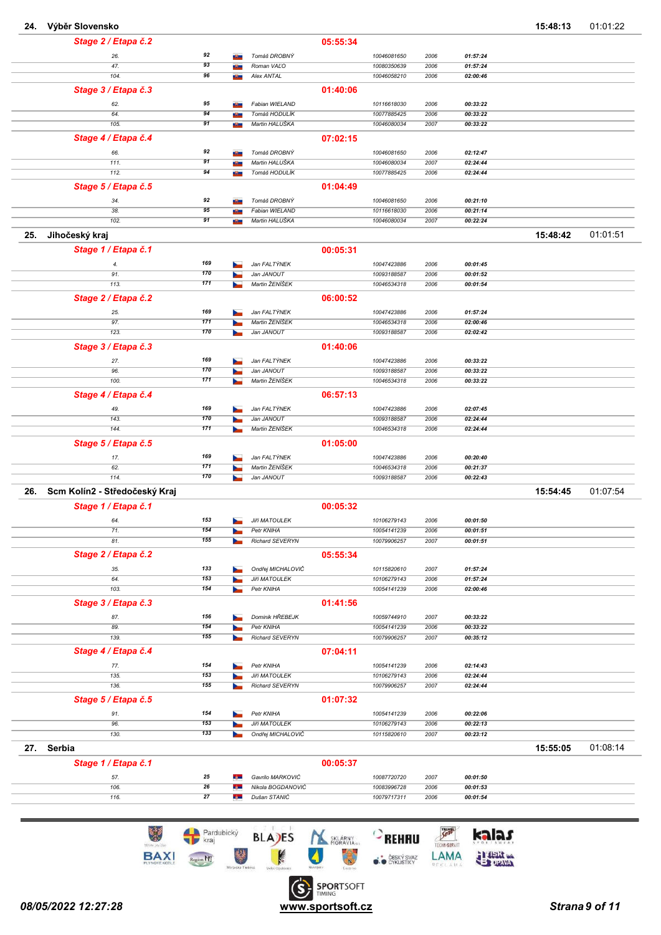| 24.        | Výběr Slovensko               |     |       |                      |          |             |      |          | 15:48:13 | 01:01:22 |
|------------|-------------------------------|-----|-------|----------------------|----------|-------------|------|----------|----------|----------|
|            | Stage 2 / Etapa č.2           |     |       |                      | 05:55:34 |             |      |          |          |          |
|            | 26.                           | 92  |       | Tomáš DROBNÝ         |          | 10046081650 | 2006 | 01:57:24 |          |          |
|            | 47.                           | 93  | a Ba  | Roman VALO           |          | 10080350639 | 2006 | 01:57:24 |          |          |
|            | 104.                          | 96  | a Ban | Alex ANTAL           |          | 10046058210 | 2006 | 02:00:46 |          |          |
|            | Stage 3 / Etapa č.3           |     |       |                      | 01:40:06 |             |      |          |          |          |
|            | 62.                           | 95  |       | Fabian WIELAND       |          | 10116618030 | 2006 | 00:33:22 |          |          |
|            | 64.                           | 94  |       | Tomáš HODULÍK        |          | 10077885425 | 2006 | 00:33:22 |          |          |
|            | 105.                          | 91  | a Ban | Martin HALUŠKA       |          | 10046080034 | 2007 | 00:33:22 |          |          |
|            | Stage 4 / Etapa č.4           |     |       |                      | 07:02:15 |             |      |          |          |          |
|            | 66.                           | 92  | a Ba  | Tomáš DROBNÝ         |          | 10046081650 | 2006 | 02:12:47 |          |          |
|            | 111.                          | 91  | æ.    | Martin HALUŠKA       |          | 10046080034 | 2007 | 02:24:44 |          |          |
|            | 112.                          | 94  | a Ban | Tomáš HODULÍK        |          | 10077885425 | 2006 | 02:24:44 |          |          |
|            | Stage 5 / Etapa č.5           |     |       |                      | 01:04:49 |             |      |          |          |          |
|            | 34.                           | 92  |       | Tomáš DROBNÝ         |          | 10046081650 | 2006 | 00:21:10 |          |          |
|            | 38.                           | 95  | в.    | Fabian WIELAND       |          | 10116618030 | 2006 | 00:21:14 |          |          |
|            | 102.                          | 91  | æ.    | Martin HALUŠKA       |          | 10046080034 | 2007 | 00:22:24 |          |          |
| 25.        | Jihočeský kraj                |     |       |                      |          |             |      |          | 15:48:42 | 01:01:51 |
|            | Stage 1 / Etapa č.1           |     |       |                      | 00:05:31 |             |      |          |          |          |
|            |                               | 169 |       | Jan FALTÝNEK         |          | 10047423886 | 2006 | 00:01:45 |          |          |
|            | 4.<br>91.                     | 170 |       | Jan JANOUT           |          | 10093188587 | 2006 | 00:01:52 |          |          |
|            | 113.                          | 171 |       | Martin ŽENÍŠEK       |          | 10046534318 | 2006 | 00:01:54 |          |          |
|            | Stage 2 / Etapa č.2           |     |       |                      | 06:00:52 |             |      |          |          |          |
|            | 25.                           | 169 |       | Jan FALTÝNEK         |          | 10047423886 | 2006 | 01:57:24 |          |          |
|            | 97.                           | 171 |       | Martin ŽENÍŠEK       |          | 10046534318 | 2006 | 02:00:46 |          |          |
|            | 123.                          | 170 |       | Jan JANOUT           |          | 10093188587 | 2006 | 02:02:42 |          |          |
|            | Stage 3 / Etapa č.3           |     |       |                      | 01:40:06 |             |      |          |          |          |
|            | 27.                           | 169 |       | Jan FALTÝNEK         |          | 10047423886 | 2006 | 00:33:22 |          |          |
|            | 96.                           | 170 |       | Jan JANOUT           |          | 10093188587 | 2006 | 00:33:22 |          |          |
|            | 100.                          | 171 |       | Martin ŽENÍŠEK       |          | 10046534318 | 2006 | 00:33:22 |          |          |
|            | Stage 4 / Etapa č.4           |     |       |                      | 06:57:13 |             |      |          |          |          |
|            | 49.                           | 169 |       | Jan FALTÝNEK         |          | 10047423886 | 2006 | 02:07:45 |          |          |
|            | 143.                          | 170 |       | Jan JANOUT           |          | 10093188587 | 2006 | 02:24:44 |          |          |
|            | 144.                          | 171 |       | Martin ŽENÍŠEK       |          | 10046534318 | 2006 | 02:24:44 |          |          |
|            | Stage 5 / Etapa č.5           |     |       |                      | 01:05:00 |             |      |          |          |          |
|            | 17.                           | 169 |       | Jan FALTÝNEK         |          | 10047423886 | 2006 | 00:20:40 |          |          |
|            | 62.                           | 171 |       | Martin ŽENÍŠEK       |          | 10046534318 | 2006 | 00:21:37 |          |          |
|            | 114.                          | 170 |       | Jan JANOUT           |          | 10093188587 | 2006 | 00:22:43 |          |          |
| 26.        | Scm Kolín2 - Středočeský Kraj |     |       |                      |          |             |      |          | 15:54:45 | 01:07:54 |
|            | Stage 1 / Etapa č.1           |     |       |                      | 00:05:32 |             |      |          |          |          |
|            | 64.                           | 153 |       | <b>Jiří MATOULEK</b> |          | 10106279143 | 2006 | 00:01:50 |          |          |
|            | 71.                           | 154 |       | Petr KNIHA           |          | 10054141239 | 2006 | 00:01:51 |          |          |
|            | 81.                           | 155 |       | Richard SEVERYN      |          | 10079906257 | 2007 | 00:01:51 |          |          |
|            | Stage 2 / Etapa č.2           |     |       |                      | 05:55:34 |             |      |          |          |          |
|            | 35.                           | 133 |       | Ondřej MICHALOVIČ    |          | 10115820610 | 2007 | 01:57:24 |          |          |
|            | 64.                           | 153 |       | <b>Jiří MATOULEK</b> |          | 10106279143 | 2006 | 01:57:24 |          |          |
|            | 103.                          | 154 |       | Petr KNIHA           |          | 10054141239 | 2006 | 02:00:46 |          |          |
|            | Stage 3 / Etapa č.3           |     |       |                      | 01:41:56 |             |      |          |          |          |
|            | 87.                           | 156 |       | Dominik HŘEBEJK      |          | 10059744910 | 2007 | 00:33:22 |          |          |
|            | 89.                           | 154 |       | Petr KNIHA           |          | 10054141239 | 2006 | 00:33:22 |          |          |
|            | 139.                          | 155 |       | Richard SEVERYN      |          | 10079906257 | 2007 | 00:35:12 |          |          |
|            | Stage 4 / Etapa č.4           |     |       |                      | 07:04:11 |             |      |          |          |          |
|            | 77.                           | 154 |       | Petr KNIHA           |          | 10054141239 | 2006 | 02:14:43 |          |          |
|            | 135.                          | 153 |       | <b>Jiří MATOULEK</b> |          | 10106279143 | 2006 | 02:24:44 |          |          |
|            | 136.                          | 155 |       | Richard SEVERYN      |          | 10079906257 | 2007 | 02:24:44 |          |          |
|            | Stage 5 / Etapa č.5           |     |       |                      | 01:07:32 |             |      |          |          |          |
|            | 91.                           | 154 |       | Petr KNIHA           |          | 10054141239 | 2006 | 00:22:06 |          |          |
|            | 96.                           | 153 |       | <b>Jiří MATOULEK</b> |          | 10106279143 | 2006 | 00:22:13 |          |          |
|            | 130.                          | 133 |       | Ondřej MICHALOVIČ    |          | 10115820610 | 2007 | 00:23:12 |          |          |
| 27. Serbia |                               |     |       |                      |          |             |      |          | 15:55:05 | 01:08:14 |
|            | Stage 1 / Etapa č.1           |     |       |                      | 00:05:37 |             |      |          |          |          |
|            | 57.                           | 25  | t, m  | Gavrilo MARKOVIĆ     |          | 10087720720 | 2007 | 00:01:50 |          |          |
|            | 106.                          | 26  | 44    | Nikola BOGDANOVIĆ    |          | 10083996728 | 2006 | 00:01:53 |          |          |
|            | 116.                          | 27  | t, m  | Dušan STANIĆ         |          | 10079717311 | 2006 | 00:01:54 |          |          |
|            |                               |     |       |                      |          |             |      |          |          |          |

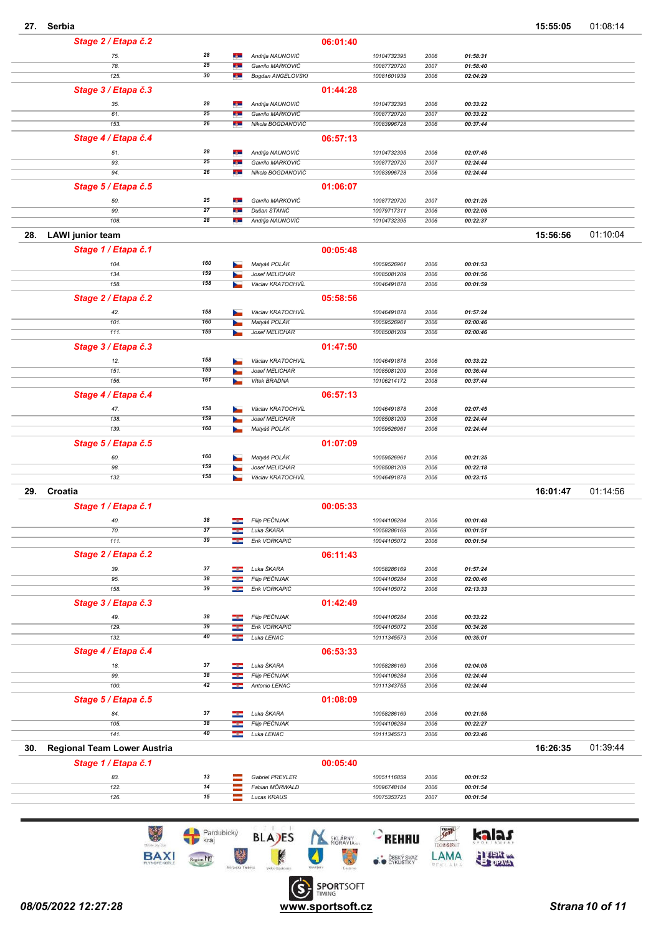|     | Stage 2 / Etapa č.2         |                 |               |                                     | 06:01:40 |                            |              |                      |          |          |
|-----|-----------------------------|-----------------|---------------|-------------------------------------|----------|----------------------------|--------------|----------------------|----------|----------|
|     | 75.                         | 28              | $-1$          | Andrija NAUNOVIĆ                    |          | 10104732395                | 2006         | 01:58:31             |          |          |
|     | 78.                         | 25              | t, m          | Gavrilo MARKOVIĆ                    |          | 10087720720                | 2007         | 01:58:40             |          |          |
|     | 125.                        | 30              | t, m          | Bogdan ANGELOVSKI                   |          | 10081601939                | 2006         | 02:04:29             |          |          |
|     | Stage 3 / Etapa č.3         |                 |               |                                     | 01:44:28 |                            |              |                      |          |          |
|     | 35.                         | 28              | t, m          | Andrija NAUNOVIĆ                    |          | 10104732395                | 2006         | 00:33:22             |          |          |
|     | 61.                         | 25              | 42            | Gavrilo MARKOVIĆ                    |          | 10087720720                | 2007         | 00:33:22             |          |          |
|     | 153.                        | 26              | t, m          | Nikola BOGDANOVIĆ                   |          | 10083996728                | 2006         | 00:37:44             |          |          |
|     | Stage 4 / Etapa č.4         |                 |               |                                     | 06:57:13 |                            |              |                      |          |          |
|     | 51.                         | 28              | t, m          | Andrija NAUNOVIĆ                    |          | 10104732395                | 2006         | 02:07:45             |          |          |
|     | 93.                         | 25              | œ             | Gavrilo MARKOVIĆ                    |          | 10087720720                | 2007         | 02:24:44             |          |          |
|     | 94.                         | 26              | <b>Cycle</b>  | Nikola BOGDANOVIĆ                   |          | 10083996728                | 2006         | 02:24:44             |          |          |
|     | Stage 5 / Etapa č.5         |                 |               |                                     | 01:06:07 |                            |              |                      |          |          |
|     | 50.                         | 25              | $-1$          | Gavrilo MARKOVIĆ                    |          | 10087720720                | 2007         | 00:21:25             |          |          |
|     | 90.                         | $\overline{27}$ | œ             | Dušan STANIĆ                        |          | 10079717311                | 2006         | 00:22:05             |          |          |
|     | 108.                        | 28              | t, m          | Andrija NAUNOVIĆ                    |          | 10104732395                | 2006         | 00:22:37             |          |          |
| 28. | <b>LAWI</b> junior team     |                 |               |                                     |          |                            |              |                      | 15:56:56 | 01:10:04 |
|     | Stage 1 / Etapa č.1         |                 |               |                                     | 00:05:48 |                            |              |                      |          |          |
|     | 104.                        | 160             | b.            | Matyáš POLÁK                        |          | 10059526961                | 2006         | 00:01:53             |          |          |
|     | 134.                        | 159             |               | Josef MELICHAR                      |          | 10085081209                | 2006         | 00:01:56             |          |          |
|     | 158.                        | 158             |               | Václav KRATOCHVÍL                   |          | 10046491878                | 2006         | 00:01:59             |          |          |
|     | Stage 2 / Etapa č.2         |                 |               |                                     | 05:58:56 |                            |              |                      |          |          |
|     | 42.                         | 158             |               | Václav KRATOCHVÍL                   |          | 10046491878                | 2006         | 01:57:24             |          |          |
|     | 101.                        | 160             |               | Matyáš POLÁK                        |          | 10059526961                | 2006         | 02:00:46             |          |          |
|     | 111.                        | 159             |               | Josef MELICHAR                      |          | 10085081209                | 2006         | 02:00:46             |          |          |
|     | Stage 3 / Etapa č.3         |                 |               |                                     | 01:47:50 |                            |              |                      |          |          |
|     |                             | 158             |               |                                     |          |                            |              |                      |          |          |
|     | 12.<br>151                  | 159             |               | Václav KRATOCHVÍL<br>Josef MELICHAR |          | 10046491878<br>10085081209 | 2006<br>2006 | 00:33:22<br>00:36:44 |          |          |
|     | 156.                        | 161             |               | Vitek BRADNA                        |          | 10106214172                | 2008         | 00:37:44             |          |          |
|     | Stage 4 / Etapa č.4         |                 |               |                                     | 06:57:13 |                            |              |                      |          |          |
|     |                             | 158             |               | Václav KRATOCHVÍL                   |          |                            |              |                      |          |          |
|     | 47.<br>138.                 | 159             |               | Josef MELICHAR                      |          | 10046491878<br>10085081209 | 2006<br>2006 | 02:07:45<br>02:24:44 |          |          |
|     | 139.                        | 160             | <b>Septim</b> | Matyáš POLÁK                        |          | 10059526961                | 2006         | 02:24:44             |          |          |
|     | Stage 5 / Etapa č.5         |                 |               |                                     | 01:07:09 |                            |              |                      |          |          |
|     | 60.                         | 160             |               | Matyáš POLÁK                        |          | 10059526961                | 2006         | 00:21:35             |          |          |
|     | 98.                         | 159             |               | Josef MELICHAR                      |          | 10085081209                | 2006         | 00:22:18             |          |          |
|     | 132.                        | 158             |               | Václav KRATOCHVÍL                   |          | 10046491878                | 2006         | 00:23:15             |          |          |
| 29. | Croatia                     |                 |               |                                     |          |                            |              |                      | 16:01:47 | 01:14:56 |
|     | Stage 1 / Etapa č.1         |                 |               |                                     | 00:05:33 |                            |              |                      |          |          |
|     |                             |                 |               |                                     |          |                            |              |                      |          |          |
|     | 40.<br>70.                  | 38<br>37        | ╼             | Filip PEČNJAK<br>Luka ŠKARA         |          | 10044106284<br>10058286169 | 2006<br>2006 | 00:01:48<br>00:01:51 |          |          |
|     | 111.                        | 39              | ÷             | Erik VORKAPIĆ                       |          | 10044105072                | 2006         | 00:01:54             |          |          |
|     | Stage 2 / Etapa č.2         |                 |               |                                     | 06:11:43 |                            |              |                      |          |          |
|     |                             |                 |               |                                     |          |                            |              |                      |          |          |
|     | 39.<br>95.                  | 37<br>38        | ÷<br>÷        | Luka ŠKARA<br>Filip PEČNJAK         |          | 10058286169<br>10044106284 | 2006<br>2006 | 01:57:24<br>02:00:46 |          |          |
|     | 158.                        | 39              | ł             | Erik VORKAPIĆ                       |          | 10044105072                | 2006         | 02:13:33             |          |          |
|     | Stage 3 / Etapa č.3         |                 |               |                                     | 01:42:49 |                            |              |                      |          |          |
|     |                             | 38              |               | Filip PEČNJAK                       |          | 10044106284                |              |                      |          |          |
|     | 49.<br>129.                 | 39              | ÷             | Erik VORKAPIĆ                       |          | 10044105072                | 2006<br>2006 | 00:33:22<br>00:34:26 |          |          |
|     | 132.                        | 40              | ÷             | Luka LENAC                          |          | 10111345573                | 2006         | 00:35:01             |          |          |
|     | Stage 4 / Etapa č.4         |                 |               |                                     | 06:53:33 |                            |              |                      |          |          |
|     |                             | 37              |               | Luka ŠKARA                          |          | 10058286169                | 2006         |                      |          |          |
|     | 18.<br>99.                  | 38              | --<br>æ       | <b>Filip PEČNJAK</b>                |          | 10044106284                | 2006         | 02:04:05<br>02:24:44 |          |          |
|     | 100.                        | 42              | --            | Antonio LENAC                       |          | 10111343755                | 2006         | 02:24:44             |          |          |
|     | Stage 5 / Etapa č.5         |                 |               |                                     | 01:08:09 |                            |              |                      |          |          |
|     | 84.                         | 37              | ÷             | Luka ŠKARA                          |          | 10058286169                | 2006         | 00:21:55             |          |          |
|     | 105.                        | 38              | ÷             | Filip PEČNJAK                       |          | 10044106284                | 2006         | 00:22:27             |          |          |
|     | 141.                        | 40              | ÷             | Luka LENAC                          |          | 10111345573                | 2006         | 00:23:46             |          |          |
| 30. | Regional Team Lower Austria |                 |               |                                     |          |                            |              |                      | 16:26:35 | 01:39:44 |
|     | Stage 1 / Etapa č.1         |                 |               |                                     | 00:05:40 |                            |              |                      |          |          |
|     |                             |                 |               |                                     |          |                            |              |                      |          |          |
|     | 83.                         | 13<br>14        |               | Gabriel PREYLER                     |          | 10051116859                | 2006         | 00:01:52             |          |          |
|     | 122.<br>126.                | 15              |               | Fabian MÖRWALD<br>Lucas KRAUS       |          | 10096748184<br>10075353725 | 2006<br>2007 | 00:01:54<br>00:01:54 |          |          |
|     |                             |                 |               |                                     |          |                            |              |                      |          |          |
|     |                             |                 |               |                                     |          |                            |              |                      |          |          |